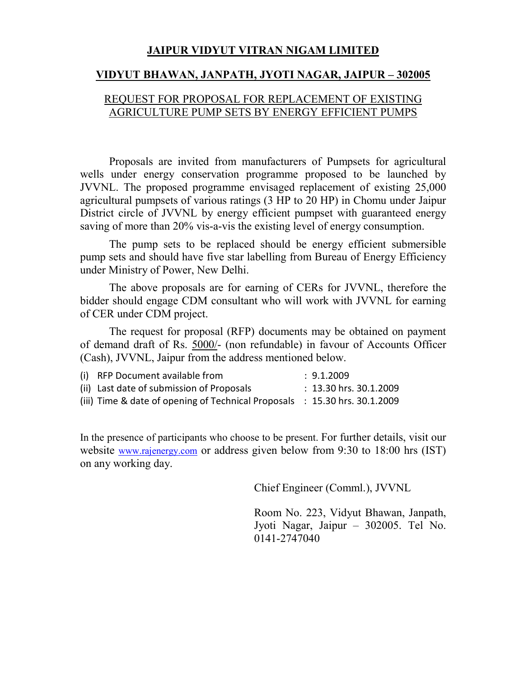# JAIPUR VIDYUT VITRAN NIGAM LIMITED

### VIDYUT BHAWAN, JANPATH, JYOTI NAGAR, JAIPUR – 302005

# REQUEST FOR PROPOSAL FOR REPLACEMENT OF EXISTING AGRICULTURE PUMP SETS BY ENERGY EFFICIENT PUMPS

Proposals are invited from manufacturers of Pumpsets for agricultural wells under energy conservation programme proposed to be launched by JVVNL. The proposed programme envisaged replacement of existing 25,000 agricultural pumpsets of various ratings (3 HP to 20 HP) in Chomu under Jaipur District circle of JVVNL by energy efficient pumpset with guaranteed energy saving of more than 20% vis-a-vis the existing level of energy consumption.

The pump sets to be replaced should be energy efficient submersible pump sets and should have five star labelling from Bureau of Energy Efficiency under Ministry of Power, New Delhi.

 The above proposals are for earning of CERs for JVVNL, therefore the bidder should engage CDM consultant who will work with JVVNL for earning of CER under CDM project.

The request for proposal (RFP) documents may be obtained on payment of demand draft of Rs. 5000/- (non refundable) in favour of Accounts Officer (Cash), JVVNL, Jaipur from the address mentioned below.

| (i) RFP Document available from                                            | : 9.1.2009                 |
|----------------------------------------------------------------------------|----------------------------|
| (ii) Last date of submission of Proposals                                  | $: 13.30$ hrs. $30.1.2009$ |
| (iii) Time & date of opening of Technical Proposals : 15.30 hrs. 30.1.2009 |                            |

In the presence of participants who choose to be present. For further details, visit our website www.rajenergy.com or address given below from 9:30 to 18:00 hrs (IST) on any working day.

Chief Engineer (Comml.), JVVNL

Room No. 223, Vidyut Bhawan, Janpath, Jyoti Nagar, Jaipur – 302005. Tel No. 0141-2747040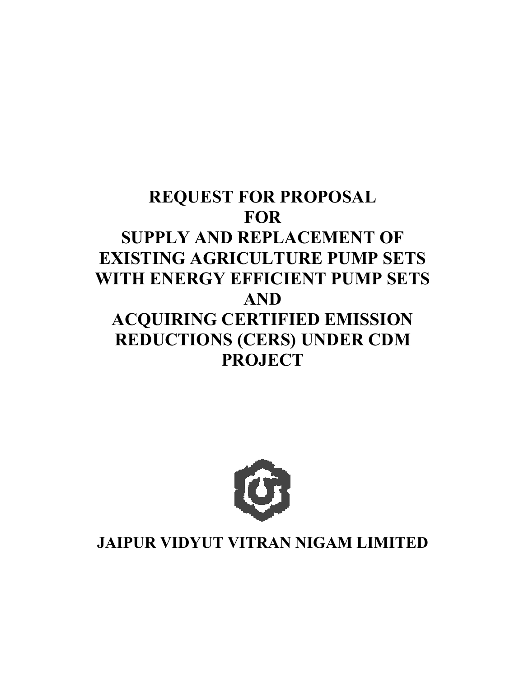# REQUEST FOR PROPOSAL FOR SUPPLY AND REPLACEMENT OF EXISTING AGRICULTURE PUMP SETS WITH ENERGY EFFICIENT PUMP SETS AND ACQUIRING CERTIFIED EMISSION REDUCTIONS (CERS) UNDER CDM **PROJECT**



JAIPUR VIDYUT VITRAN NIGAM LIMITED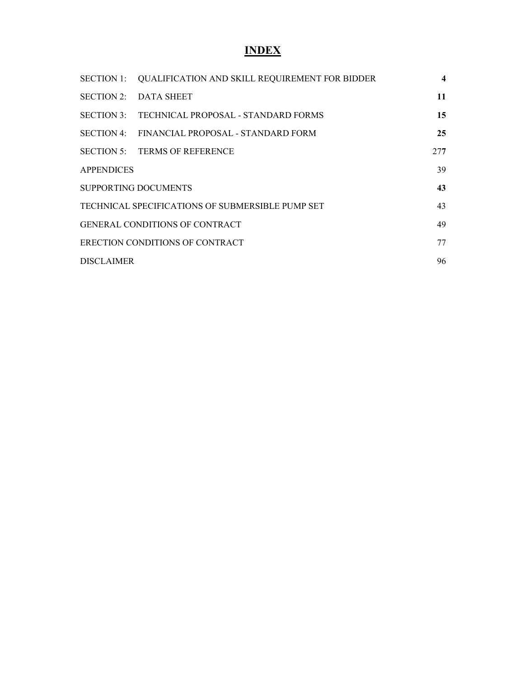# INDEX

|                   | SECTION 1: QUALIFICATION AND SKILL REQUIREMENT FOR BIDDER | $\overline{\mathbf{4}}$ |
|-------------------|-----------------------------------------------------------|-------------------------|
|                   | SECTION 2: DATA SHEET                                     | 11                      |
|                   | SECTION 3: TECHNICAL PROPOSAL - STANDARD FORMS            | 15                      |
|                   | SECTION 4: FINANCIAL PROPOSAL - STANDARD FORM             | 25                      |
|                   | <b>SECTION 5: TERMS OF REFERENCE</b>                      | 277                     |
| <b>APPENDICES</b> |                                                           | 39                      |
|                   | <b>SUPPORTING DOCUMENTS</b>                               | 43                      |
|                   | TECHNICAL SPECIFICATIONS OF SUBMERSIBLE PUMP SET          | 43                      |
|                   | <b>GENERAL CONDITIONS OF CONTRACT</b>                     | 49                      |
|                   | ERECTION CONDITIONS OF CONTRACT                           | 77                      |
| <b>DISCLAIMER</b> |                                                           | 96                      |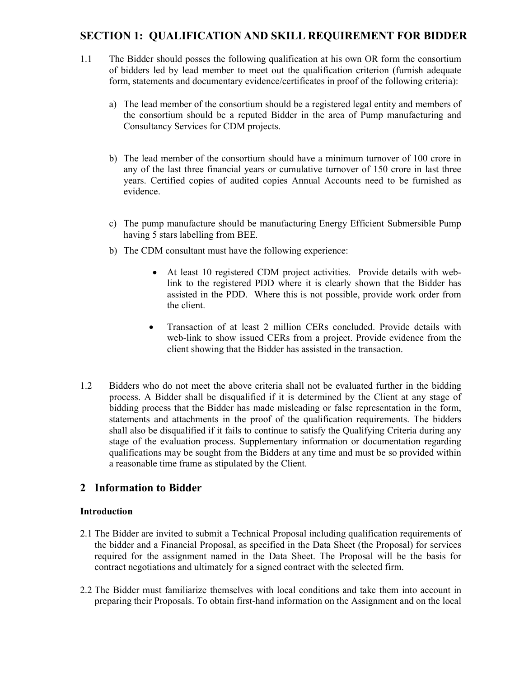# SECTION 1: QUALIFICATION AND SKILL REQUIREMENT FOR BIDDER

- 1.1 The Bidder should posses the following qualification at his own OR form the consortium of bidders led by lead member to meet out the qualification criterion (furnish adequate form, statements and documentary evidence/certificates in proof of the following criteria):
	- a) The lead member of the consortium should be a registered legal entity and members of the consortium should be a reputed Bidder in the area of Pump manufacturing and Consultancy Services for CDM projects.
	- b) The lead member of the consortium should have a minimum turnover of 100 crore in any of the last three financial years or cumulative turnover of 150 crore in last three years. Certified copies of audited copies Annual Accounts need to be furnished as evidence.
	- c) The pump manufacture should be manufacturing Energy Efficient Submersible Pump having 5 stars labelling from BEE.
	- b) The CDM consultant must have the following experience:
		- At least 10 registered CDM project activities. Provide details with weblink to the registered PDD where it is clearly shown that the Bidder has assisted in the PDD. Where this is not possible, provide work order from the client.
		- Transaction of at least 2 million CERs concluded. Provide details with web-link to show issued CERs from a project. Provide evidence from the client showing that the Bidder has assisted in the transaction.
- 1.2 Bidders who do not meet the above criteria shall not be evaluated further in the bidding process. A Bidder shall be disqualified if it is determined by the Client at any stage of bidding process that the Bidder has made misleading or false representation in the form, statements and attachments in the proof of the qualification requirements. The bidders shall also be disqualified if it fails to continue to satisfy the Qualifying Criteria during any stage of the evaluation process. Supplementary information or documentation regarding qualifications may be sought from the Bidders at any time and must be so provided within a reasonable time frame as stipulated by the Client.

### 2 Information to Bidder

### **Introduction**

- 2.1 The Bidder are invited to submit a Technical Proposal including qualification requirements of the bidder and a Financial Proposal, as specified in the Data Sheet (the Proposal) for services required for the assignment named in the Data Sheet. The Proposal will be the basis for contract negotiations and ultimately for a signed contract with the selected firm.
- 2.2 The Bidder must familiarize themselves with local conditions and take them into account in preparing their Proposals. To obtain first-hand information on the Assignment and on the local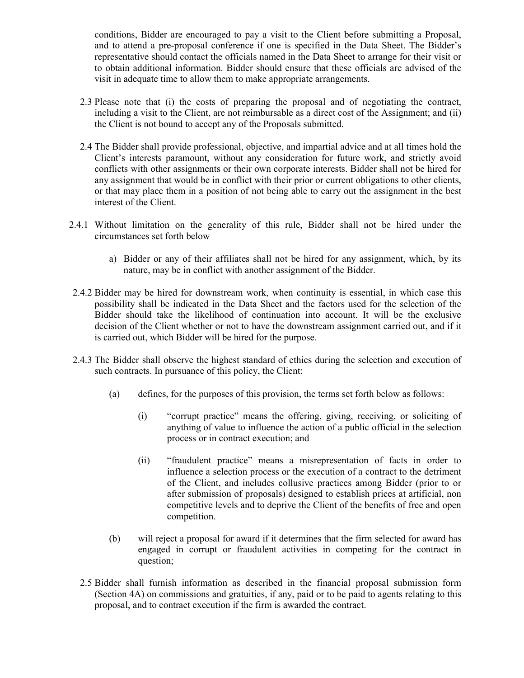conditions, Bidder are encouraged to pay a visit to the Client before submitting a Proposal, and to attend a pre-proposal conference if one is specified in the Data Sheet. The Bidder's representative should contact the officials named in the Data Sheet to arrange for their visit or to obtain additional information. Bidder should ensure that these officials are advised of the visit in adequate time to allow them to make appropriate arrangements.

- 2.3 Please note that (i) the costs of preparing the proposal and of negotiating the contract, including a visit to the Client, are not reimbursable as a direct cost of the Assignment; and (ii) the Client is not bound to accept any of the Proposals submitted.
- 2.4 The Bidder shall provide professional, objective, and impartial advice and at all times hold the Client's interests paramount, without any consideration for future work, and strictly avoid conflicts with other assignments or their own corporate interests. Bidder shall not be hired for any assignment that would be in conflict with their prior or current obligations to other clients, or that may place them in a position of not being able to carry out the assignment in the best interest of the Client.
- 2.4.1 Without limitation on the generality of this rule, Bidder shall not be hired under the circumstances set forth below
	- a) Bidder or any of their affiliates shall not be hired for any assignment, which, by its nature, may be in conflict with another assignment of the Bidder.
- 2.4.2 Bidder may be hired for downstream work, when continuity is essential, in which case this possibility shall be indicated in the Data Sheet and the factors used for the selection of the Bidder should take the likelihood of continuation into account. It will be the exclusive decision of the Client whether or not to have the downstream assignment carried out, and if it is carried out, which Bidder will be hired for the purpose.
- 2.4.3 The Bidder shall observe the highest standard of ethics during the selection and execution of such contracts. In pursuance of this policy, the Client:
	- (a) defines, for the purposes of this provision, the terms set forth below as follows:
		- (i) "corrupt practice" means the offering, giving, receiving, or soliciting of anything of value to influence the action of a public official in the selection process or in contract execution; and
		- (ii) "fraudulent practice" means a misrepresentation of facts in order to influence a selection process or the execution of a contract to the detriment of the Client, and includes collusive practices among Bidder (prior to or after submission of proposals) designed to establish prices at artificial, non competitive levels and to deprive the Client of the benefits of free and open competition.
	- (b) will reject a proposal for award if it determines that the firm selected for award has engaged in corrupt or fraudulent activities in competing for the contract in question;
	- 2.5 Bidder shall furnish information as described in the financial proposal submission form (Section 4A) on commissions and gratuities, if any, paid or to be paid to agents relating to this proposal, and to contract execution if the firm is awarded the contract.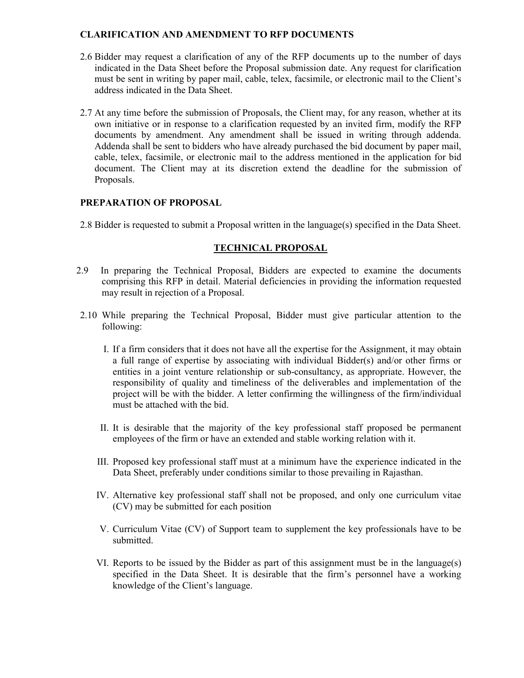### CLARIFICATION AND AMENDMENT TO RFP DOCUMENTS

- 2.6 Bidder may request a clarification of any of the RFP documents up to the number of days indicated in the Data Sheet before the Proposal submission date. Any request for clarification must be sent in writing by paper mail, cable, telex, facsimile, or electronic mail to the Client's address indicated in the Data Sheet.
- 2.7 At any time before the submission of Proposals, the Client may, for any reason, whether at its own initiative or in response to a clarification requested by an invited firm, modify the RFP documents by amendment. Any amendment shall be issued in writing through addenda. Addenda shall be sent to bidders who have already purchased the bid document by paper mail, cable, telex, facsimile, or electronic mail to the address mentioned in the application for bid document. The Client may at its discretion extend the deadline for the submission of Proposals.

#### PREPARATION OF PROPOSAL

2.8 Bidder is requested to submit a Proposal written in the language(s) specified in the Data Sheet.

#### TECHNICAL PROPOSAL

- 2.9 In preparing the Technical Proposal, Bidders are expected to examine the documents comprising this RFP in detail. Material deficiencies in providing the information requested may result in rejection of a Proposal.
- 2.10 While preparing the Technical Proposal, Bidder must give particular attention to the following:
	- I. If a firm considers that it does not have all the expertise for the Assignment, it may obtain a full range of expertise by associating with individual Bidder(s) and/or other firms or entities in a joint venture relationship or sub-consultancy, as appropriate. However, the responsibility of quality and timeliness of the deliverables and implementation of the project will be with the bidder. A letter confirming the willingness of the firm/individual must be attached with the bid.
	- II. It is desirable that the majority of the key professional staff proposed be permanent employees of the firm or have an extended and stable working relation with it.
	- III. Proposed key professional staff must at a minimum have the experience indicated in the Data Sheet, preferably under conditions similar to those prevailing in Rajasthan.
	- IV. Alternative key professional staff shall not be proposed, and only one curriculum vitae (CV) may be submitted for each position
	- V. Curriculum Vitae (CV) of Support team to supplement the key professionals have to be submitted.
	- VI. Reports to be issued by the Bidder as part of this assignment must be in the language(s) specified in the Data Sheet. It is desirable that the firm's personnel have a working knowledge of the Client's language.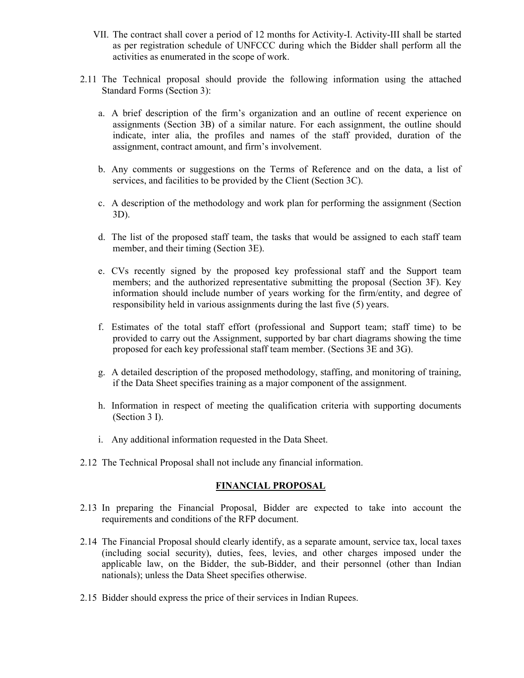- VII. The contract shall cover a period of 12 months for Activity-I. Activity-III shall be started as per registration schedule of UNFCCC during which the Bidder shall perform all the activities as enumerated in the scope of work.
- 2.11 The Technical proposal should provide the following information using the attached Standard Forms (Section 3):
	- a. A brief description of the firm's organization and an outline of recent experience on assignments (Section 3B) of a similar nature. For each assignment, the outline should indicate, inter alia, the profiles and names of the staff provided, duration of the assignment, contract amount, and firm's involvement.
	- b. Any comments or suggestions on the Terms of Reference and on the data, a list of services, and facilities to be provided by the Client (Section 3C).
	- c. A description of the methodology and work plan for performing the assignment (Section 3D).
	- d. The list of the proposed staff team, the tasks that would be assigned to each staff team member, and their timing (Section 3E).
	- e. CVs recently signed by the proposed key professional staff and the Support team members; and the authorized representative submitting the proposal (Section 3F). Key information should include number of years working for the firm/entity, and degree of responsibility held in various assignments during the last five (5) years.
	- f. Estimates of the total staff effort (professional and Support team; staff time) to be provided to carry out the Assignment, supported by bar chart diagrams showing the time proposed for each key professional staff team member. (Sections 3E and 3G).
	- g. A detailed description of the proposed methodology, staffing, and monitoring of training, if the Data Sheet specifies training as a major component of the assignment.
	- h. Information in respect of meeting the qualification criteria with supporting documents (Section 3 I).
	- i. Any additional information requested in the Data Sheet.
- 2.12 The Technical Proposal shall not include any financial information.

### FINANCIAL PROPOSAL

- 2.13 In preparing the Financial Proposal, Bidder are expected to take into account the requirements and conditions of the RFP document.
- 2.14 The Financial Proposal should clearly identify, as a separate amount, service tax, local taxes (including social security), duties, fees, levies, and other charges imposed under the applicable law, on the Bidder, the sub-Bidder, and their personnel (other than Indian nationals); unless the Data Sheet specifies otherwise.
- 2.15 Bidder should express the price of their services in Indian Rupees.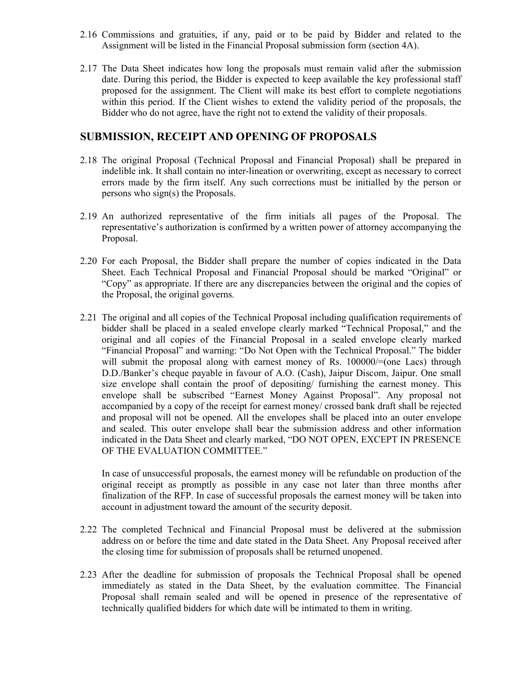- 2.16 Commissions and gratuities, if any, paid or to be paid by Bidder and related to the Assignment will be listed in the Financial Proposal submission form (section 4A).
- 2.17 The Data Sheet indicates how long the proposals must remain valid after the submission date. During this period, the Bidder is expected to keep available the key professional staff proposed for the assignment. The Client will make its best effort to complete negotiations within this period. If the Client wishes to extend the validity period of the proposals, the Bidder who do not agree, have the right not to extend the validity of their proposals.

### SUBMISSION, RECEIPT AND OPENING OF PROPOSALS

- 2.18 The original Proposal (Technical Proposal and Financial Proposal) shall be prepared in indelible ink. It shall contain no inter-lineation or overwriting, except as necessary to correct errors made by the firm itself. Any such corrections must be initialled by the person or persons who sign(s) the Proposals.
- 2.19 An authorized representative of the firm initials all pages of the Proposal. The representative's authorization is confirmed by a written power of attorney accompanying the Proposal.
- 2.20 For each Proposal, the Bidder shall prepare the number of copies indicated in the Data Sheet. Each Technical Proposal and Financial Proposal should be marked "Original" or "Copy" as appropriate. If there are any discrepancies between the original and the copies of the Proposal, the original governs.
- 2.21 The original and all copies of the Technical Proposal including qualification requirements of bidder shall be placed in a sealed envelope clearly marked "Technical Proposal," and the original and all copies of the Financial Proposal in a sealed envelope clearly marked "Financial Proposal" and warning: "Do Not Open with the Technical Proposal." The bidder will submit the proposal along with earnest money of Rs. 100000/=(one Lacs) through D.D./Banker's cheque payable in favour of A.O. (Cash), Jaipur Discom, Jaipur. One small size envelope shall contain the proof of depositing/ furnishing the earnest money. This envelope shall be subscribed "Earnest Money Against Proposal". Any proposal not accompanied by a copy of the receipt for earnest money/ crossed bank draft shall be rejected and proposal will not be opened. All the envelopes shall be placed into an outer envelope and sealed. This outer envelope shall bear the submission address and other information indicated in the Data Sheet and clearly marked, "DO NOT OPEN, EXCEPT IN PRESENCE OF THE EVALUATION COMMITTEE."

In case of unsuccessful proposals, the earnest money will be refundable on production of the original receipt as promptly as possible in any case not later than three months after finalization of the RFP. In case of successful proposals the earnest money will be taken into account in adjustment toward the amount of the security deposit.

- 2.22 The completed Technical and Financial Proposal must be delivered at the submission address on or before the time and date stated in the Data Sheet. Any Proposal received after the closing time for submission of proposals shall be returned unopened.
- 2.23 After the deadline for submission of proposals the Technical Proposal shall be opened immediately as stated in the Data Sheet, by the evaluation committee. The Financial Proposal shall remain sealed and will be opened in presence of the representative of technically qualified bidders for which date will be intimated to them in writing.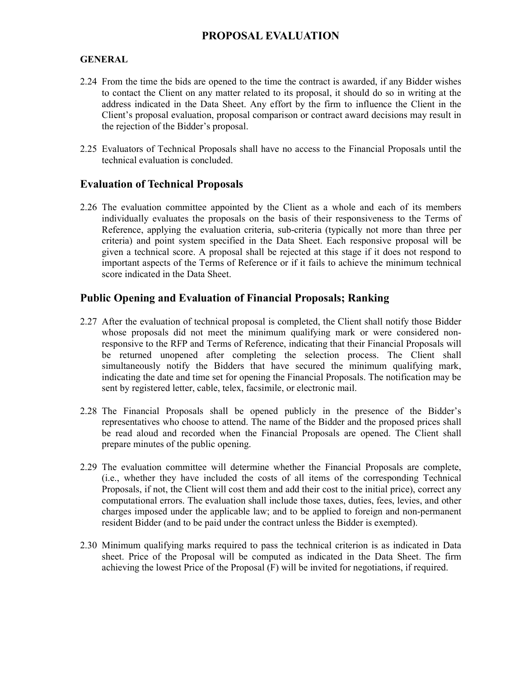# PROPOSAL EVALUATION

### GENERAL

- 2.24 From the time the bids are opened to the time the contract is awarded, if any Bidder wishes to contact the Client on any matter related to its proposal, it should do so in writing at the address indicated in the Data Sheet. Any effort by the firm to influence the Client in the Client's proposal evaluation, proposal comparison or contract award decisions may result in the rejection of the Bidder's proposal.
- 2.25 Evaluators of Technical Proposals shall have no access to the Financial Proposals until the technical evaluation is concluded.

### Evaluation of Technical Proposals

2.26 The evaluation committee appointed by the Client as a whole and each of its members individually evaluates the proposals on the basis of their responsiveness to the Terms of Reference, applying the evaluation criteria, sub-criteria (typically not more than three per criteria) and point system specified in the Data Sheet. Each responsive proposal will be given a technical score. A proposal shall be rejected at this stage if it does not respond to important aspects of the Terms of Reference or if it fails to achieve the minimum technical score indicated in the Data Sheet.

### Public Opening and Evaluation of Financial Proposals; Ranking

- 2.27 After the evaluation of technical proposal is completed, the Client shall notify those Bidder whose proposals did not meet the minimum qualifying mark or were considered nonresponsive to the RFP and Terms of Reference, indicating that their Financial Proposals will be returned unopened after completing the selection process. The Client shall simultaneously notify the Bidders that have secured the minimum qualifying mark, indicating the date and time set for opening the Financial Proposals. The notification may be sent by registered letter, cable, telex, facsimile, or electronic mail.
- 2.28 The Financial Proposals shall be opened publicly in the presence of the Bidder's representatives who choose to attend. The name of the Bidder and the proposed prices shall be read aloud and recorded when the Financial Proposals are opened. The Client shall prepare minutes of the public opening.
- 2.29 The evaluation committee will determine whether the Financial Proposals are complete, (i.e., whether they have included the costs of all items of the corresponding Technical Proposals, if not, the Client will cost them and add their cost to the initial price), correct any computational errors. The evaluation shall include those taxes, duties, fees, levies, and other charges imposed under the applicable law; and to be applied to foreign and non-permanent resident Bidder (and to be paid under the contract unless the Bidder is exempted).
- 2.30 Minimum qualifying marks required to pass the technical criterion is as indicated in Data sheet. Price of the Proposal will be computed as indicated in the Data Sheet. The firm achieving the lowest Price of the Proposal (F) will be invited for negotiations, if required.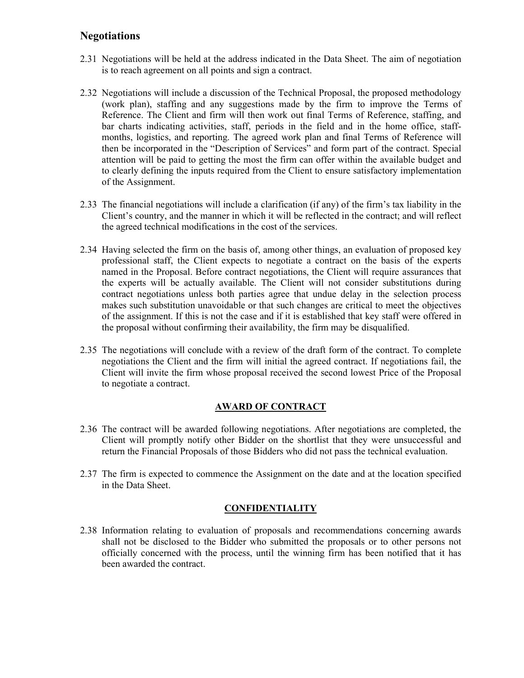# Negotiations

- 2.31 Negotiations will be held at the address indicated in the Data Sheet. The aim of negotiation is to reach agreement on all points and sign a contract.
- 2.32 Negotiations will include a discussion of the Technical Proposal, the proposed methodology (work plan), staffing and any suggestions made by the firm to improve the Terms of Reference. The Client and firm will then work out final Terms of Reference, staffing, and bar charts indicating activities, staff, periods in the field and in the home office, staffmonths, logistics, and reporting. The agreed work plan and final Terms of Reference will then be incorporated in the "Description of Services" and form part of the contract. Special attention will be paid to getting the most the firm can offer within the available budget and to clearly defining the inputs required from the Client to ensure satisfactory implementation of the Assignment.
- 2.33 The financial negotiations will include a clarification (if any) of the firm's tax liability in the Client's country, and the manner in which it will be reflected in the contract; and will reflect the agreed technical modifications in the cost of the services.
- 2.34 Having selected the firm on the basis of, among other things, an evaluation of proposed key professional staff, the Client expects to negotiate a contract on the basis of the experts named in the Proposal. Before contract negotiations, the Client will require assurances that the experts will be actually available. The Client will not consider substitutions during contract negotiations unless both parties agree that undue delay in the selection process makes such substitution unavoidable or that such changes are critical to meet the objectives of the assignment. If this is not the case and if it is established that key staff were offered in the proposal without confirming their availability, the firm may be disqualified.
- 2.35 The negotiations will conclude with a review of the draft form of the contract. To complete negotiations the Client and the firm will initial the agreed contract. If negotiations fail, the Client will invite the firm whose proposal received the second lowest Price of the Proposal to negotiate a contract.

### AWARD OF CONTRACT

- 2.36 The contract will be awarded following negotiations. After negotiations are completed, the Client will promptly notify other Bidder on the shortlist that they were unsuccessful and return the Financial Proposals of those Bidders who did not pass the technical evaluation.
- 2.37 The firm is expected to commence the Assignment on the date and at the location specified in the Data Sheet.

### **CONFIDENTIALITY**

2.38 Information relating to evaluation of proposals and recommendations concerning awards shall not be disclosed to the Bidder who submitted the proposals or to other persons not officially concerned with the process, until the winning firm has been notified that it has been awarded the contract.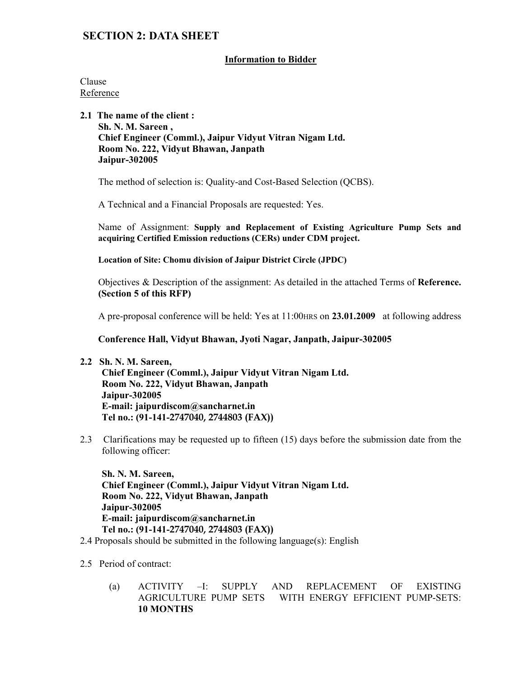### SECTION 2: DATA SHEET

#### Information to Bidder

#### Clause Reference

2.1 The name of the client :

 Sh. N. M. Sareen , Chief Engineer (Comml.), Jaipur Vidyut Vitran Nigam Ltd. Room No. 222, Vidyut Bhawan, Janpath Jaipur-302005

The method of selection is: Quality-and Cost-Based Selection (QCBS).

A Technical and a Financial Proposals are requested: Yes.

Name of Assignment: Supply and Replacement of Existing Agriculture Pump Sets and acquiring Certified Emission reductions (CERs) under CDM project.

Location of Site: Chomu division of Jaipur District Circle (JPDC)

Objectives & Description of the assignment: As detailed in the attached Terms of Reference. (Section 5 of this RFP)

A pre-proposal conference will be held: Yes at 11:00HRS on 23.01.2009 at following address

Conference Hall, Vidyut Bhawan, Jyoti Nagar, Janpath, Jaipur-302005

2.2 Sh. N. M. Sareen,

Chief Engineer (Comml.), Jaipur Vidyut Vitran Nigam Ltd. Room No. 222, Vidyut Bhawan, Janpath Jaipur-302005 E-mail: jaipurdiscom@sancharnet.in Tel no.: (91-141-2747040, 2744803 (FAX))

2.3 Clarifications may be requested up to fifteen (15) days before the submission date from the following officer:

Sh. N. M. Sareen, Chief Engineer (Comml.), Jaipur Vidyut Vitran Nigam Ltd. Room No. 222, Vidyut Bhawan, Janpath Jaipur-302005 E-mail: jaipurdiscom@sancharnet.in Tel no.: (91-141-2747040, 2744803 (FAX))

- 2.4 Proposals should be submitted in the following language(s): English
- 2.5 Period of contract:
	- (a) ACTIVITY –I: SUPPLY AND REPLACEMENT OF EXISTING AGRICULTURE PUMP SETS WITH ENERGY EFFICIENT PUMP-SETS: 10 MONTHS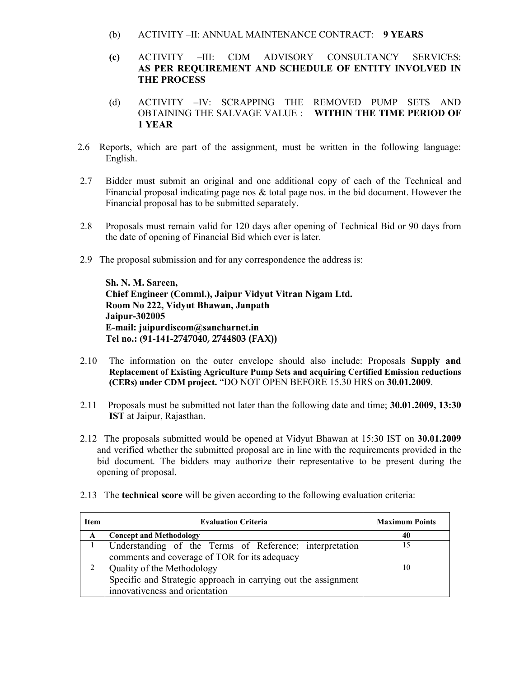- (b) ACTIVITY –II: ANNUAL MAINTENANCE CONTRACT: 9 YEARS
- (c) ACTIVITY –III: CDM ADVISORY CONSULTANCY SERVICES: AS PER REQUIREMENT AND SCHEDULE OF ENTITY INVOLVED IN THE PROCESS
- (d) ACTIVITY –IV: SCRAPPING THE REMOVED PUMP SETS AND OBTAINING THE SALVAGE VALUE : WITHIN THE TIME PERIOD OF 1 YEAR
- 2.6 Reports, which are part of the assignment, must be written in the following language: English.
- 2.7 Bidder must submit an original and one additional copy of each of the Technical and Financial proposal indicating page nos & total page nos. in the bid document. However the Financial proposal has to be submitted separately.
- 2.8 Proposals must remain valid for 120 days after opening of Technical Bid or 90 days from the date of opening of Financial Bid which ever is later.
- 2.9 The proposal submission and for any correspondence the address is:

Sh. N. M. Sareen, Chief Engineer (Comml.), Jaipur Vidyut Vitran Nigam Ltd. Room No 222, Vidyut Bhawan, Janpath Jaipur-302005 E-mail: jaipurdiscom@sancharnet.in Tel no.: (91-141-2747040, 2744803 (FAX))

- 2.10 The information on the outer envelope should also include: Proposals Supply and Replacement of Existing Agriculture Pump Sets and acquiring Certified Emission reductions (CERs) under CDM project. "DO NOT OPEN BEFORE 15.30 HRS on 30.01.2009.
- 2.11 Proposals must be submitted not later than the following date and time; 30.01.2009, 13:30 IST at Jaipur, Rajasthan.
- 2.12 The proposals submitted would be opened at Vidyut Bhawan at 15:30 IST on 30.01.2009 and verified whether the submitted proposal are in line with the requirements provided in the bid document. The bidders may authorize their representative to be present during the opening of proposal.
- 2.13 The technical score will be given according to the following evaluation criteria:

| <b>Item</b> | <b>Evaluation Criteria</b>                                     | <b>Maximum Points</b> |
|-------------|----------------------------------------------------------------|-----------------------|
| A           | <b>Concept and Methodology</b>                                 | 40                    |
|             | Understanding of the Terms of Reference; interpretation        |                       |
|             | comments and coverage of TOR for its adequacy                  |                       |
|             | Quality of the Methodology                                     | 10                    |
|             | Specific and Strategic approach in carrying out the assignment |                       |
|             | innovativeness and orientation                                 |                       |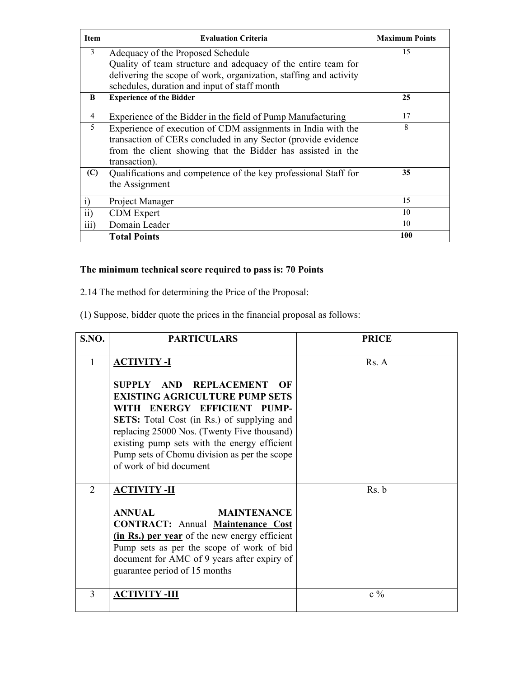| <b>Item</b>     | <b>Evaluation Criteria</b>                                        | <b>Maximum Points</b> |
|-----------------|-------------------------------------------------------------------|-----------------------|
| 3               | Adequacy of the Proposed Schedule                                 | 15                    |
|                 | Quality of team structure and adequacy of the entire team for     |                       |
|                 | delivering the scope of work, organization, staffing and activity |                       |
|                 | schedules, duration and input of staff month                      |                       |
| <sup>B</sup>    | <b>Experience of the Bidder</b>                                   | 25                    |
| 4               | Experience of the Bidder in the field of Pump Manufacturing       | 17                    |
| 5               | Experience of execution of CDM assignments in India with the      | 8                     |
|                 | transaction of CERs concluded in any Sector (provide evidence     |                       |
|                 | from the client showing that the Bidder has assisted in the       |                       |
|                 | transaction).                                                     |                       |
| (C)             | Qualifications and competence of the key professional Staff for   | 35                    |
|                 | the Assignment                                                    |                       |
| $\overline{1}$  | Project Manager                                                   | 15                    |
| $\overline{11}$ | <b>CDM</b> Expert                                                 | 10                    |
| 111)            | Domain Leader                                                     | 10                    |
|                 | <b>Total Points</b>                                               | 100                   |

# The minimum technical score required to pass is: 70 Points

2.14 The method for determining the Price of the Proposal:

(1) Suppose, bidder quote the prices in the financial proposal as follows:

| <b>S.NO.</b>   | <b>PARTICULARS</b>                                                                                                                                                                                                                                                                          | <b>PRICE</b>    |
|----------------|---------------------------------------------------------------------------------------------------------------------------------------------------------------------------------------------------------------------------------------------------------------------------------------------|-----------------|
| 1              | <b>ACTIVITY -I</b><br>SUPPLY AND REPLACEMENT<br>OF<br><b>EXISTING AGRICULTURE PUMP SETS</b><br>WITH ENERGY EFFICIENT PUMP-<br><b>SETS:</b> Total Cost (in Rs.) of supplying and<br>replacing 25000 Nos. (Twenty Five thousand)<br>existing pump sets with the energy efficient              | Rs A            |
|                | Pump sets of Chomu division as per the scope<br>of work of bid document                                                                                                                                                                                                                     |                 |
| $\overline{2}$ | <b>ACTIVITY -II</b><br><b>ANNUAL</b><br><b>MAINTENANCE</b><br><b>CONTRACT:</b> Annual <b>Maintenance Cost</b><br>(in Rs.) per year of the new energy efficient<br>Pump sets as per the scope of work of bid<br>document for AMC of 9 years after expiry of<br>guarantee period of 15 months | Rs <sub>h</sub> |
| 3              | <b>ACTIVITY -III</b>                                                                                                                                                                                                                                                                        | $c\%$           |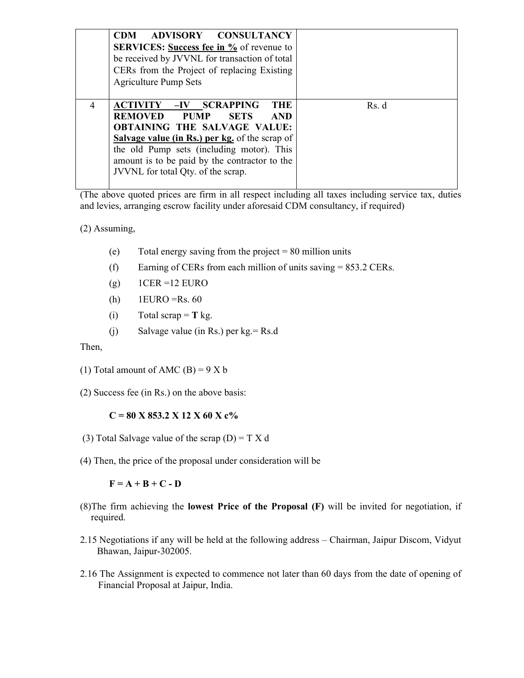|                | ADVISORY CONSULTANCY<br><b>CDM</b><br><b>SERVICES: Success fee in % of revenue to</b><br>be received by JVVNL for transaction of total<br>CERs from the Project of replacing Existing<br><b>Agriculture Pump Sets</b>                                                                                                                                |       |
|----------------|------------------------------------------------------------------------------------------------------------------------------------------------------------------------------------------------------------------------------------------------------------------------------------------------------------------------------------------------------|-------|
| $\overline{4}$ | <b>THE</b><br><b>SCRAPPING</b><br>$-IV$<br>CTIVITY<br><b>REMOVED</b><br><b>PUMP</b><br><b>SETS</b><br><b>AND</b><br><b>OBTAINING THE SALVAGE VALUE:</b><br><b>Salvage value (in Rs.) per kg.</b> of the scrap of<br>the old Pump sets (including motor). This<br>amount is to be paid by the contractor to the<br>JVVNL for total Qty. of the scrap. | Rs. d |

(The above quoted prices are firm in all respect including all taxes including service tax, duties and levies, arranging escrow facility under aforesaid CDM consultancy, if required)

(2) Assuming,

- (e) Total energy saving from the project = 80 million units
- (f) Earning of CERs from each million of units saving = 853.2 CERs.
- $(g)$  1CER =12 EURO
- $(h)$  1 EURO = Rs. 60
- (i) Total scrap =  $T$  kg.
- (j) Salvage value (in Rs.) per kg.= Rs.d

Then,

- (1) Total amount of AMC (B) =  $9 X b$
- (2) Success fee (in Rs.) on the above basis:

### $C = 80 \text{ X } 853.2 \text{ X } 12 \text{ X } 60 \text{ X } c\%$

- (3) Total Salvage value of the scrap  $(D) = T X d$
- (4) Then, the price of the proposal under consideration will be

#### $F = A + B + C - D$

- (8)The firm achieving the lowest Price of the Proposal (F) will be invited for negotiation, if required.
- 2.15 Negotiations if any will be held at the following address Chairman, Jaipur Discom, Vidyut Bhawan, Jaipur-302005.
- 2.16 The Assignment is expected to commence not later than 60 days from the date of opening of Financial Proposal at Jaipur, India.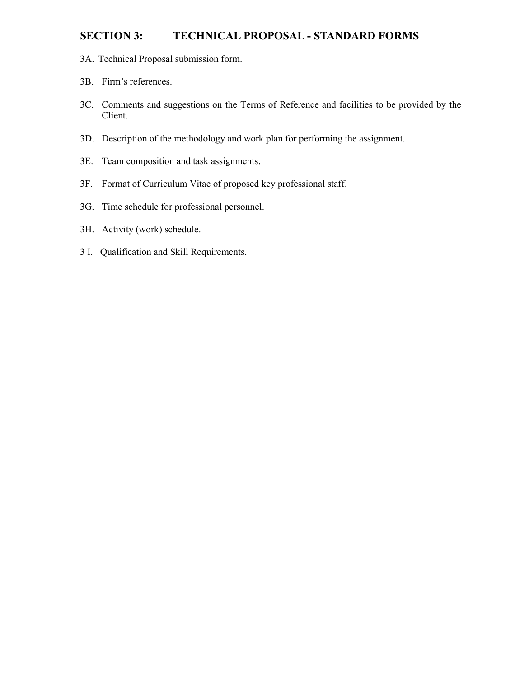# SECTION 3: TECHNICAL PROPOSAL - STANDARD FORMS

- 3A. Technical Proposal submission form.
- 3B. Firm's references.
- 3C. Comments and suggestions on the Terms of Reference and facilities to be provided by the Client.
- 3D. Description of the methodology and work plan for performing the assignment.
- 3E. Team composition and task assignments.
- 3F. Format of Curriculum Vitae of proposed key professional staff.
- 3G. Time schedule for professional personnel.
- 3H. Activity (work) schedule.
- 3 I. Qualification and Skill Requirements.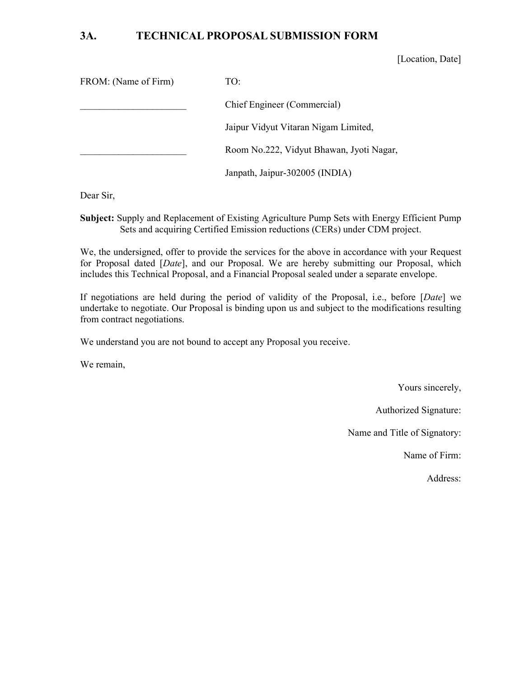### 3A. TECHNICAL PROPOSAL SUBMISSION FORM

[Location, Date]

| FROM: (Name of Firm) | TO:                                      |
|----------------------|------------------------------------------|
|                      | Chief Engineer (Commercial)              |
|                      | Jaipur Vidyut Vitaran Nigam Limited,     |
|                      | Room No.222, Vidyut Bhawan, Jyoti Nagar, |
|                      | Janpath, Jaipur-302005 (INDIA)           |

Dear Sir,

Subject: Supply and Replacement of Existing Agriculture Pump Sets with Energy Efficient Pump Sets and acquiring Certified Emission reductions (CERs) under CDM project.

We, the undersigned, offer to provide the services for the above in accordance with your Request for Proposal dated [Date], and our Proposal. We are hereby submitting our Proposal, which includes this Technical Proposal, and a Financial Proposal sealed under a separate envelope.

If negotiations are held during the period of validity of the Proposal, i.e., before [Date] we undertake to negotiate. Our Proposal is binding upon us and subject to the modifications resulting from contract negotiations.

We understand you are not bound to accept any Proposal you receive.

We remain,

Yours sincerely,

Authorized Signature:

Name and Title of Signatory:

Name of Firm:

Address: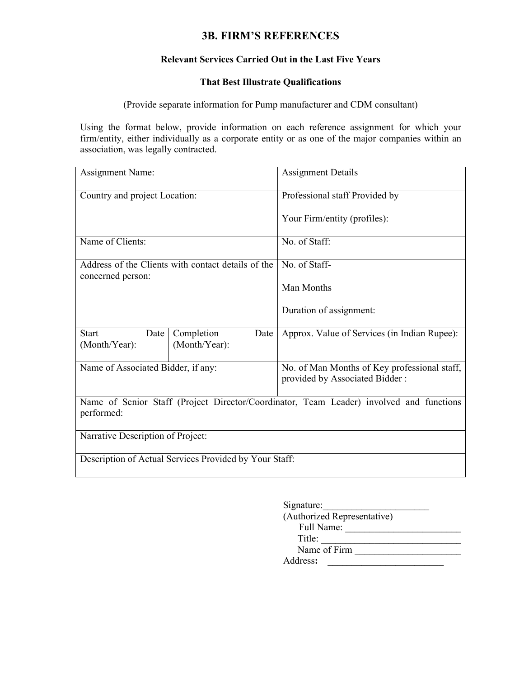# 3B. FIRM'S REFERENCES

### Relevant Services Carried Out in the Last Five Years

### That Best Illustrate Qualifications

### (Provide separate information for Pump manufacturer and CDM consultant)

Using the format below, provide information on each reference assignment for which your firm/entity, either individually as a corporate entity or as one of the major companies within an association, was legally contracted.

| Assignment Name:                      |                                                        | <b>Assignment Details</b>                                                               |  |
|---------------------------------------|--------------------------------------------------------|-----------------------------------------------------------------------------------------|--|
| Country and project Location:         |                                                        | Professional staff Provided by                                                          |  |
|                                       |                                                        | Your Firm/entity (profiles):                                                            |  |
| Name of Clients:                      |                                                        | No. of Staff:                                                                           |  |
| concerned person:                     | Address of the Clients with contact details of the     | No. of Staff-                                                                           |  |
|                                       |                                                        | Man Months                                                                              |  |
|                                       |                                                        | Duration of assignment:                                                                 |  |
| <b>Start</b><br>Date<br>(Month/Year): | Completion<br>Date<br>(Month/Year):                    | Approx. Value of Services (in Indian Rupee):                                            |  |
| Name of Associated Bidder, if any:    |                                                        | No. of Man Months of Key professional staff,<br>provided by Associated Bidder:          |  |
| performed:                            |                                                        | Name of Senior Staff (Project Director/Coordinator, Team Leader) involved and functions |  |
| Narrative Description of Project:     |                                                        |                                                                                         |  |
|                                       | Description of Actual Services Provided by Your Staff: |                                                                                         |  |

| Signature:                  |  |
|-----------------------------|--|
| (Authorized Representative) |  |
| Full Name:                  |  |
| Title:                      |  |
| Name of Firm                |  |
| Address:                    |  |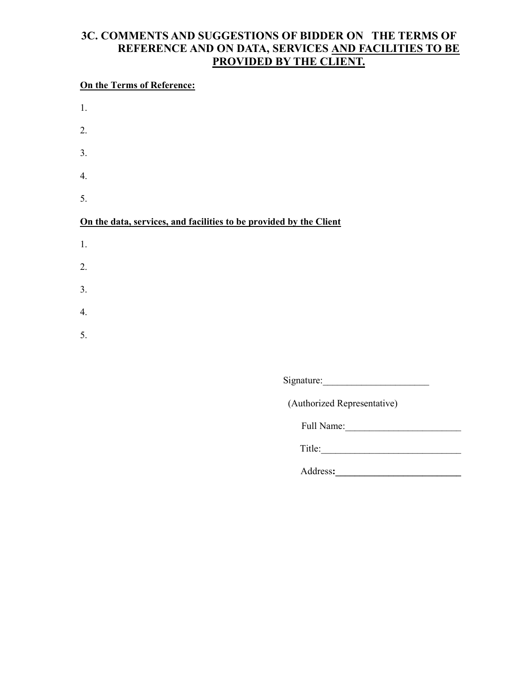# 3C. COMMENTS AND SUGGESTIONS OF BIDDER ON THE TERMS OF REFERENCE AND ON DATA, SERVICES AND FACILITIES TO BE PROVIDED BY THE CLIENT.

### On the Terms of Reference:

| 1.               |                                                                    |
|------------------|--------------------------------------------------------------------|
| 2.               |                                                                    |
| 3.               |                                                                    |
| $\overline{4}$ . |                                                                    |
| 5.               |                                                                    |
|                  | On the data, services, and facilities to be provided by the Client |
| 1.               |                                                                    |
| 2.               |                                                                    |
|                  |                                                                    |

4. 5.

Signature:\_\_\_\_\_\_\_\_\_\_\_\_\_\_\_\_\_\_\_\_\_\_

(Authorized Representative)

Full Name:\_\_\_\_\_\_\_\_\_\_\_\_\_\_\_\_\_\_\_\_\_\_\_\_

Title:\_\_\_\_\_\_\_\_\_\_\_\_\_\_\_\_\_\_\_\_\_\_\_\_\_\_\_\_\_

Address:\_\_\_\_\_\_\_\_\_\_\_\_\_\_\_\_\_\_\_\_\_\_\_\_\_\_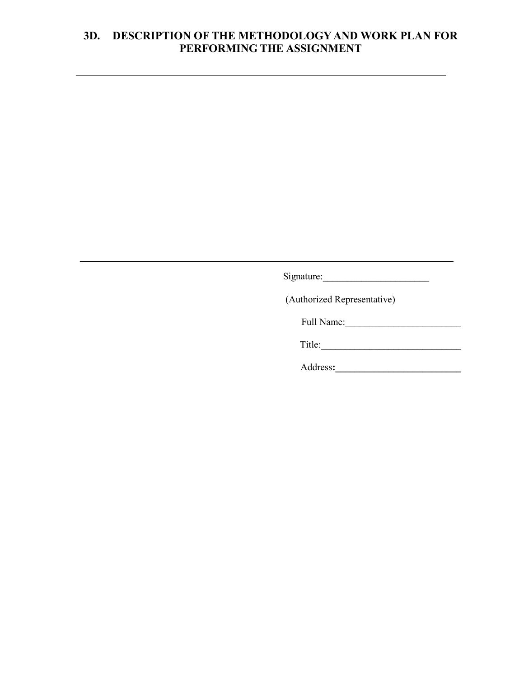# 3D. DESCRIPTION OF THE METHODOLOGY AND WORK PLAN FOR PERFORMING THE ASSIGNMENT

Signature:\_\_\_\_\_\_\_\_\_\_\_\_\_\_\_\_\_\_\_\_\_\_

(Authorized Representative)

Full Name:\_\_\_\_\_\_\_\_\_\_\_\_\_\_\_\_\_\_\_\_\_\_\_\_

Title:\_\_\_\_\_\_\_\_\_\_\_\_\_\_\_\_\_\_\_\_\_\_\_\_\_\_\_\_\_

Address:\_\_\_\_\_\_\_\_\_\_\_\_\_\_\_\_\_\_\_\_\_\_\_\_\_\_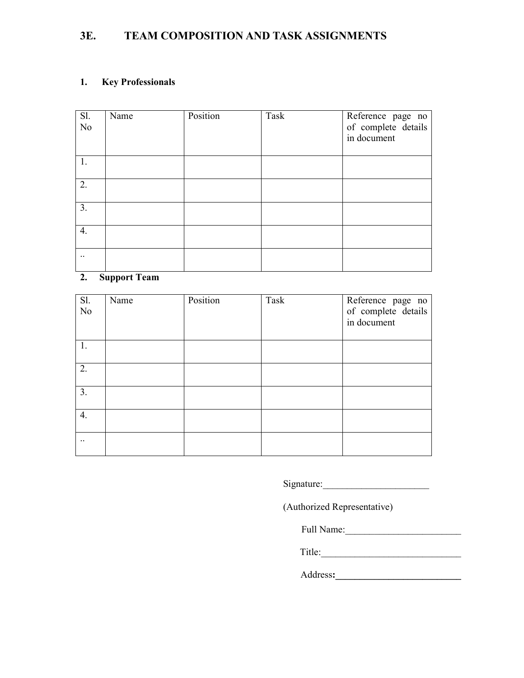# 3E. TEAM COMPOSITION AND TASK ASSIGNMENTS

# 1. Key Professionals

| Sl.<br>No        | Name | Position | Task | Reference page no<br>of complete details<br>in document |
|------------------|------|----------|------|---------------------------------------------------------|
| 1.               |      |          |      |                                                         |
| 2.               |      |          |      |                                                         |
| 3.               |      |          |      |                                                         |
| $\overline{4}$ . |      |          |      |                                                         |
|                  |      |          |      |                                                         |

### 2. Support Team

| Sl.<br>No        | Name | Position | Task | Reference page no<br>of complete details<br>in document |
|------------------|------|----------|------|---------------------------------------------------------|
| 1.               |      |          |      |                                                         |
| 2.               |      |          |      |                                                         |
| 3.               |      |          |      |                                                         |
| $\overline{4}$ . |      |          |      |                                                         |
|                  |      |          |      |                                                         |

Signature:\_\_\_\_\_\_\_\_\_\_\_\_\_\_\_\_\_\_\_\_\_\_

(Authorized Representative)

Full Name:\_\_\_\_\_\_\_\_\_\_\_\_\_\_\_\_\_\_\_\_\_\_\_\_

Title:\_\_\_\_\_\_\_\_\_\_\_\_\_\_\_\_\_\_\_\_\_\_\_\_\_\_\_\_\_

Address:\_\_\_\_\_\_\_\_\_\_\_\_\_\_\_\_\_\_\_\_\_\_\_\_\_\_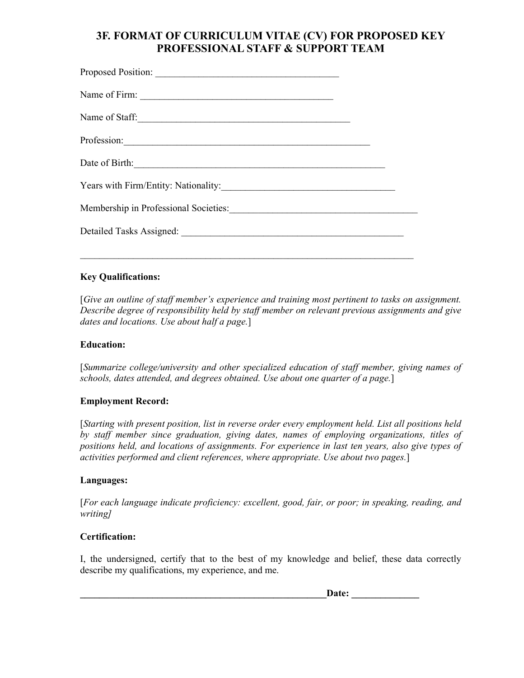# 3F. FORMAT OF CURRICULUM VITAE (CV) FOR PROPOSED KEY PROFESSIONAL STAFF & SUPPORT TEAM

| Name of Staff.                                                              |  |
|-----------------------------------------------------------------------------|--|
| Profession:                                                                 |  |
|                                                                             |  |
|                                                                             |  |
| Membership in Professional Societies: Membership in Professional Societies: |  |
|                                                                             |  |
|                                                                             |  |

### Key Qualifications:

[Give an outline of staff member's experience and training most pertinent to tasks on assignment. Describe degree of responsibility held by staff member on relevant previous assignments and give dates and locations. Use about half a page.]

### Education:

[Summarize college/university and other specialized education of staff member, giving names of schools, dates attended, and degrees obtained. Use about one quarter of a page.]

### Employment Record:

[Starting with present position, list in reverse order every employment held. List all positions held by staff member since graduation, giving dates, names of employing organizations, titles of positions held, and locations of assignments. For experience in last ten years, also give types of activities performed and client references, where appropriate. Use about two pages.]

### Languages:

[For each language indicate proficiency: excellent, good, fair, or poor; in speaking, reading, and writing]

### Certification:

I, the undersigned, certify that to the best of my knowledge and belief, these data correctly describe my qualifications, my experience, and me.

\_\_\_\_\_\_\_\_\_\_\_\_\_\_\_\_\_\_\_\_\_\_\_\_\_\_\_\_\_\_\_\_\_\_\_\_\_\_\_\_\_\_\_\_\_\_\_\_\_\_\_Date: \_\_\_\_\_\_\_\_\_\_\_\_\_\_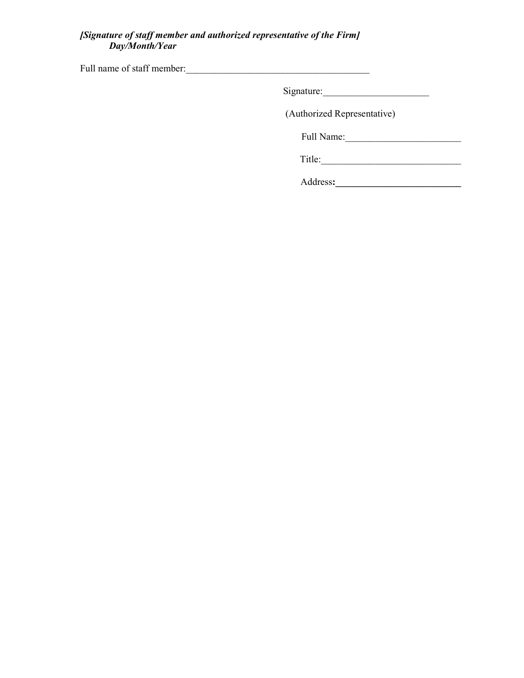### [Signature of staff member and authorized representative of the Firm] Day/Month/Year

Full name of staff member:\_\_\_\_\_\_\_\_\_\_\_\_\_\_\_\_\_\_\_\_\_\_\_\_\_\_\_\_\_\_\_\_\_\_\_\_\_\_

Signature:\_\_\_\_\_\_\_\_\_\_\_\_\_\_\_\_\_\_\_\_\_\_

(Authorized Representative)

Full Name:\_\_\_\_\_\_\_\_\_\_\_\_\_\_\_\_\_\_\_\_\_\_\_\_

Title:\_\_\_\_\_\_\_\_\_\_\_\_\_\_\_\_\_\_\_\_\_\_\_\_\_\_\_\_\_

Address:\_\_\_\_\_\_\_\_\_\_\_\_\_\_\_\_\_\_\_\_\_\_\_\_\_\_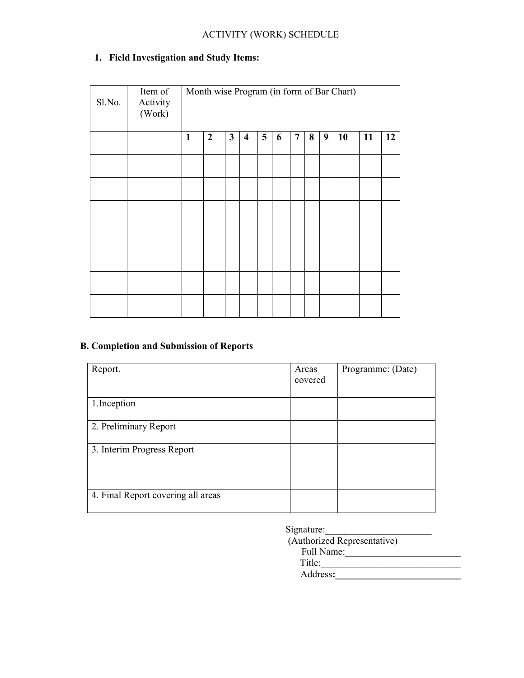### ACTIVITY (WORK) SCHEDULE

### 1. Field Investigation and Study Items:

| Sl.No. | Item of<br>Activity<br>(Work) | Month wise Program (in form of Bar Chart) |                  |   |                         |   |   |   |   |                  |    |    |    |
|--------|-------------------------------|-------------------------------------------|------------------|---|-------------------------|---|---|---|---|------------------|----|----|----|
|        |                               | $\mathbf{1}$                              | $\boldsymbol{2}$ | 3 | $\overline{\mathbf{4}}$ | 5 | 6 | 7 | 8 | $\boldsymbol{9}$ | 10 | 11 | 12 |
|        |                               |                                           |                  |   |                         |   |   |   |   |                  |    |    |    |
|        |                               |                                           |                  |   |                         |   |   |   |   |                  |    |    |    |
|        |                               |                                           |                  |   |                         |   |   |   |   |                  |    |    |    |
|        |                               |                                           |                  |   |                         |   |   |   |   |                  |    |    |    |
|        |                               |                                           |                  |   |                         |   |   |   |   |                  |    |    |    |
|        |                               |                                           |                  |   |                         |   |   |   |   |                  |    |    |    |
|        |                               |                                           |                  |   |                         |   |   |   |   |                  |    |    |    |

### B. Completion and Submission of Reports

| Report.                            | Areas<br>covered | Programme: (Date) |
|------------------------------------|------------------|-------------------|
| 1. Inception                       |                  |                   |
| 2. Preliminary Report              |                  |                   |
| 3. Interim Progress Report         |                  |                   |
| 4. Final Report covering all areas |                  |                   |

Signature:\_\_\_\_\_\_\_\_\_\_\_\_\_\_\_\_\_\_\_\_\_\_

(Authorized Representative)

Full Name:

Title:  $\Box$ 

Address:\_\_\_\_\_\_\_\_\_\_\_\_\_\_\_\_\_\_\_\_\_\_\_\_\_\_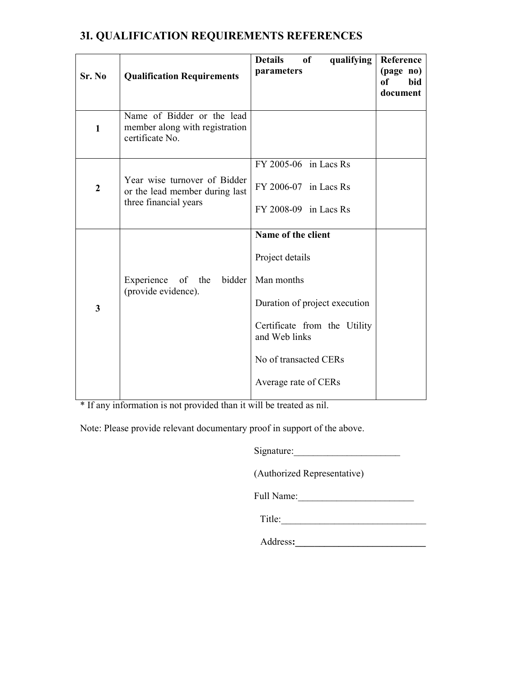| Sr. No                  | <b>Qualification Requirements</b>                                                       | <b>Details</b><br><sub>of</sub><br>qualifying<br>parameters                                                                                                                            | Reference<br>(page no)<br>bid<br>of<br>document |
|-------------------------|-----------------------------------------------------------------------------------------|----------------------------------------------------------------------------------------------------------------------------------------------------------------------------------------|-------------------------------------------------|
| $\mathbf{1}$            | Name of Bidder or the lead<br>member along with registration<br>certificate No.         |                                                                                                                                                                                        |                                                 |
| $\overline{2}$          | Year wise turnover of Bidder<br>or the lead member during last<br>three financial years | $FY$ 2005-06 in Lacs Rs<br>FY 2006-07 in Lacs Rs<br>$FY$ 2008-09 in Lacs Rs                                                                                                            |                                                 |
| $\overline{\mathbf{3}}$ | Experience of the<br>bidder<br>(provide evidence).                                      | Name of the client<br>Project details<br>Man months<br>Duration of project execution<br>Certificate from the Utility<br>and Web links<br>No of transacted CERs<br>Average rate of CERs |                                                 |

# 3I. QUALIFICATION REQUIREMENTS REFERENCES

\* If any information is not provided than it will be treated as nil.

Note: Please provide relevant documentary proof in support of the above.

Signature:\_\_\_\_\_\_\_\_\_\_\_\_\_\_\_\_\_\_\_\_\_\_

(Authorized Representative)

Full Name:\_\_\_\_\_\_\_\_\_\_\_\_\_\_\_\_\_\_\_\_\_\_\_\_

Title:\_\_\_\_\_\_\_\_\_\_\_\_\_\_\_\_\_\_\_\_\_\_\_\_\_\_\_\_\_\_

Address:\_\_\_\_\_\_\_\_\_\_\_\_\_\_\_\_\_\_\_\_\_\_\_\_\_\_\_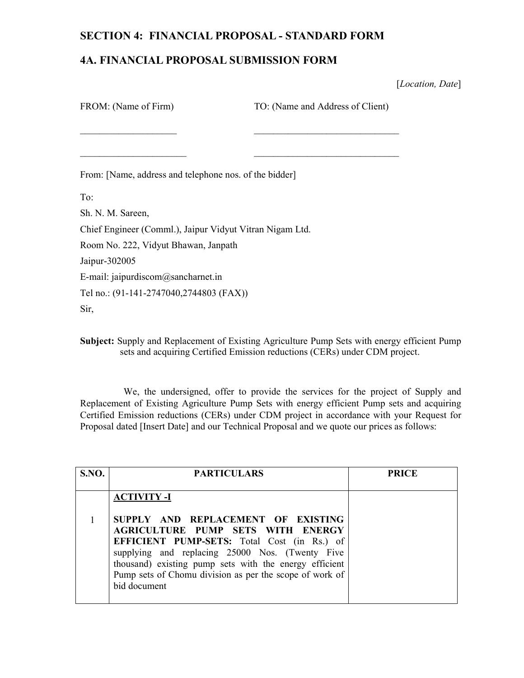### SECTION 4: FINANCIAL PROPOSAL - STANDARD FORM

# 4A. FINANCIAL PROPOSAL SUBMISSION FORM

[Location, Date]

| FROM: (Name of Firm)                                     | TO: (Name and Address of Client) |
|----------------------------------------------------------|----------------------------------|
|                                                          |                                  |
|                                                          |                                  |
|                                                          |                                  |
| From: [Name, address and telephone nos. of the bidder]   |                                  |
| To:                                                      |                                  |
| Sh. N. M. Sareen,                                        |                                  |
| Chief Engineer (Comml.), Jaipur Vidyut Vitran Nigam Ltd. |                                  |
| Room No. 222, Vidyut Bhawan, Janpath                     |                                  |
| Jaipur-302005                                            |                                  |
| E-mail: jaipurdiscom@sancharnet.in                       |                                  |
| Tel no.: (91-141-2747040,2744803 (FAX))                  |                                  |
| Sir,                                                     |                                  |
|                                                          |                                  |

Subject: Supply and Replacement of Existing Agriculture Pump Sets with energy efficient Pump sets and acquiring Certified Emission reductions (CERs) under CDM project.

 We, the undersigned, offer to provide the services for the project of Supply and Replacement of Existing Agriculture Pump Sets with energy efficient Pump sets and acquiring Certified Emission reductions (CERs) under CDM project in accordance with your Request for Proposal dated [Insert Date] and our Technical Proposal and we quote our prices as follows:

| S.NO. | <b>PARTICULARS</b>                                                                                                                                                                                                                                                                                                           | <b>PRICE</b> |
|-------|------------------------------------------------------------------------------------------------------------------------------------------------------------------------------------------------------------------------------------------------------------------------------------------------------------------------------|--------------|
|       | <b>ACTIVITY -I</b>                                                                                                                                                                                                                                                                                                           |              |
|       | SUPPLY AND REPLACEMENT OF EXISTING<br><b>AGRICULTURE PUMP SETS WITH ENERGY</b><br><b>EFFICIENT PUMP-SETS:</b> Total Cost (in Rs.) of<br>supplying and replacing 25000 Nos. (Twenty Five<br>thousand) existing pump sets with the energy efficient<br>Pump sets of Chomu division as per the scope of work of<br>bid document |              |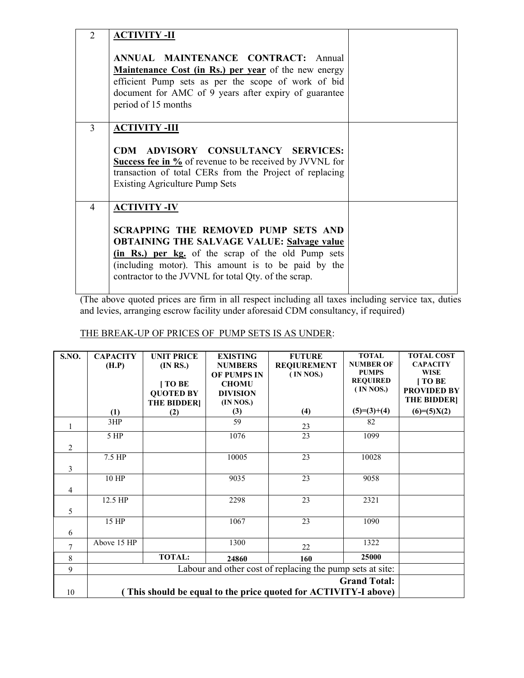| $\mathcal{D}_{\mathcal{L}}$ | <b>ACTIVITY -II</b>                                                                                                                                                                                                                                                                  |  |
|-----------------------------|--------------------------------------------------------------------------------------------------------------------------------------------------------------------------------------------------------------------------------------------------------------------------------------|--|
|                             | ANNUAL MAINTENANCE CONTRACT: Annual<br><b>Maintenance Cost (in Rs.) per year</b> of the new energy<br>efficient Pump sets as per the scope of work of bid<br>document for AMC of 9 years after expiry of guarantee<br>period of 15 months                                            |  |
| 3                           | <b>ACTIVITY -III</b><br>CDM ADVISORY CONSULTANCY SERVICES:<br><b>Success fee in %</b> of revenue to be received by JVVNL for<br>transaction of total CERs from the Project of replacing<br><b>Existing Agriculture Pump Sets</b>                                                     |  |
| $\overline{4}$              | <b>ACTIVITY -IV</b><br>SCRAPPING THE REMOVED PUMP SETS AND<br><b>OBTAINING THE SALVAGE VALUE: Salvage value</b><br>(in Rs.) per kg. of the scrap of the old Pump sets<br>(including motor). This amount is to be paid by the<br>contractor to the JVVNL for total Qty. of the scrap. |  |

(The above quoted prices are firm in all respect including all taxes including service tax, duties and levies, arranging escrow facility under aforesaid CDM consultancy, if required)

### THE BREAK-UP OF PRICES OF PUMP SETS IS AS UNDER:

| S.NO.          | <b>CAPACITY</b><br>(H.P)                                       | <b>UNIT PRICE</b><br>(INRS.)<br><b>TO BE</b><br><b>QUOTED BY</b><br><b>THE BIDDER]</b> | <b>EXISTING</b><br><b>NUMBERS</b><br>OF PUMPS IN<br><b>CHOMU</b><br><b>DIVISION</b><br>(IN NOS.)<br>(3) | <b>FUTURE</b><br><b>REQIUREMENT</b><br>(IN NOS.)<br>(4)   | <b>TOTAL</b><br><b>NUMBER OF</b><br><b>PUMPS</b><br><b>REQUIRED</b><br>(IN NOS.)<br>$(5)=(3)+(4)$ | <b>TOTAL COST</b><br><b>CAPACITY</b><br><b>WISE</b><br>$\overline{1}$ TO BE<br><b>PROVIDED BY</b><br><b>THE BIDDER</b><br>$(6)=(5)X(2)$ |  |  |
|----------------|----------------------------------------------------------------|----------------------------------------------------------------------------------------|---------------------------------------------------------------------------------------------------------|-----------------------------------------------------------|---------------------------------------------------------------------------------------------------|-----------------------------------------------------------------------------------------------------------------------------------------|--|--|
|                | (1)<br>3HP                                                     | (2)                                                                                    | 59                                                                                                      |                                                           | 82                                                                                                |                                                                                                                                         |  |  |
|                |                                                                |                                                                                        |                                                                                                         | 23                                                        |                                                                                                   |                                                                                                                                         |  |  |
|                | 5 HP                                                           |                                                                                        | 1076                                                                                                    | $\overline{23}$                                           | 1099                                                                                              |                                                                                                                                         |  |  |
| $\overline{2}$ |                                                                |                                                                                        |                                                                                                         |                                                           |                                                                                                   |                                                                                                                                         |  |  |
|                | 7.5 HP                                                         |                                                                                        | 10005                                                                                                   | 23                                                        | 10028                                                                                             |                                                                                                                                         |  |  |
| 3              |                                                                |                                                                                        |                                                                                                         |                                                           |                                                                                                   |                                                                                                                                         |  |  |
|                | 10 HP                                                          |                                                                                        | 9035                                                                                                    | 23                                                        | 9058                                                                                              |                                                                                                                                         |  |  |
| 4              |                                                                |                                                                                        |                                                                                                         |                                                           |                                                                                                   |                                                                                                                                         |  |  |
|                | $12.5 \overline{HP}$                                           |                                                                                        | 2298                                                                                                    | 23                                                        | 2321                                                                                              |                                                                                                                                         |  |  |
| 5              |                                                                |                                                                                        |                                                                                                         |                                                           |                                                                                                   |                                                                                                                                         |  |  |
|                | 15 HP                                                          |                                                                                        | 1067                                                                                                    | 23                                                        | 1090                                                                                              |                                                                                                                                         |  |  |
| 6              |                                                                |                                                                                        |                                                                                                         |                                                           |                                                                                                   |                                                                                                                                         |  |  |
| 7              | Above 15 HP                                                    |                                                                                        | 1300                                                                                                    | 22                                                        | 1322                                                                                              |                                                                                                                                         |  |  |
| 8              |                                                                | <b>TOTAL:</b>                                                                          | 24860                                                                                                   | 160                                                       | 25000                                                                                             |                                                                                                                                         |  |  |
| 9              |                                                                |                                                                                        |                                                                                                         | Labour and other cost of replacing the pump sets at site: |                                                                                                   |                                                                                                                                         |  |  |
|                | <b>Grand Total:</b>                                            |                                                                                        |                                                                                                         |                                                           |                                                                                                   |                                                                                                                                         |  |  |
| 10             | This should be equal to the price quoted for ACTIVITY-I above) |                                                                                        |                                                                                                         |                                                           |                                                                                                   |                                                                                                                                         |  |  |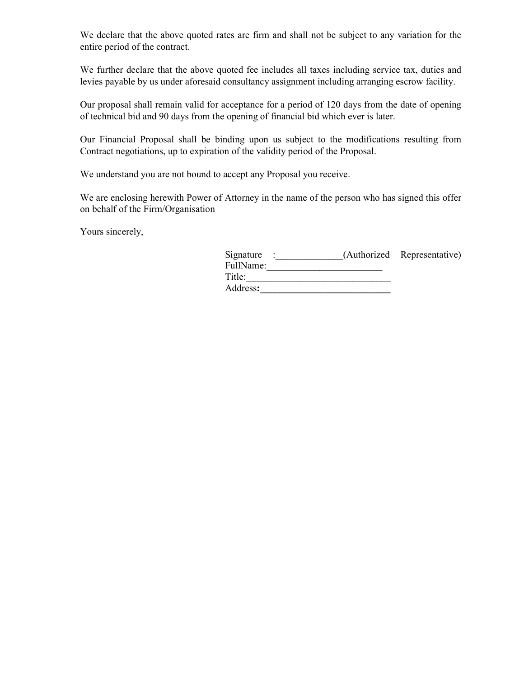We declare that the above quoted rates are firm and shall not be subject to any variation for the entire period of the contract.

We further declare that the above quoted fee includes all taxes including service tax, duties and levies payable by us under aforesaid consultancy assignment including arranging escrow facility.

Our proposal shall remain valid for acceptance for a period of 120 days from the date of opening of technical bid and 90 days from the opening of financial bid which ever is later.

Our Financial Proposal shall be binding upon us subject to the modifications resulting from Contract negotiations, up to expiration of the validity period of the Proposal.

We understand you are not bound to accept any Proposal you receive.

We are enclosing herewith Power of Attorney in the name of the person who has signed this offer on behalf of the Firm/Organisation

Yours sincerely,

| Signature |  | (Authorized Representative) |
|-----------|--|-----------------------------|
| FullName: |  |                             |
| Title:    |  |                             |
| Address:  |  |                             |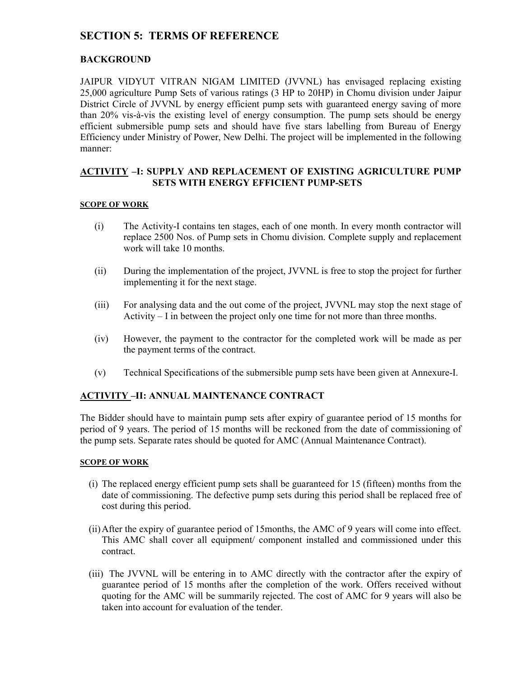# SECTION 5: TERMS OF REFERENCE

### BACKGROUND

JAIPUR VIDYUT VITRAN NIGAM LIMITED (JVVNL) has envisaged replacing existing 25,000 agriculture Pump Sets of various ratings (3 HP to 20HP) in Chomu division under Jaipur District Circle of JVVNL by energy efficient pump sets with guaranteed energy saving of more than 20% vis-à-vis the existing level of energy consumption. The pump sets should be energy efficient submersible pump sets and should have five stars labelling from Bureau of Energy Efficiency under Ministry of Power, New Delhi. The project will be implemented in the following manner:

#### ACTIVITY –I: SUPPLY AND REPLACEMENT OF EXISTING AGRICULTURE PUMP SETS WITH ENERGY EFFICIENT PUMP-SETS

#### SCOPE OF WORK

- (i) The Activity-I contains ten stages, each of one month. In every month contractor will replace 2500 Nos. of Pump sets in Chomu division. Complete supply and replacement work will take 10 months.
- (ii) During the implementation of the project, JVVNL is free to stop the project for further implementing it for the next stage.
- (iii) For analysing data and the out come of the project, JVVNL may stop the next stage of Activity – I in between the project only one time for not more than three months.
- (iv) However, the payment to the contractor for the completed work will be made as per the payment terms of the contract.
- (v) Technical Specifications of the submersible pump sets have been given at Annexure-I.

### ACTIVITY –II: ANNUAL MAINTENANCE CONTRACT

The Bidder should have to maintain pump sets after expiry of guarantee period of 15 months for period of 9 years. The period of 15 months will be reckoned from the date of commissioning of the pump sets. Separate rates should be quoted for AMC (Annual Maintenance Contract).

#### **SCOPE OF WORK**

- (i) The replaced energy efficient pump sets shall be guaranteed for 15 (fifteen) months from the date of commissioning. The defective pump sets during this period shall be replaced free of cost during this period.
- (ii)After the expiry of guarantee period of 15months, the AMC of 9 years will come into effect. This AMC shall cover all equipment/ component installed and commissioned under this contract.
- (iii) The JVVNL will be entering in to AMC directly with the contractor after the expiry of guarantee period of 15 months after the completion of the work. Offers received without quoting for the AMC will be summarily rejected. The cost of AMC for 9 years will also be taken into account for evaluation of the tender.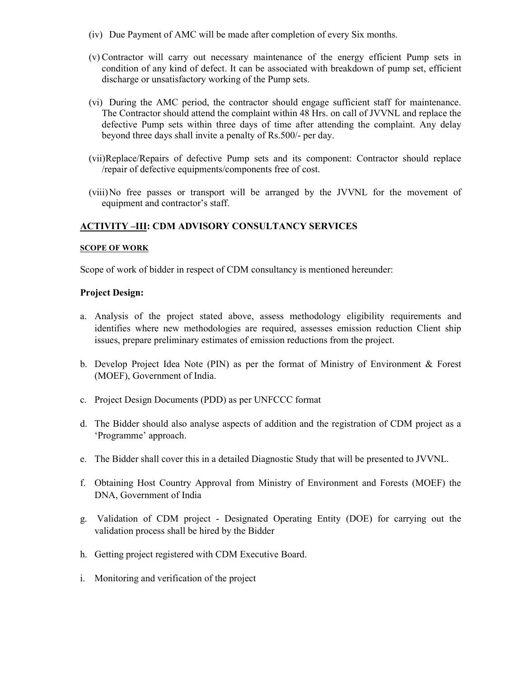- (iv) Due Payment of AMC will be made after completion of every Six months.
- (v) Contractor will carry out necessary maintenance of the energy efficient Pump sets in condition of any kind of defect. It can be associated with breakdown of pump set, efficient discharge or unsatisfactory working of the Pump sets.
- (vi) During the AMC period, the contractor should engage sufficient staff for maintenance. The Contractor should attend the complaint within 48 Hrs. on call of JVVNL and replace the defective Pump sets within three days of time after attending the complaint. Any delay beyond three days shall invite a penalty of Rs.500/- per day.
- (vii)Replace/Repairs of defective Pump sets and its component: Contractor should replace /repair of defective equipments/components free of cost.
- (viii)No free passes or transport will be arranged by the JVVNL for the movement of equipment and contractor's staff.

### ACTIVITY –III: CDM ADVISORY CONSULTANCY SERVICES

#### SCOPE OF WORK

Scope of work of bidder in respect of CDM consultancy is mentioned hereunder:

#### Project Design:

- a. Analysis of the project stated above, assess methodology eligibility requirements and identifies where new methodologies are required, assesses emission reduction Client ship issues, prepare preliminary estimates of emission reductions from the project.
- b. Develop Project Idea Note (PIN) as per the format of Ministry of Environment & Forest (MOEF), Government of India.
- c. Project Design Documents (PDD) as per UNFCCC format
- d. The Bidder should also analyse aspects of addition and the registration of CDM project as a 'Programme' approach.
- e. The Bidder shall cover this in a detailed Diagnostic Study that will be presented to JVVNL.
- f. Obtaining Host Country Approval from Ministry of Environment and Forests (MOEF) the DNA, Government of India
- g. Validation of CDM project Designated Operating Entity (DOE) for carrying out the validation process shall be hired by the Bidder
- h. Getting project registered with CDM Executive Board.
- i. Monitoring and verification of the project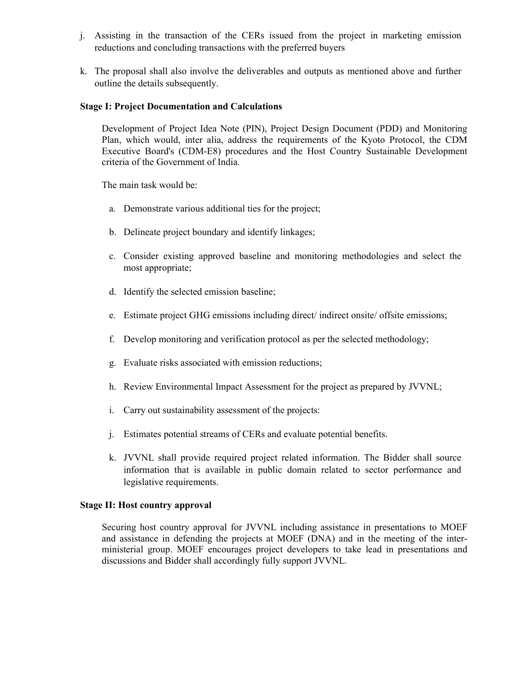- j. Assisting in the transaction of the CERs issued from the project in marketing emission reductions and concluding transactions with the preferred buyers
- k. The proposal shall also involve the deliverables and outputs as mentioned above and further outline the details subsequently.

#### Stage I: Project Documentation and Calculations

Development of Project Idea Note (PIN), Project Design Document (PDD) and Monitoring Plan, which would, inter alia, address the requirements of the Kyoto Protocol, the CDM Executive Board's (CDM-E8) procedures and the Host Country Sustainable Development criteria of the Government of India.

The main task would be:

- a. Demonstrate various additional ties for the project;
- b. Delineate project boundary and identify linkages;
- c. Consider existing approved baseline and monitoring methodologies and select the most appropriate;
- d. Identify the selected emission baseline;
- e. Estimate project GHG emissions including direct/ indirect onsite/ offsite emissions;
- f. Develop monitoring and verification protocol as per the selected methodology;
- g. Evaluate risks associated with emission reductions;
- h. Review Environmental Impact Assessment for the project as prepared by JVVNL;
- i. Carry out sustainability assessment of the projects:
- j. Estimates potential streams of CERs and evaluate potential benefits.
- k. JVVNL shall provide required project related information. The Bidder shall source information that is available in public domain related to sector performance and legislative requirements.

#### Stage II: Host country approval

Securing host country approval for JVVNL including assistance in presentations to MOEF and assistance in defending the projects at MOEF (DNA) and in the meeting of the interministerial group. MOEF encourages project developers to take lead in presentations and discussions and Bidder shall accordingly fully support JVVNL.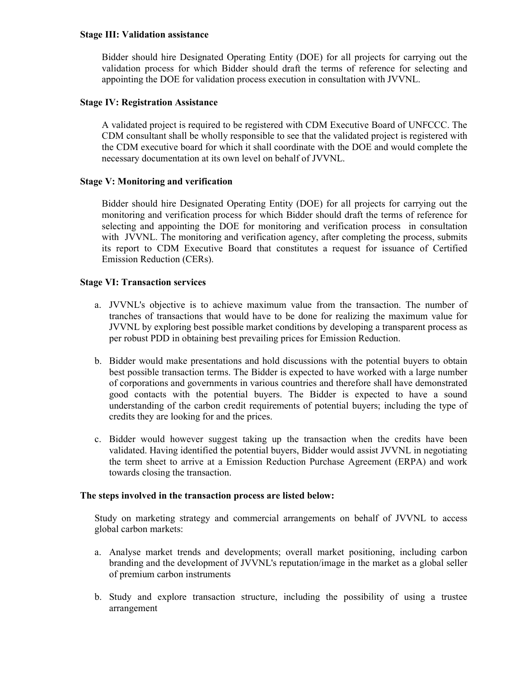#### Stage III: Validation assistance

Bidder should hire Designated Operating Entity (DOE) for all projects for carrying out the validation process for which Bidder should draft the terms of reference for selecting and appointing the DOE for validation process execution in consultation with JVVNL.

#### Stage IV: Registration Assistance

A validated project is required to be registered with CDM Executive Board of UNFCCC. The CDM consultant shall be wholly responsible to see that the validated project is registered with the CDM executive board for which it shall coordinate with the DOE and would complete the necessary documentation at its own level on behalf of JVVNL.

#### Stage V: Monitoring and verification

Bidder should hire Designated Operating Entity (DOE) for all projects for carrying out the monitoring and verification process for which Bidder should draft the terms of reference for selecting and appointing the DOE for monitoring and verification process in consultation with JVVNL. The monitoring and verification agency, after completing the process, submits its report to CDM Executive Board that constitutes a request for issuance of Certified Emission Reduction (CERs).

#### Stage VI: Transaction services

- a. JVVNL's objective is to achieve maximum value from the transaction. The number of tranches of transactions that would have to be done for realizing the maximum value for JVVNL by exploring best possible market conditions by developing a transparent process as per robust PDD in obtaining best prevailing prices for Emission Reduction.
- b. Bidder would make presentations and hold discussions with the potential buyers to obtain best possible transaction terms. The Bidder is expected to have worked with a large number of corporations and governments in various countries and therefore shall have demonstrated good contacts with the potential buyers. The Bidder is expected to have a sound understanding of the carbon credit requirements of potential buyers; including the type of credits they are looking for and the prices.
- c. Bidder would however suggest taking up the transaction when the credits have been validated. Having identified the potential buyers, Bidder would assist JVVNL in negotiating the term sheet to arrive at a Emission Reduction Purchase Agreement (ERPA) and work towards closing the transaction.

#### The steps involved in the transaction process are listed below:

Study on marketing strategy and commercial arrangements on behalf of JVVNL to access global carbon markets:

- a. Analyse market trends and developments; overall market positioning, including carbon branding and the development of JVVNL's reputation/image in the market as a global seller of premium carbon instruments
- b. Study and explore transaction structure, including the possibility of using a trustee arrangement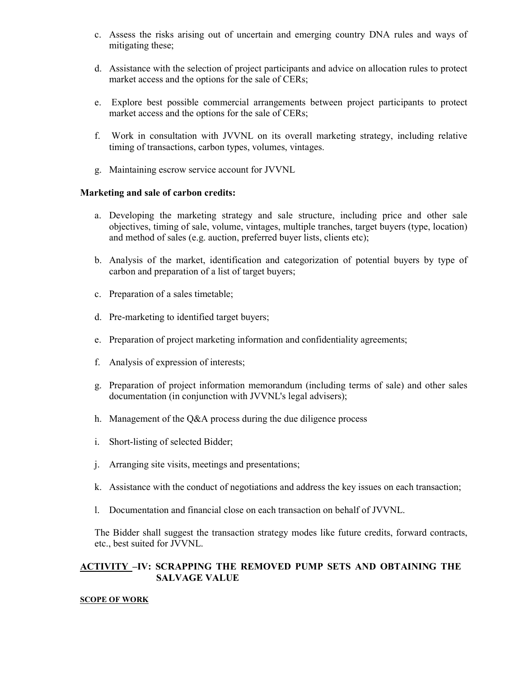- c. Assess the risks arising out of uncertain and emerging country DNA rules and ways of mitigating these;
- d. Assistance with the selection of project participants and advice on allocation rules to protect market access and the options for the sale of CERs;
- e. Explore best possible commercial arrangements between project participants to protect market access and the options for the sale of CERs;
- f. Work in consultation with JVVNL on its overall marketing strategy, including relative timing of transactions, carbon types, volumes, vintages.
- g. Maintaining escrow service account for JVVNL

#### Marketing and sale of carbon credits:

- a. Developing the marketing strategy and sale structure, including price and other sale objectives, timing of sale, volume, vintages, multiple tranches, target buyers (type, location) and method of sales (e.g. auction, preferred buyer lists, clients etc);
- b. Analysis of the market, identification and categorization of potential buyers by type of carbon and preparation of a list of target buyers;
- c. Preparation of a sales timetable;
- d. Pre-marketing to identified target buyers;
- e. Preparation of project marketing information and confidentiality agreements;
- f. Analysis of expression of interests;
- g. Preparation of project information memorandum (including terms of sale) and other sales documentation (in conjunction with JVVNL's legal advisers);
- h. Management of the Q&A process during the due diligence process
- i. Short-listing of selected Bidder;
- j. Arranging site visits, meetings and presentations;
- k. Assistance with the conduct of negotiations and address the key issues on each transaction;
- l. Documentation and financial close on each transaction on behalf of JVVNL.

The Bidder shall suggest the transaction strategy modes like future credits, forward contracts, etc., best suited for JVVNL.

### ACTIVITY –IV: SCRAPPING THE REMOVED PUMP SETS AND OBTAINING THE SALVAGE VALUE

#### SCOPE OF WORK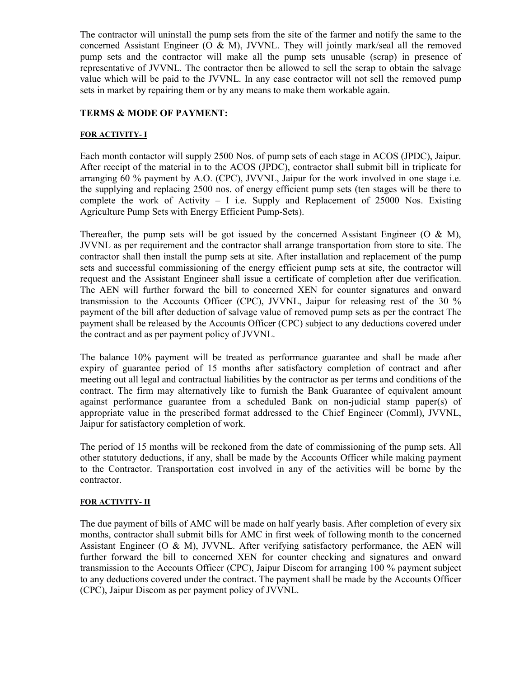The contractor will uninstall the pump sets from the site of the farmer and notify the same to the concerned Assistant Engineer (O  $\&$  M), JVVNL. They will jointly mark/seal all the removed pump sets and the contractor will make all the pump sets unusable (scrap) in presence of representative of JVVNL. The contractor then be allowed to sell the scrap to obtain the salvage value which will be paid to the JVVNL. In any case contractor will not sell the removed pump sets in market by repairing them or by any means to make them workable again.

### TERMS & MODE OF PAYMENT:

#### FOR ACTIVITY- I

Each month contactor will supply 2500 Nos. of pump sets of each stage in ACOS (JPDC), Jaipur. After receipt of the material in to the ACOS (JPDC), contractor shall submit bill in triplicate for arranging 60 % payment by A.O. (CPC), JVVNL, Jaipur for the work involved in one stage i.e. the supplying and replacing 2500 nos. of energy efficient pump sets (ten stages will be there to complete the work of Activity  $-$  I i.e. Supply and Replacement of 25000 Nos. Existing Agriculture Pump Sets with Energy Efficient Pump-Sets).

Thereafter, the pump sets will be got issued by the concerned Assistant Engineer (O  $\&$  M), JVVNL as per requirement and the contractor shall arrange transportation from store to site. The contractor shall then install the pump sets at site. After installation and replacement of the pump sets and successful commissioning of the energy efficient pump sets at site, the contractor will request and the Assistant Engineer shall issue a certificate of completion after due verification. The AEN will further forward the bill to concerned XEN for counter signatures and onward transmission to the Accounts Officer (CPC), JVVNL, Jaipur for releasing rest of the 30 % payment of the bill after deduction of salvage value of removed pump sets as per the contract The payment shall be released by the Accounts Officer (CPC) subject to any deductions covered under the contract and as per payment policy of JVVNL.

The balance 10% payment will be treated as performance guarantee and shall be made after expiry of guarantee period of 15 months after satisfactory completion of contract and after meeting out all legal and contractual liabilities by the contractor as per terms and conditions of the contract. The firm may alternatively like to furnish the Bank Guarantee of equivalent amount against performance guarantee from a scheduled Bank on non-judicial stamp paper(s) of appropriate value in the prescribed format addressed to the Chief Engineer (Comml), JVVNL, Jaipur for satisfactory completion of work.

The period of 15 months will be reckoned from the date of commissioning of the pump sets. All other statutory deductions, if any, shall be made by the Accounts Officer while making payment to the Contractor. Transportation cost involved in any of the activities will be borne by the contractor.

#### FOR ACTIVITY- II

The due payment of bills of AMC will be made on half yearly basis. After completion of every six months, contractor shall submit bills for AMC in first week of following month to the concerned Assistant Engineer ( $O \& M$ ), JVVNL. After verifying satisfactory performance, the AEN will further forward the bill to concerned XEN for counter checking and signatures and onward transmission to the Accounts Officer (CPC), Jaipur Discom for arranging 100 % payment subject to any deductions covered under the contract. The payment shall be made by the Accounts Officer (CPC), Jaipur Discom as per payment policy of JVVNL.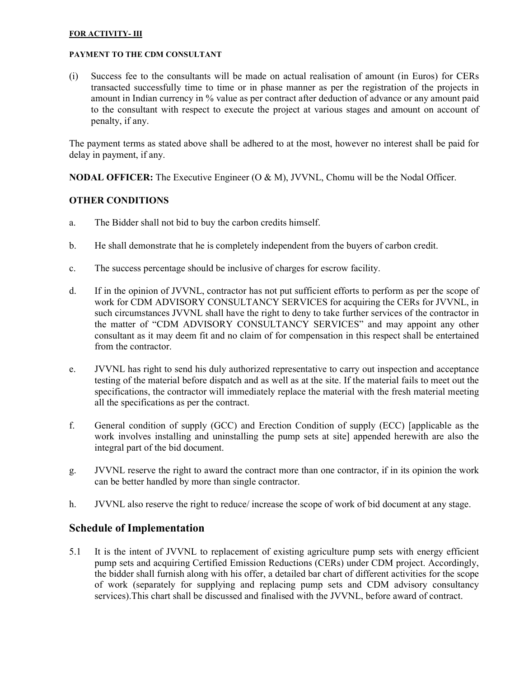#### FOR ACTIVITY- III

#### PAYMENT TO THE CDM CONSULTANT

(i) Success fee to the consultants will be made on actual realisation of amount (in Euros) for CERs transacted successfully time to time or in phase manner as per the registration of the projects in amount in Indian currency in % value as per contract after deduction of advance or any amount paid to the consultant with respect to execute the project at various stages and amount on account of penalty, if any.

The payment terms as stated above shall be adhered to at the most, however no interest shall be paid for delay in payment, if any.

NODAL OFFICER: The Executive Engineer (O & M), JVVNL, Chomu will be the Nodal Officer.

#### OTHER CONDITIONS

- a. The Bidder shall not bid to buy the carbon credits himself.
- b. He shall demonstrate that he is completely independent from the buyers of carbon credit.
- c. The success percentage should be inclusive of charges for escrow facility.
- d. If in the opinion of JVVNL, contractor has not put sufficient efforts to perform as per the scope of work for CDM ADVISORY CONSULTANCY SERVICES for acquiring the CERs for JVVNL, in such circumstances JVVNL shall have the right to deny to take further services of the contractor in the matter of "CDM ADVISORY CONSULTANCY SERVICES" and may appoint any other consultant as it may deem fit and no claim of for compensation in this respect shall be entertained from the contractor.
- e. JVVNL has right to send his duly authorized representative to carry out inspection and acceptance testing of the material before dispatch and as well as at the site. If the material fails to meet out the specifications, the contractor will immediately replace the material with the fresh material meeting all the specifications as per the contract.
- f. General condition of supply (GCC) and Erection Condition of supply (ECC) [applicable as the work involves installing and uninstalling the pump sets at site] appended herewith are also the integral part of the bid document.
- g. JVVNL reserve the right to award the contract more than one contractor, if in its opinion the work can be better handled by more than single contractor.
- h. JVVNL also reserve the right to reduce/ increase the scope of work of bid document at any stage.

#### Schedule of Implementation

5.1 It is the intent of JVVNL to replacement of existing agriculture pump sets with energy efficient pump sets and acquiring Certified Emission Reductions (CERs) under CDM project. Accordingly, the bidder shall furnish along with his offer, a detailed bar chart of different activities for the scope of work (separately for supplying and replacing pump sets and CDM advisory consultancy services).This chart shall be discussed and finalised with the JVVNL, before award of contract.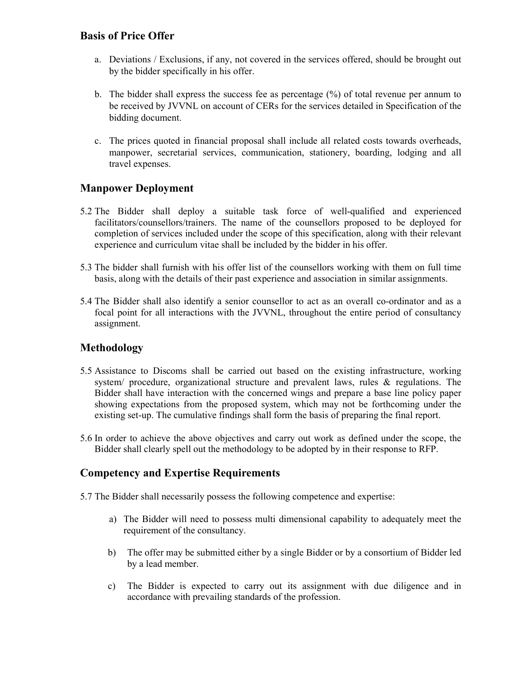# Basis of Price Offer

- a. Deviations / Exclusions, if any, not covered in the services offered, should be brought out by the bidder specifically in his offer.
- b. The bidder shall express the success fee as percentage (%) of total revenue per annum to be received by JVVNL on account of CERs for the services detailed in Specification of the bidding document.
- c. The prices quoted in financial proposal shall include all related costs towards overheads, manpower, secretarial services, communication, stationery, boarding, lodging and all travel expenses.

# Manpower Deployment

- 5.2 The Bidder shall deploy a suitable task force of well-qualified and experienced facilitators/counsellors/trainers. The name of the counsellors proposed to be deployed for completion of services included under the scope of this specification, along with their relevant experience and curriculum vitae shall be included by the bidder in his offer.
- 5.3 The bidder shall furnish with his offer list of the counsellors working with them on full time basis, along with the details of their past experience and association in similar assignments.
- 5.4 The Bidder shall also identify a senior counsellor to act as an overall co-ordinator and as a focal point for all interactions with the JVVNL, throughout the entire period of consultancy assignment.

# Methodology

- 5.5 Assistance to Discoms shall be carried out based on the existing infrastructure, working system/ procedure, organizational structure and prevalent laws, rules  $\&$  regulations. The Bidder shall have interaction with the concerned wings and prepare a base line policy paper showing expectations from the proposed system, which may not be forthcoming under the existing set-up. The cumulative findings shall form the basis of preparing the final report.
- 5.6 In order to achieve the above objectives and carry out work as defined under the scope, the Bidder shall clearly spell out the methodology to be adopted by in their response to RFP.

# Competency and Expertise Requirements

- 5.7 The Bidder shall necessarily possess the following competence and expertise:
	- a) The Bidder will need to possess multi dimensional capability to adequately meet the requirement of the consultancy.
	- b) The offer may be submitted either by a single Bidder or by a consortium of Bidder led by a lead member.
	- c) The Bidder is expected to carry out its assignment with due diligence and in accordance with prevailing standards of the profession.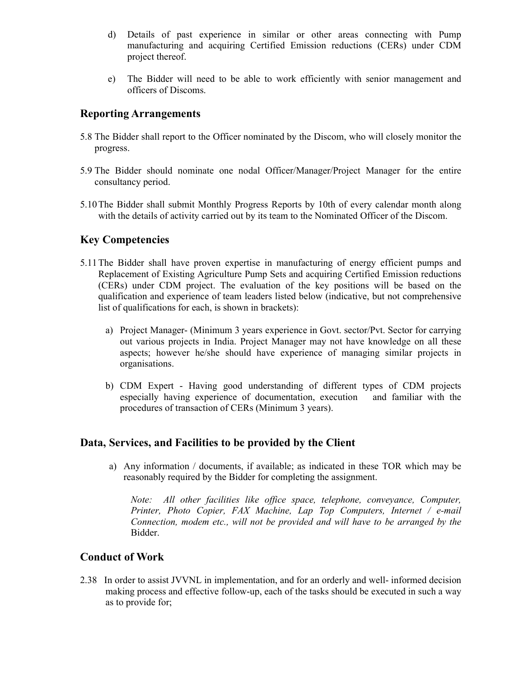- d) Details of past experience in similar or other areas connecting with Pump manufacturing and acquiring Certified Emission reductions (CERs) under CDM project thereof.
- e) The Bidder will need to be able to work efficiently with senior management and officers of Discoms.

### Reporting Arrangements

- 5.8 The Bidder shall report to the Officer nominated by the Discom, who will closely monitor the progress.
- 5.9 The Bidder should nominate one nodal Officer/Manager/Project Manager for the entire consultancy period.
- 5.10The Bidder shall submit Monthly Progress Reports by 10th of every calendar month along with the details of activity carried out by its team to the Nominated Officer of the Discom.

### Key Competencies

- 5.11The Bidder shall have proven expertise in manufacturing of energy efficient pumps and Replacement of Existing Agriculture Pump Sets and acquiring Certified Emission reductions (CERs) under CDM project. The evaluation of the key positions will be based on the qualification and experience of team leaders listed below (indicative, but not comprehensive list of qualifications for each, is shown in brackets):
	- a) Project Manager- (Minimum 3 years experience in Govt. sector/Pvt. Sector for carrying out various projects in India. Project Manager may not have knowledge on all these aspects; however he/she should have experience of managing similar projects in organisations.
	- b) CDM Expert Having good understanding of different types of CDM projects especially having experience of documentation, execution and familiar with the procedures of transaction of CERs (Minimum 3 years).

### Data, Services, and Facilities to be provided by the Client

a) Any information / documents, if available; as indicated in these TOR which may be reasonably required by the Bidder for completing the assignment.

Note: All other facilities like office space, telephone, conveyance, Computer, Printer, Photo Copier, FAX Machine, Lap Top Computers, Internet / e-mail Connection, modem etc., will not be provided and will have to be arranged by the Bidder.

# Conduct of Work

2.38 In order to assist JVVNL in implementation, and for an orderly and well- informed decision making process and effective follow-up, each of the tasks should be executed in such a way as to provide for;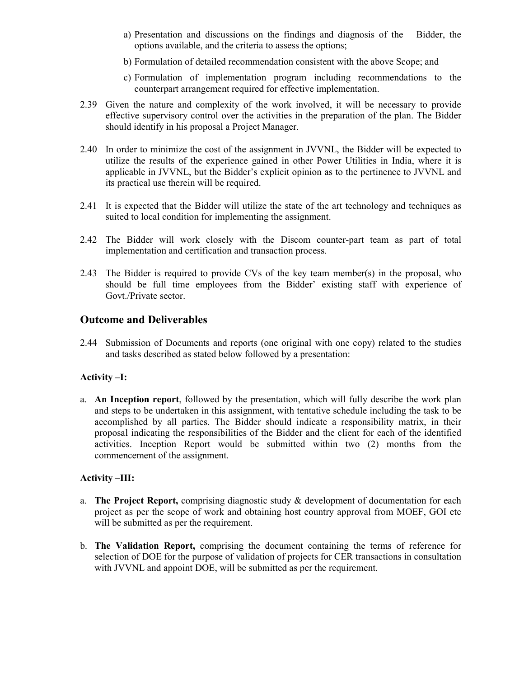- a) Presentation and discussions on the findings and diagnosis of the Bidder, the options available, and the criteria to assess the options;
- b) Formulation of detailed recommendation consistent with the above Scope; and
- c) Formulation of implementation program including recommendations to the counterpart arrangement required for effective implementation.
- 2.39 Given the nature and complexity of the work involved, it will be necessary to provide effective supervisory control over the activities in the preparation of the plan. The Bidder should identify in his proposal a Project Manager.
- 2.40 In order to minimize the cost of the assignment in JVVNL, the Bidder will be expected to utilize the results of the experience gained in other Power Utilities in India, where it is applicable in JVVNL, but the Bidder's explicit opinion as to the pertinence to JVVNL and its practical use therein will be required.
- 2.41 It is expected that the Bidder will utilize the state of the art technology and techniques as suited to local condition for implementing the assignment.
- 2.42 The Bidder will work closely with the Discom counter-part team as part of total implementation and certification and transaction process.
- 2.43 The Bidder is required to provide CVs of the key team member(s) in the proposal, who should be full time employees from the Bidder' existing staff with experience of Govt./Private sector.

# Outcome and Deliverables

2.44 Submission of Documents and reports (one original with one copy) related to the studies and tasks described as stated below followed by a presentation:

## Activity –I:

a. An Inception report, followed by the presentation, which will fully describe the work plan and steps to be undertaken in this assignment, with tentative schedule including the task to be accomplished by all parties. The Bidder should indicate a responsibility matrix, in their proposal indicating the responsibilities of the Bidder and the client for each of the identified activities. Inception Report would be submitted within two (2) months from the commencement of the assignment.

## Activity –III:

- a. The Project Report, comprising diagnostic study  $\&$  development of documentation for each project as per the scope of work and obtaining host country approval from MOEF, GOI etc will be submitted as per the requirement.
- b. The Validation Report, comprising the document containing the terms of reference for selection of DOE for the purpose of validation of projects for CER transactions in consultation with JVVNL and appoint DOE, will be submitted as per the requirement.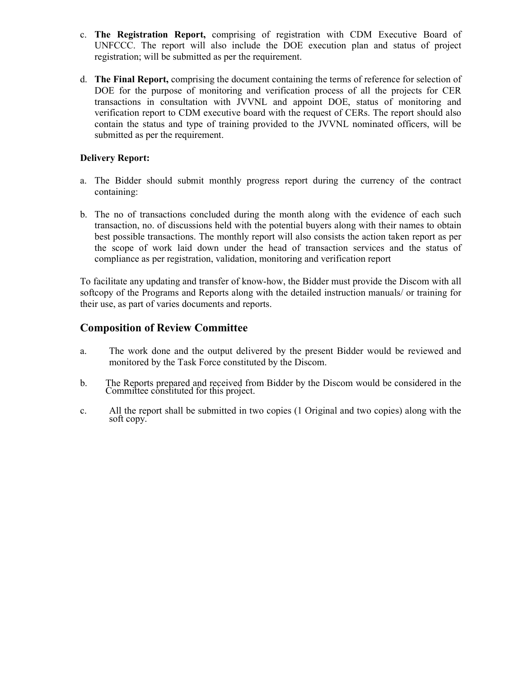- c. The Registration Report, comprising of registration with CDM Executive Board of UNFCCC. The report will also include the DOE execution plan and status of project registration; will be submitted as per the requirement.
- d. The Final Report, comprising the document containing the terms of reference for selection of DOE for the purpose of monitoring and verification process of all the projects for CER transactions in consultation with JVVNL and appoint DOE, status of monitoring and verification report to CDM executive board with the request of CERs. The report should also contain the status and type of training provided to the JVVNL nominated officers, will be submitted as per the requirement.

## Delivery Report:

- a. The Bidder should submit monthly progress report during the currency of the contract containing:
- b. The no of transactions concluded during the month along with the evidence of each such transaction, no. of discussions held with the potential buyers along with their names to obtain best possible transactions. The monthly report will also consists the action taken report as per the scope of work laid down under the head of transaction services and the status of compliance as per registration, validation, monitoring and verification report

To facilitate any updating and transfer of know-how, the Bidder must provide the Discom with all softcopy of the Programs and Reports along with the detailed instruction manuals/ or training for their use, as part of varies documents and reports.

## Composition of Review Committee

- a. The work done and the output delivered by the present Bidder would be reviewed and monitored by the Task Force constituted by the Discom.
- b. The Reports prepared and received from Bidder by the Discom would be considered in the Committee constituted for this project.
- c. All the report shall be submitted in two copies (1 Original and two copies) along with the soft copy.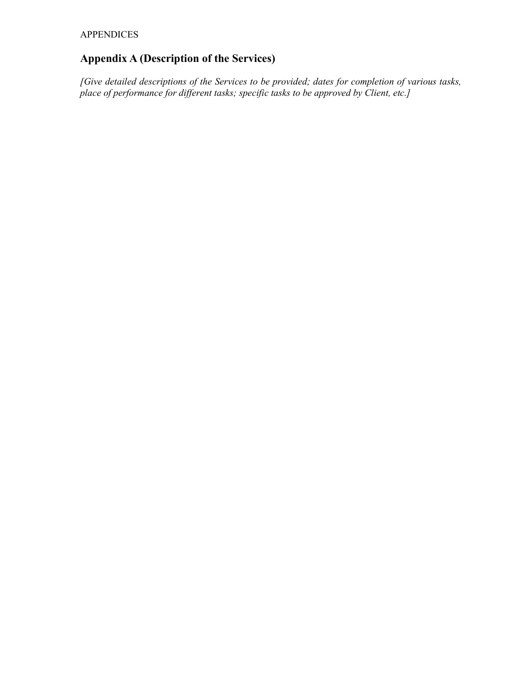# Appendix A (Description of the Services)

[Give detailed descriptions of the Services to be provided; dates for completion of various tasks, place of performance for different tasks; specific tasks to be approved by Client, etc.]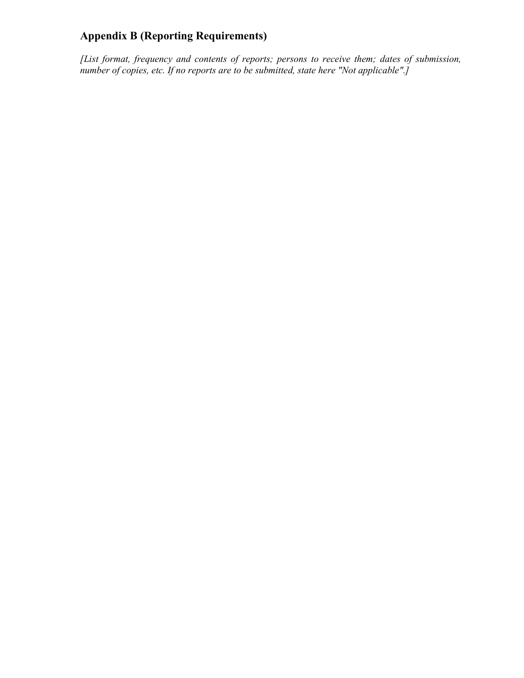# Appendix B (Reporting Requirements)

[List format, frequency and contents of reports; persons to receive them; dates of submission, number of copies, etc. If no reports are to be submitted, state here "Not applicable".]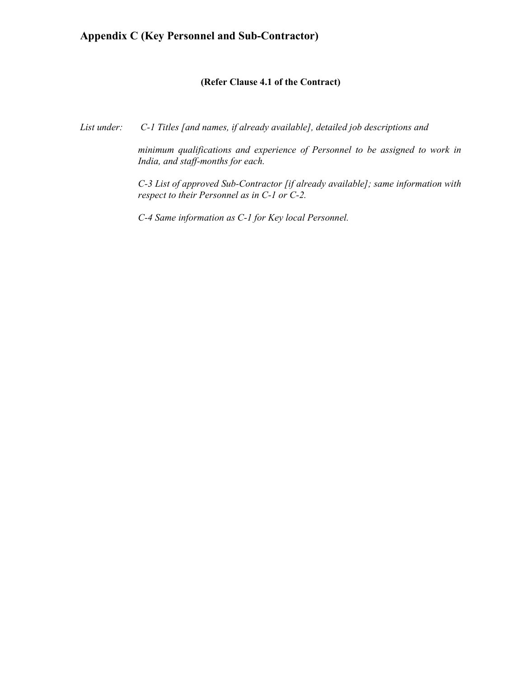# Appendix C (Key Personnel and Sub-Contractor)

# (Refer Clause 4.1 of the Contract)

List under: C-1 Titles [and names, if already available], detailed job descriptions and

minimum qualifications and experience of Personnel to be assigned to work in India, and staff-months for each.

C-3 List of approved Sub-Contractor [if already available]; same information with respect to their Personnel as in C-1 or C-2.

C-4 Same information as C-1 for Key local Personnel.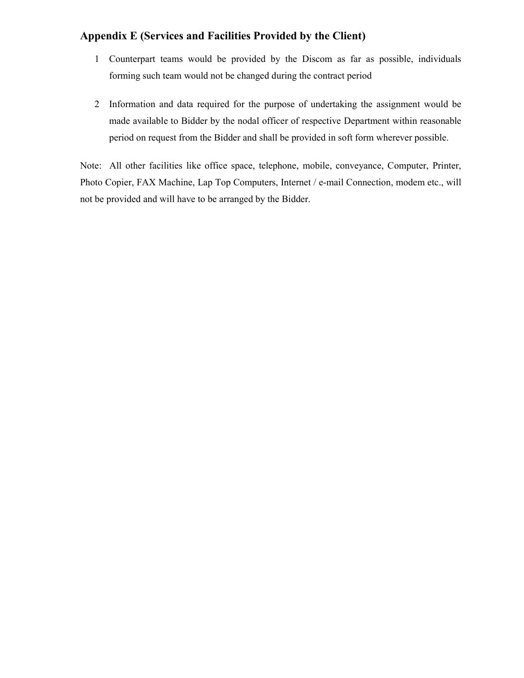# Appendix E (Services and Facilities Provided by the Client)

- 1 Counterpart teams would be provided by the Discom as far as possible, individuals forming such team would not be changed during the contract period
- 2 Information and data required for the purpose of undertaking the assignment would be made available to Bidder by the nodal officer of respective Department within reasonable period on request from the Bidder and shall be provided in soft form wherever possible.

Note: All other facilities like office space, telephone, mobile, conveyance, Computer, Printer, Photo Copier, FAX Machine, Lap Top Computers, Internet / e-mail Connection, modem etc., will not be provided and will have to be arranged by the Bidder.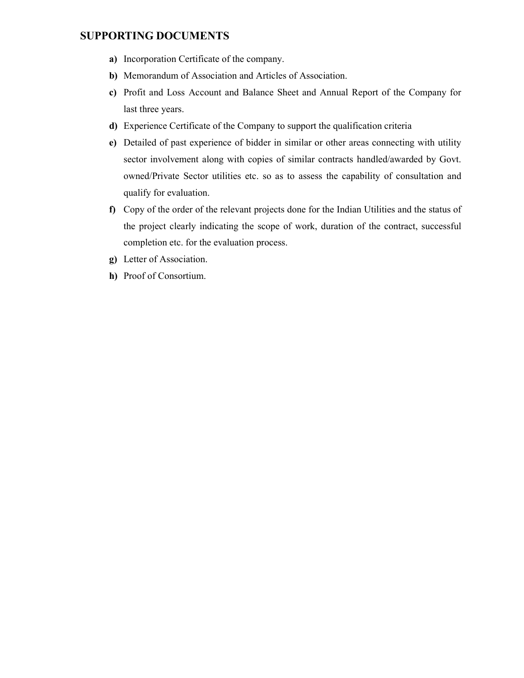# SUPPORTING DOCUMENTS

- a) Incorporation Certificate of the company.
- b) Memorandum of Association and Articles of Association.
- c) Profit and Loss Account and Balance Sheet and Annual Report of the Company for last three years.
- d) Experience Certificate of the Company to support the qualification criteria
- e) Detailed of past experience of bidder in similar or other areas connecting with utility sector involvement along with copies of similar contracts handled/awarded by Govt. owned/Private Sector utilities etc. so as to assess the capability of consultation and qualify for evaluation.
- f) Copy of the order of the relevant projects done for the Indian Utilities and the status of the project clearly indicating the scope of work, duration of the contract, successful completion etc. for the evaluation process.
- g) Letter of Association.
- h) Proof of Consortium.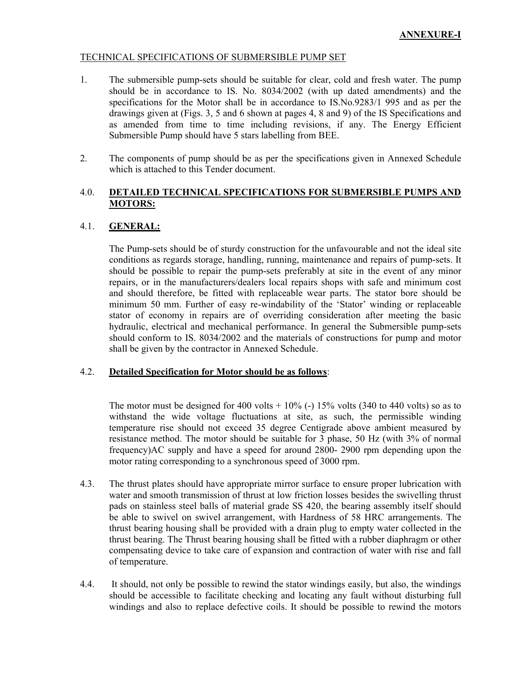#### TECHNICAL SPECIFICATIONS OF SUBMERSIBLE PUMP SET

- 1. The submersible pump-sets should be suitable for clear, cold and fresh water. The pump should be in accordance to IS. No. 8034/2002 (with up dated amendments) and the specifications for the Motor shall be in accordance to IS.No.9283/1 995 and as per the drawings given at (Figs. 3, 5 and 6 shown at pages 4, 8 and 9) of the IS Specifications and as amended from time to time including revisions, if any. The Energy Efficient Submersible Pump should have 5 stars labelling from BEE.
- 2. The components of pump should be as per the specifications given in Annexed Schedule which is attached to this Tender document.

#### 4.0. DETAILED TECHNICAL SPECIFICATIONS FOR SUBMERSIBLE PUMPS AND MOTORS:

#### 4.1. GENERAL:

The Pump-sets should be of sturdy construction for the unfavourable and not the ideal site conditions as regards storage, handling, running, maintenance and repairs of pump-sets. It should be possible to repair the pump-sets preferably at site in the event of any minor repairs, or in the manufacturers/dealers local repairs shops with safe and minimum cost and should therefore, be fitted with replaceable wear parts. The stator bore should be minimum 50 mm. Further of easy re-windability of the 'Stator' winding or replaceable stator of economy in repairs are of overriding consideration after meeting the basic hydraulic, electrical and mechanical performance. In general the Submersible pump-sets should conform to IS. 8034/2002 and the materials of constructions for pump and motor shall be given by the contractor in Annexed Schedule.

#### 4.2. Detailed Specification for Motor should be as follows:

The motor must be designed for 400 volts  $+10\%$  (-) 15% volts (340 to 440 volts) so as to withstand the wide voltage fluctuations at site, as such, the permissible winding temperature rise should not exceed 35 degree Centigrade above ambient measured by resistance method. The motor should be suitable for 3 phase, 50 Hz (with 3% of normal frequency)AC supply and have a speed for around 2800- 2900 rpm depending upon the motor rating corresponding to a synchronous speed of 3000 rpm.

- 4.3. The thrust plates should have appropriate mirror surface to ensure proper lubrication with water and smooth transmission of thrust at low friction losses besides the swivelling thrust pads on stainless steel balls of material grade SS 420, the bearing assembly itself should be able to swivel on swivel arrangement, with Hardness of 58 HRC arrangements. The thrust bearing housing shall be provided with a drain plug to empty water collected in the thrust bearing. The Thrust bearing housing shall be fitted with a rubber diaphragm or other compensating device to take care of expansion and contraction of water with rise and fall of temperature.
- 4.4. It should, not only be possible to rewind the stator windings easily, but also, the windings should be accessible to facilitate checking and locating any fault without disturbing full windings and also to replace defective coils. It should be possible to rewind the motors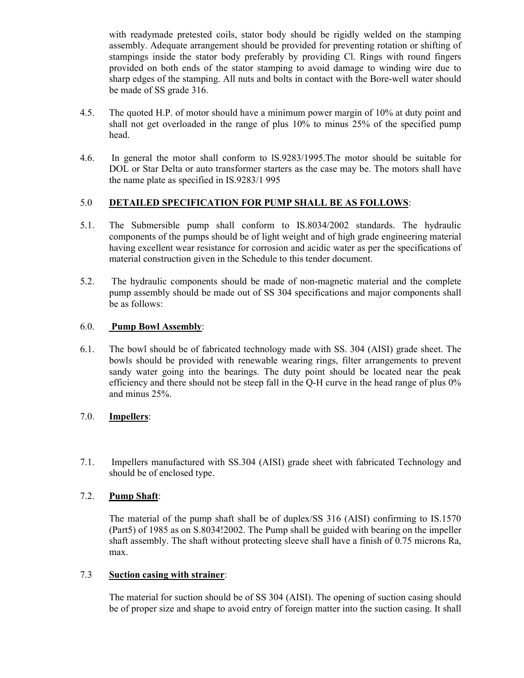with readymade pretested coils, stator body should be rigidly welded on the stamping assembly. Adequate arrangement should be provided for preventing rotation or shifting of stampings inside the stator body preferably by providing Cl. Rings with round fingers provided on both ends of the stator stamping to avoid damage to winding wire due to sharp edges of the stamping. All nuts and bolts in contact with the Bore-well water should be made of SS grade 316.

- 4.5. The quoted H.P. of motor should have a minimum power margin of 10% at duty point and shall not get overloaded in the range of plus 10% to minus 25% of the specified pump head.
- 4.6. In general the motor shall conform to lS.9283/1995.The motor should be suitable for DOL or Star Delta or auto transformer starters as the case may be. The motors shall have the name plate as specified in IS.9283/1 995

#### 5.0 DETAILED SPECIFICATION FOR PUMP SHALL BE AS FOLLOWS:

- 5.1. The Submersible pump shall conform to IS.8034/2002 standards. The hydraulic components of the pumps should be of light weight and of high grade engineering material having excellent wear resistance for corrosion and acidic water as per the specifications of material construction given in the Schedule to this tender document.
- 5.2. The hydraulic components should be made of non-magnetic material and the complete pump assembly should be made out of SS 304 specifications and major components shall be as follows:

#### 6.0. Pump Bowl Assembly:

6.1. The bowl should be of fabricated technology made with SS. 304 (AISI) grade sheet. The bowls should be provided with renewable wearing rings, filter arrangements to prevent sandy water going into the bearings. The duty point should be located near the peak efficiency and there should not be steep fall in the Q-H curve in the head range of plus 0% and minus 25%.

## 7.0. Impellers:

7.1. Impellers manufactured with SS.304 (AISI) grade sheet with fabricated Technology and should be of enclosed type.

## 7.2. Pump Shaft:

The material of the pump shaft shall be of duplex/SS 316 (AISI) confirming to IS.1570 (Part5) of 1985 as on S.8034!2002. The Pump shall be guided with bearing on the impeller shaft assembly. The shaft without protecting sleeve shall have a finish of 0.75 microns Ra, max.

#### 7.3 Suction casing with strainer:

The material for suction should be of SS 304 (AISI). The opening of suction casing should be of proper size and shape to avoid entry of foreign matter into the suction casing. It shall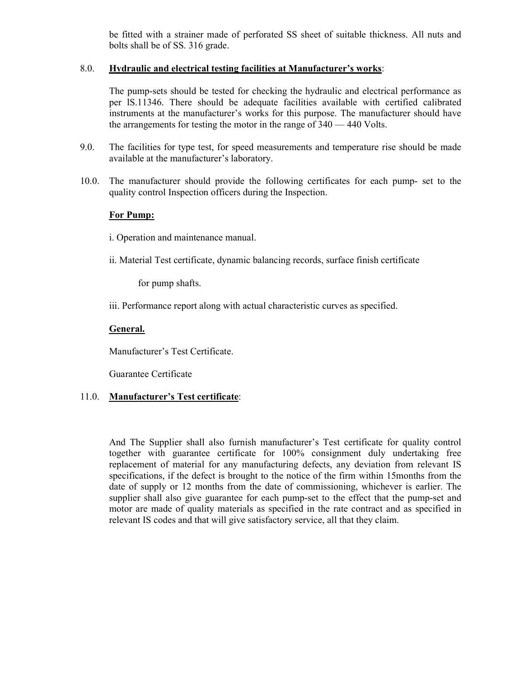be fitted with a strainer made of perforated SS sheet of suitable thickness. All nuts and bolts shall be of SS. 316 grade.

#### 8.0. Hydraulic and electrical testing facilities at Manufacturer's works:

The pump-sets should be tested for checking the hydraulic and electrical performance as per lS.11346. There should be adequate facilities available with certified calibrated instruments at the manufacturer's works for this purpose. The manufacturer should have the arrangements for testing the motor in the range of 340 — 440 Volts.

- 9.0. The facilities for type test, for speed measurements and temperature rise should be made available at the manufacturer's laboratory.
- 10.0. The manufacturer should provide the following certificates for each pump- set to the quality control Inspection officers during the Inspection.

#### For Pump:

- i. Operation and maintenance manual.
- ii. Material Test certificate, dynamic balancing records, surface finish certificate

for pump shafts.

iii. Performance report along with actual characteristic curves as specified.

#### General.

Manufacturer's Test Certificate.

Guarantee Certificate

#### 11.0. Manufacturer's Test certificate:

And The Supplier shall also furnish manufacturer's Test certificate for quality control together with guarantee certificate for 100% consignment duly undertaking free replacement of material for any manufacturing defects, any deviation from relevant IS specifications, if the defect is brought to the notice of the firm within 15months from the date of supply or 12 months from the date of commissioning, whichever is earlier. The supplier shall also give guarantee for each pump-set to the effect that the pump-set and motor are made of quality materials as specified in the rate contract and as specified in relevant IS codes and that will give satisfactory service, all that they claim.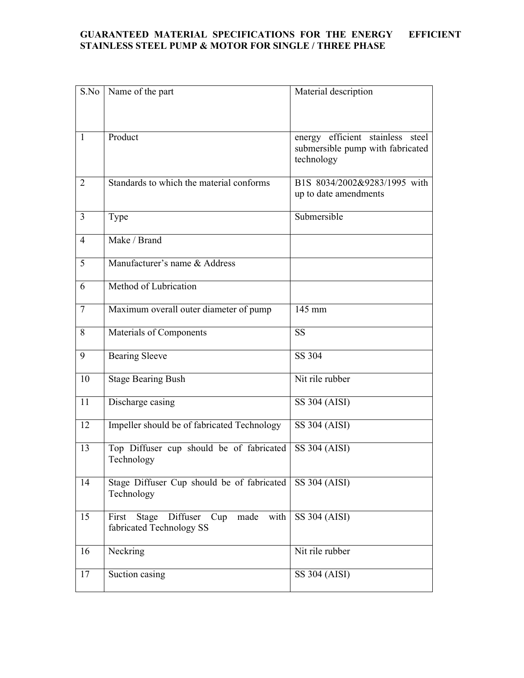# GUARANTEED MATERIAL SPECIFICATIONS FOR THE ENERGY EFFICIENT STAINLESS STEEL PUMP & MOTOR FOR SINGLE / THREE PHASE

| S.No           | Name of the part                                                              | Material description                                                               |
|----------------|-------------------------------------------------------------------------------|------------------------------------------------------------------------------------|
|                |                                                                               |                                                                                    |
| 1              | Product                                                                       | energy efficient stainless steel<br>submersible pump with fabricated<br>technology |
| $\overline{2}$ | Standards to which the material conforms                                      | B1S 8034/2002&9283/1995 with<br>up to date amendments                              |
| 3              | Type                                                                          | Submersible                                                                        |
| 4              | Make / Brand                                                                  |                                                                                    |
| 5              | Manufacturer's name & Address                                                 |                                                                                    |
| 6              | Method of Lubrication                                                         |                                                                                    |
| $\tau$         | Maximum overall outer diameter of pump                                        | 145 mm                                                                             |
| 8              | Materials of Components                                                       | <b>SS</b>                                                                          |
| 9              | <b>Bearing Sleeve</b>                                                         | SS 304                                                                             |
| 10             | <b>Stage Bearing Bush</b>                                                     | Nit rile rubber                                                                    |
| 11             | Discharge casing                                                              | SS 304 (AISI)                                                                      |
| 12             | Impeller should be of fabricated Technology                                   | SS 304 (AISI)                                                                      |
| 13             | Top Diffuser cup should be of fabricated<br>Technology                        | SS 304 (AISI)                                                                      |
| 14             | Stage Diffuser Cup should be of fabricated<br>Technology                      | <b>SS 304 (AISI)</b>                                                               |
| 15             | First<br>Stage<br>Diffuser<br>Cup<br>made<br>with<br>fabricated Technology SS | SS 304 (AISI)                                                                      |
| 16             | Neckring                                                                      | Nit rile rubber                                                                    |
| 17             | Suction casing                                                                | SS 304 (AISI)                                                                      |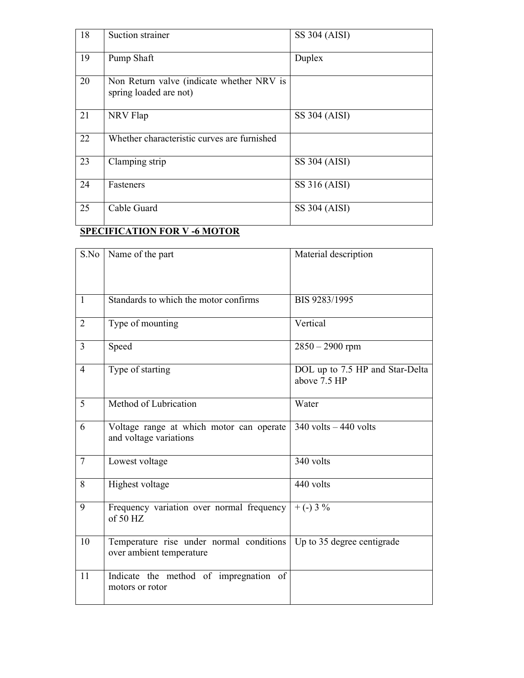| 18 | Suction strainer                                                    | SS 304 (AISI) |
|----|---------------------------------------------------------------------|---------------|
| 19 | Pump Shaft                                                          | Duplex        |
| 20 | Non Return valve (indicate whether NRV is<br>spring loaded are not) |               |
| 21 | NRV Flap                                                            | SS 304 (AISI) |
| 22 | Whether characteristic curves are furnished                         |               |
| 23 | Clamping strip                                                      | SS 304 (AISI) |
| 24 | Fasteners                                                           | SS 316 (AISI) |
| 25 | Cable Guard                                                         | SS 304 (AISI) |

# SPECIFICATION FOR V -6 MOTOR

| S.No           | Name of the part                                                     | Material description                            |
|----------------|----------------------------------------------------------------------|-------------------------------------------------|
| $\mathbf{1}$   | Standards to which the motor confirms                                | BIS 9283/1995                                   |
| $\overline{2}$ | Type of mounting                                                     | Vertical                                        |
| 3              | Speed                                                                | $2850 - 2900$ rpm                               |
| $\overline{4}$ | Type of starting                                                     | DOL up to 7.5 HP and Star-Delta<br>above 7.5 HP |
| 5              | Method of Lubrication                                                | Water                                           |
| 6              | Voltage range at which motor can operate<br>and voltage variations   | $340$ volts $-440$ volts                        |
| $\overline{7}$ | Lowest voltage                                                       | $\overline{340}$ volts                          |
| 8              | Highest voltage                                                      | 440 volts                                       |
| 9              | Frequency variation over normal frequency<br>of 50 HZ                | $+$ (-) 3 %                                     |
| 10             | Temperature rise under normal conditions<br>over ambient temperature | Up to 35 degree centigrade                      |
| 11             | Indicate the method of impregnation of<br>motors or rotor            |                                                 |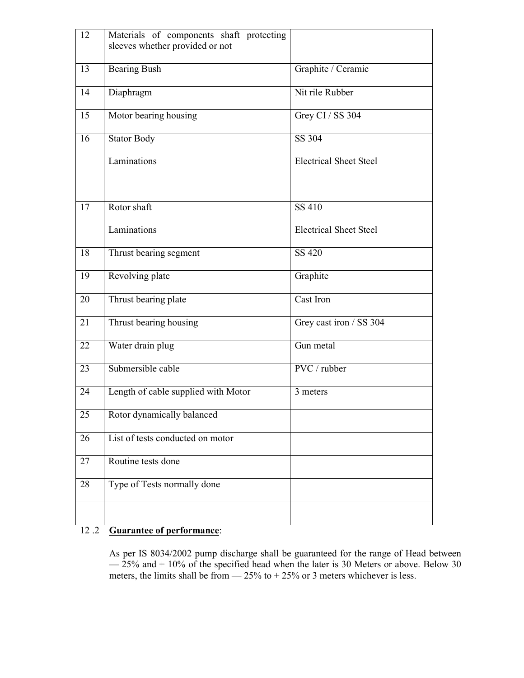| 12 | Materials of components shaft protecting<br>sleeves whether provided or not |                               |
|----|-----------------------------------------------------------------------------|-------------------------------|
| 13 | <b>Bearing Bush</b>                                                         | Graphite / Ceramic            |
| 14 | Diaphragm                                                                   | Nit rile Rubber               |
| 15 | Motor bearing housing                                                       | Grey CI / SS 304              |
| 16 | <b>Stator Body</b>                                                          | SS 304                        |
|    | Laminations                                                                 | <b>Electrical Sheet Steel</b> |
| 17 | Rotor shaft                                                                 | SS 410                        |
|    | Laminations                                                                 | <b>Electrical Sheet Steel</b> |
| 18 | Thrust bearing segment                                                      | $\overline{\text{SS }420}$    |
| 19 | Revolving plate                                                             | Graphite                      |
| 20 | Thrust bearing plate                                                        | Cast Iron                     |
| 21 | Thrust bearing housing                                                      | Grey cast iron / SS 304       |
| 22 | Water drain plug                                                            | Gun metal                     |
| 23 | Submersible cable                                                           | PVC / rubber                  |
| 24 | Length of cable supplied with Motor                                         | 3 meters                      |
| 25 | Rotor dynamically balanced                                                  |                               |
| 26 | List of tests conducted on motor                                            |                               |
| 27 | Routine tests done                                                          |                               |
| 28 | Type of Tests normally done                                                 |                               |
|    |                                                                             |                               |

# 12 .2 Guarantee of performance:

As per IS 8034/2002 pump discharge shall be guaranteed for the range of Head between  $-25%$  and + 10% of the specified head when the later is 30 Meters or above. Below 30 meters, the limits shall be from  $-25\%$  to  $+25\%$  or 3 meters whichever is less.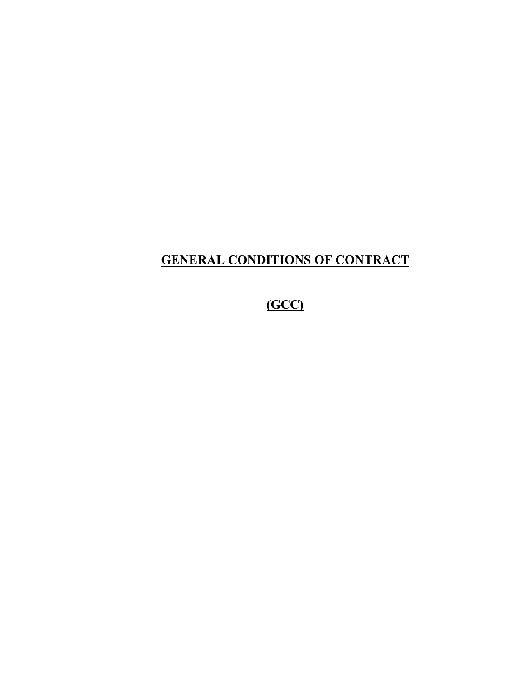# GENERAL CONDITIONS OF CONTRACT

(GCC)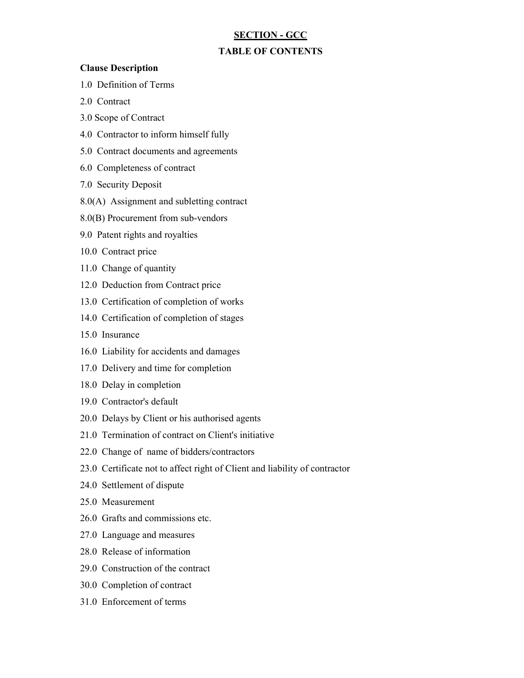# SECTION - GCC TABLE OF CONTENTS

#### Clause Description

- 1.0 Definition of Terms
- 2.0 Contract
- 3.0 Scope of Contract
- 4.0 Contractor to inform himself fully
- 5.0 Contract documents and agreements
- 6.0 Completeness of contract
- 7.0 Security Deposit
- 8.0(A) Assignment and subletting contract
- 8.0(B) Procurement from sub-vendors
- 9.0 Patent rights and royalties
- 10.0 Contract price
- 11.0 Change of quantity
- 12.0 Deduction from Contract price
- 13.0 Certification of completion of works
- 14.0 Certification of completion of stages
- 15.0 Insurance
- 16.0 Liability for accidents and damages
- 17.0 Delivery and time for completion
- 18.0 Delay in completion
- 19.0 Contractor's default
- 20.0 Delays by Client or his authorised agents
- 21.0 Termination of contract on Client's initiative
- 22.0 Change of name of bidders/contractors
- 23.0 Certificate not to affect right of Client and liability of contractor
- 24.0 Settlement of dispute
- 25.0 Measurement
- 26.0 Grafts and commissions etc.
- 27.0 Language and measures
- 28.0 Release of information
- 29.0 Construction of the contract
- 30.0 Completion of contract
- 31.0 Enforcement of terms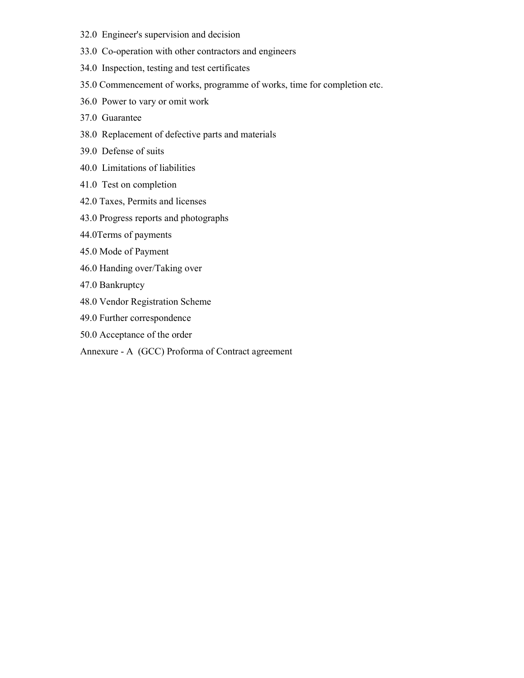- 32.0 Engineer's supervision and decision
- 33.0 Co-operation with other contractors and engineers
- 34.0 Inspection, testing and test certificates
- 35.0 Commencement of works, programme of works, time for completion etc.
- 36.0 Power to vary or omit work
- 37.0 Guarantee
- 38.0 Replacement of defective parts and materials
- 39.0 Defense of suits
- 40.0 Limitations of liabilities
- 41.0 Test on completion
- 42.0 Taxes, Permits and licenses
- 43.0 Progress reports and photographs
- 44.0Terms of payments
- 45.0 Mode of Payment
- 46.0 Handing over/Taking over
- 47.0 Bankruptcy
- 48.0 Vendor Registration Scheme
- 49.0 Further correspondence
- 50.0 Acceptance of the order

Annexure - A (GCC) Proforma of Contract agreement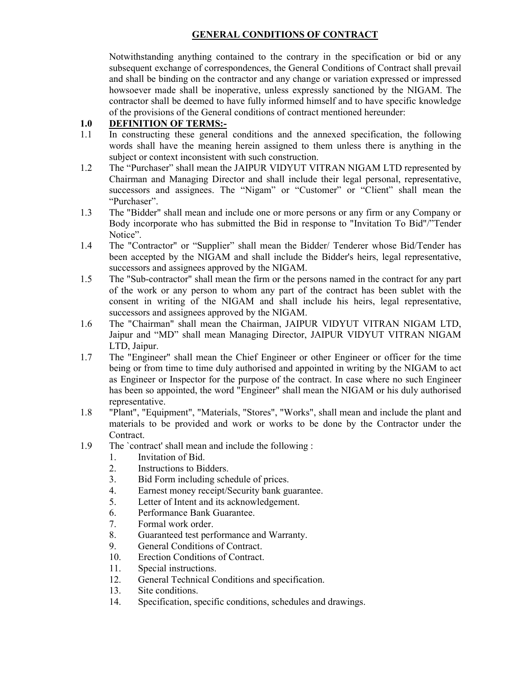# GENERAL CONDITIONS OF CONTRACT

Notwithstanding anything contained to the contrary in the specification or bid or any subsequent exchange of correspondences, the General Conditions of Contract shall prevail and shall be binding on the contractor and any change or variation expressed or impressed howsoever made shall be inoperative, unless expressly sanctioned by the NIGAM. The contractor shall be deemed to have fully informed himself and to have specific knowledge of the provisions of the General conditions of contract mentioned hereunder:

# 1.0 DEFINITION OF TERMS:-

- 1.1 In constructing these general conditions and the annexed specification, the following words shall have the meaning herein assigned to them unless there is anything in the subject or context inconsistent with such construction.
- 1.2 The "Purchaser" shall mean the JAIPUR VIDYUT VITRAN NIGAM LTD represented by Chairman and Managing Director and shall include their legal personal, representative, successors and assignees. The "Nigam" or "Customer" or "Client" shall mean the "Purchaser".
- 1.3 The "Bidder" shall mean and include one or more persons or any firm or any Company or Body incorporate who has submitted the Bid in response to "Invitation To Bid"/"Tender Notice".
- 1.4 The "Contractor" or "Supplier" shall mean the Bidder/ Tenderer whose Bid/Tender has been accepted by the NIGAM and shall include the Bidder's heirs, legal representative, successors and assignees approved by the NIGAM.
- 1.5 The "Sub-contractor" shall mean the firm or the persons named in the contract for any part of the work or any person to whom any part of the contract has been sublet with the consent in writing of the NIGAM and shall include his heirs, legal representative, successors and assignees approved by the NIGAM.
- 1.6 The "Chairman" shall mean the Chairman, JAIPUR VIDYUT VITRAN NIGAM LTD, Jaipur and "MD" shall mean Managing Director, JAIPUR VIDYUT VITRAN NIGAM LTD, Jaipur.
- 1.7 The "Engineer" shall mean the Chief Engineer or other Engineer or officer for the time being or from time to time duly authorised and appointed in writing by the NIGAM to act as Engineer or Inspector for the purpose of the contract. In case where no such Engineer has been so appointed, the word "Engineer" shall mean the NIGAM or his duly authorised representative.
- 1.8 "Plant", "Equipment", "Materials, "Stores", "Works", shall mean and include the plant and materials to be provided and work or works to be done by the Contractor under the Contract.
- 1.9 The `contract' shall mean and include the following :
	- 1. Invitation of Bid.
	- 2. Instructions to Bidders.
	- 3. Bid Form including schedule of prices.
	- 4. Earnest money receipt/Security bank guarantee.<br>5. Letter of Intent and its acknowledgement.
	- Letter of Intent and its acknowledgement.
	- 6. Performance Bank Guarantee.<br>7. Formal work order.
	- Formal work order.
	- 8. Guaranteed test performance and Warranty.
	- 9. General Conditions of Contract.
	- 10. Erection Conditions of Contract.
	- 11. Special instructions.
	- 12. General Technical Conditions and specification.
	- 13. Site conditions.
	- 14. Specification, specific conditions, schedules and drawings.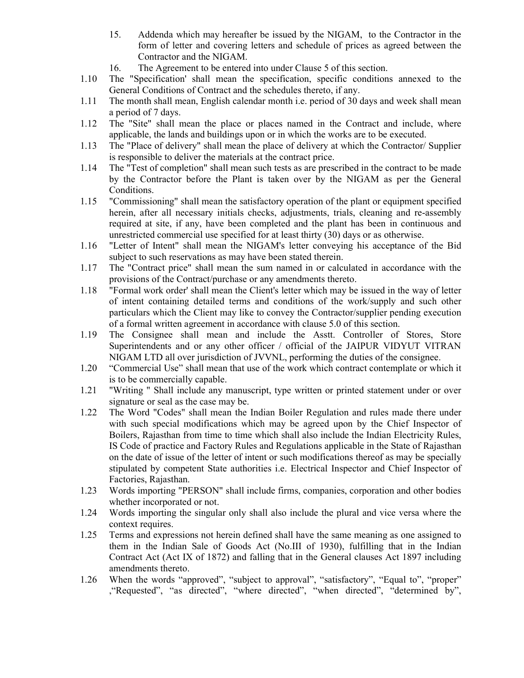- 15. Addenda which may hereafter be issued by the NIGAM, to the Contractor in the form of letter and covering letters and schedule of prices as agreed between the Contractor and the NIGAM.
- 16. The Agreement to be entered into under Clause 5 of this section.
- 1.10 The "Specification' shall mean the specification, specific conditions annexed to the General Conditions of Contract and the schedules thereto, if any.
- 1.11 The month shall mean, English calendar month i.e. period of 30 days and week shall mean a period of 7 days.
- 1.12 The "Site" shall mean the place or places named in the Contract and include, where applicable, the lands and buildings upon or in which the works are to be executed.
- 1.13 The "Place of delivery" shall mean the place of delivery at which the Contractor/ Supplier is responsible to deliver the materials at the contract price.
- 1.14 The "Test of completion" shall mean such tests as are prescribed in the contract to be made by the Contractor before the Plant is taken over by the NIGAM as per the General Conditions.
- 1.15 "Commissioning" shall mean the satisfactory operation of the plant or equipment specified herein, after all necessary initials checks, adjustments, trials, cleaning and re-assembly required at site, if any, have been completed and the plant has been in continuous and unrestricted commercial use specified for at least thirty (30) days or as otherwise.
- 1.16 "Letter of Intent" shall mean the NIGAM's letter conveying his acceptance of the Bid subject to such reservations as may have been stated therein.
- 1.17 The "Contract price" shall mean the sum named in or calculated in accordance with the provisions of the Contract/purchase or any amendments thereto.
- 1.18 "Formal work order' shall mean the Client's letter which may be issued in the way of letter of intent containing detailed terms and conditions of the work/supply and such other particulars which the Client may like to convey the Contractor/supplier pending execution of a formal written agreement in accordance with clause 5.0 of this section.
- 1.19 The Consignee shall mean and include the Asstt. Controller of Stores, Store Superintendents and or any other officer / official of the JAIPUR VIDYUT VITRAN NIGAM LTD all over jurisdiction of JVVNL, performing the duties of the consignee.
- 1.20 "Commercial Use" shall mean that use of the work which contract contemplate or which it is to be commercially capable.
- 1.21 "Writing " Shall include any manuscript, type written or printed statement under or over signature or seal as the case may be.
- 1.22 The Word "Codes" shall mean the Indian Boiler Regulation and rules made there under with such special modifications which may be agreed upon by the Chief Inspector of Boilers, Rajasthan from time to time which shall also include the Indian Electricity Rules, IS Code of practice and Factory Rules and Regulations applicable in the State of Rajasthan on the date of issue of the letter of intent or such modifications thereof as may be specially stipulated by competent State authorities i.e. Electrical Inspector and Chief Inspector of Factories, Rajasthan.
- 1.23 Words importing "PERSON" shall include firms, companies, corporation and other bodies whether incorporated or not.
- 1.24 Words importing the singular only shall also include the plural and vice versa where the context requires.
- 1.25 Terms and expressions not herein defined shall have the same meaning as one assigned to them in the Indian Sale of Goods Act (No.III of 1930), fulfilling that in the Indian Contract Act (Act IX of 1872) and falling that in the General clauses Act 1897 including amendments thereto.
- 1.26 When the words "approved", "subject to approval", "satisfactory", "Equal to", "proper" ,"Requested", "as directed", "where directed", "when directed", "determined by",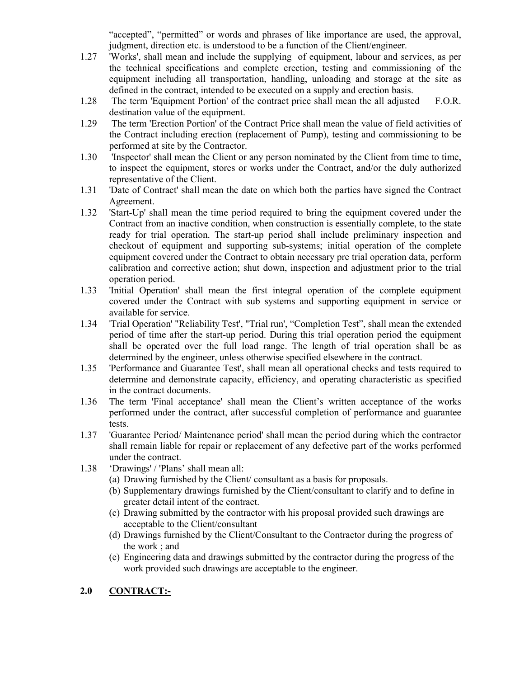"accepted", "permitted" or words and phrases of like importance are used, the approval, judgment, direction etc. is understood to be a function of the Client/engineer.

- 1.27 'Works', shall mean and include the supplying of equipment, labour and services, as per the technical specifications and complete erection, testing and commissioning of the equipment including all transportation, handling, unloading and storage at the site as defined in the contract, intended to be executed on a supply and erection basis.
- 1.28 The term 'Equipment Portion' of the contract price shall mean the all adjusted F.O.R. destination value of the equipment.
- 1.29 The term 'Erection Portion' of the Contract Price shall mean the value of field activities of the Contract including erection (replacement of Pump), testing and commissioning to be performed at site by the Contractor.
- 1.30 'Inspector' shall mean the Client or any person nominated by the Client from time to time, to inspect the equipment, stores or works under the Contract, and/or the duly authorized representative of the Client.
- 1.31 'Date of Contract' shall mean the date on which both the parties have signed the Contract Agreement.
- 1.32 'Start-Up' shall mean the time period required to bring the equipment covered under the Contract from an inactive condition, when construction is essentially complete, to the state ready for trial operation. The start-up period shall include preliminary inspection and checkout of equipment and supporting sub-systems; initial operation of the complete equipment covered under the Contract to obtain necessary pre trial operation data, perform calibration and corrective action; shut down, inspection and adjustment prior to the trial operation period.
- 1.33 'Initial Operation' shall mean the first integral operation of the complete equipment covered under the Contract with sub systems and supporting equipment in service or available for service.
- 1.34 'Trial Operation' "Reliability Test', "Trial run', "Completion Test", shall mean the extended period of time after the start-up period. During this trial operation period the equipment shall be operated over the full load range. The length of trial operation shall be as determined by the engineer, unless otherwise specified elsewhere in the contract.
- 1.35 'Performance and Guarantee Test', shall mean all operational checks and tests required to determine and demonstrate capacity, efficiency, and operating characteristic as specified in the contract documents.
- 1.36 The term 'Final acceptance' shall mean the Client's written acceptance of the works performed under the contract, after successful completion of performance and guarantee tests.
- 1.37 'Guarantee Period/ Maintenance period' shall mean the period during which the contractor shall remain liable for repair or replacement of any defective part of the works performed under the contract.
- 1.38 'Drawings' / 'Plans' shall mean all:
	- (a) Drawing furnished by the Client/ consultant as a basis for proposals.
	- (b) Supplementary drawings furnished by the Client/consultant to clarify and to define in greater detail intent of the contract.
	- (c) Drawing submitted by the contractor with his proposal provided such drawings are acceptable to the Client/consultant
	- (d) Drawings furnished by the Client/Consultant to the Contractor during the progress of the work ; and
	- (e) Engineering data and drawings submitted by the contractor during the progress of the work provided such drawings are acceptable to the engineer.
- 2.0 CONTRACT:-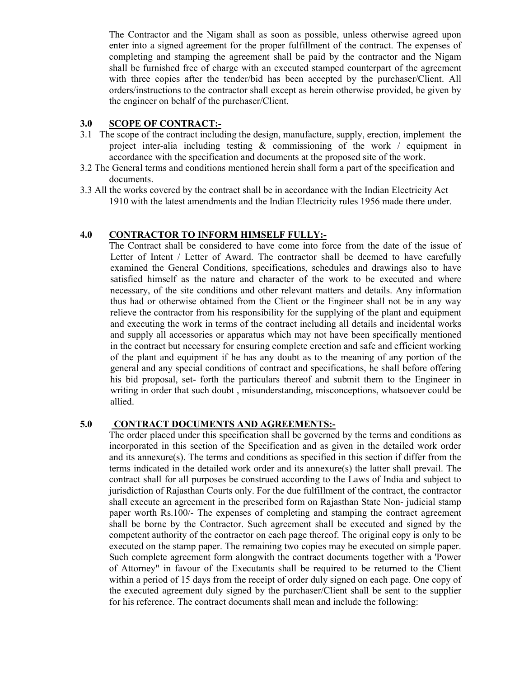The Contractor and the Nigam shall as soon as possible, unless otherwise agreed upon enter into a signed agreement for the proper fulfillment of the contract. The expenses of completing and stamping the agreement shall be paid by the contractor and the Nigam shall be furnished free of charge with an executed stamped counterpart of the agreement with three copies after the tender/bid has been accepted by the purchaser/Client. All orders/instructions to the contractor shall except as herein otherwise provided, be given by the engineer on behalf of the purchaser/Client.

## 3.0 SCOPE OF CONTRACT:-

- 3.1 The scope of the contract including the design, manufacture, supply, erection, implement the project inter-alia including testing  $\&$  commissioning of the work / equipment in accordance with the specification and documents at the proposed site of the work.
- 3.2 The General terms and conditions mentioned herein shall form a part of the specification and documents.
- 3.3 All the works covered by the contract shall be in accordance with the Indian Electricity Act 1910 with the latest amendments and the Indian Electricity rules 1956 made there under.

# 4.0 CONTRACTOR TO INFORM HIMSELF FULLY:-

The Contract shall be considered to have come into force from the date of the issue of Letter of Intent / Letter of Award. The contractor shall be deemed to have carefully examined the General Conditions, specifications, schedules and drawings also to have satisfied himself as the nature and character of the work to be executed and where necessary, of the site conditions and other relevant matters and details. Any information thus had or otherwise obtained from the Client or the Engineer shall not be in any way relieve the contractor from his responsibility for the supplying of the plant and equipment and executing the work in terms of the contract including all details and incidental works and supply all accessories or apparatus which may not have been specifically mentioned in the contract but necessary for ensuring complete erection and safe and efficient working of the plant and equipment if he has any doubt as to the meaning of any portion of the general and any special conditions of contract and specifications, he shall before offering his bid proposal, set- forth the particulars thereof and submit them to the Engineer in writing in order that such doubt , misunderstanding, misconceptions, whatsoever could be allied.

## 5.0 CONTRACT DOCUMENTS AND AGREEMENTS:-

The order placed under this specification shall be governed by the terms and conditions as incorporated in this section of the Specification and as given in the detailed work order and its annexure(s). The terms and conditions as specified in this section if differ from the terms indicated in the detailed work order and its annexure(s) the latter shall prevail. The contract shall for all purposes be construed according to the Laws of India and subject to jurisdiction of Rajasthan Courts only. For the due fulfillment of the contract, the contractor shall execute an agreement in the prescribed form on Rajasthan State Non- judicial stamp paper worth Rs.100/- The expenses of completing and stamping the contract agreement shall be borne by the Contractor. Such agreement shall be executed and signed by the competent authority of the contractor on each page thereof. The original copy is only to be executed on the stamp paper. The remaining two copies may be executed on simple paper. Such complete agreement form alongwith the contract documents together with a 'Power of Attorney" in favour of the Executants shall be required to be returned to the Client within a period of 15 days from the receipt of order duly signed on each page. One copy of the executed agreement duly signed by the purchaser/Client shall be sent to the supplier for his reference. The contract documents shall mean and include the following: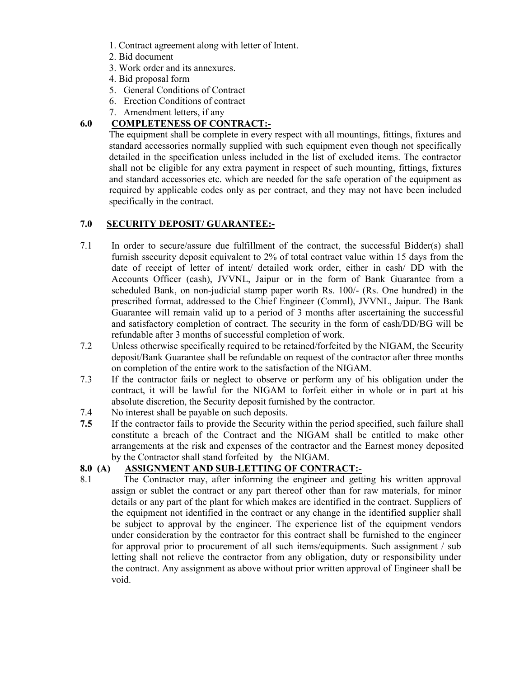- 1. Contract agreement along with letter of Intent.
- 2. Bid document
- 3. Work order and its annexures.
- 4. Bid proposal form
- 5. General Conditions of Contract
- 6. Erection Conditions of contract
- 7. Amendment letters, if any

# 6.0 COMPLETENESS OF CONTRACT:-

The equipment shall be complete in every respect with all mountings, fittings, fixtures and standard accessories normally supplied with such equipment even though not specifically detailed in the specification unless included in the list of excluded items. The contractor shall not be eligible for any extra payment in respect of such mounting, fittings, fixtures and standard accessories etc. which are needed for the safe operation of the equipment as required by applicable codes only as per contract, and they may not have been included specifically in the contract.

## 7.0 SECURITY DEPOSIT/ GUARANTEE:-

- 7.1 In order to secure/assure due fulfillment of the contract, the successful Bidder(s) shall furnish ssecurity deposit equivalent to 2% of total contract value within 15 days from the date of receipt of letter of intent/ detailed work order, either in cash/ DD with the Accounts Officer (cash), JVVNL, Jaipur or in the form of Bank Guarantee from a scheduled Bank, on non-judicial stamp paper worth Rs. 100/- (Rs. One hundred) in the prescribed format, addressed to the Chief Engineer (Comml), JVVNL, Jaipur. The Bank Guarantee will remain valid up to a period of 3 months after ascertaining the successful and satisfactory completion of contract. The security in the form of cash/DD/BG will be refundable after 3 months of successful completion of work.
- 7.2 Unless otherwise specifically required to be retained/forfeited by the NIGAM, the Security deposit/Bank Guarantee shall be refundable on request of the contractor after three months on completion of the entire work to the satisfaction of the NIGAM.
- 7.3 If the contractor fails or neglect to observe or perform any of his obligation under the contract, it will be lawful for the NIGAM to forfeit either in whole or in part at his absolute discretion, the Security deposit furnished by the contractor.
- 7.4 No interest shall be payable on such deposits.<br>7.5 If the contractor fails to provide the Security
- If the contractor fails to provide the Security within the period specified, such failure shall constitute a breach of the Contract and the NIGAM shall be entitled to make other arrangements at the risk and expenses of the contractor and the Earnest money deposited by the Contractor shall stand forfeited by the NIGAM.

# 8.0 (A) ASSIGNMENT AND SUB-LETTING OF CONTRACT:-

8.1 The Contractor may, after informing the engineer and getting his written approval assign or sublet the contract or any part thereof other than for raw materials, for minor details or any part of the plant for which makes are identified in the contract. Suppliers of the equipment not identified in the contract or any change in the identified supplier shall be subject to approval by the engineer. The experience list of the equipment vendors under consideration by the contractor for this contract shall be furnished to the engineer for approval prior to procurement of all such items/equipments. Such assignment / sub letting shall not relieve the contractor from any obligation, duty or responsibility under the contract. Any assignment as above without prior written approval of Engineer shall be void.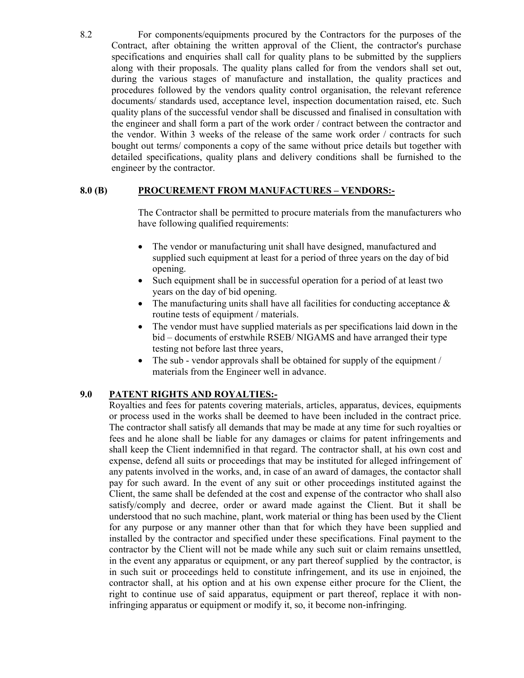8.2 For components/equipments procured by the Contractors for the purposes of the Contract, after obtaining the written approval of the Client, the contractor's purchase specifications and enquiries shall call for quality plans to be submitted by the suppliers along with their proposals. The quality plans called for from the vendors shall set out, during the various stages of manufacture and installation, the quality practices and procedures followed by the vendors quality control organisation, the relevant reference documents/ standards used, acceptance level, inspection documentation raised, etc. Such quality plans of the successful vendor shall be discussed and finalised in consultation with the engineer and shall form a part of the work order / contract between the contractor and the vendor. Within 3 weeks of the release of the same work order / contracts for such bought out terms/ components a copy of the same without price details but together with detailed specifications, quality plans and delivery conditions shall be furnished to the engineer by the contractor.

#### 8.0 (B) PROCUREMENT FROM MANUFACTURES – VENDORS:-

The Contractor shall be permitted to procure materials from the manufacturers who have following qualified requirements:

- The vendor or manufacturing unit shall have designed, manufactured and supplied such equipment at least for a period of three years on the day of bid opening.
- Such equipment shall be in successful operation for a period of at least two years on the day of bid opening.
- The manufacturing units shall have all facilities for conducting acceptance  $\&$ routine tests of equipment / materials.
- The vendor must have supplied materials as per specifications laid down in the bid – documents of erstwhile RSEB/ NIGAMS and have arranged their type testing not before last three years,
- The sub vendor approvals shall be obtained for supply of the equipment / materials from the Engineer well in advance.

#### 9.0 PATENT RIGHTS AND ROYALTIES:-

Royalties and fees for patents covering materials, articles, apparatus, devices, equipments or process used in the works shall be deemed to have been included in the contract price. The contractor shall satisfy all demands that may be made at any time for such royalties or fees and he alone shall be liable for any damages or claims for patent infringements and shall keep the Client indemnified in that regard. The contractor shall, at his own cost and expense, defend all suits or proceedings that may be instituted for alleged infringement of any patents involved in the works, and, in case of an award of damages, the contactor shall pay for such award. In the event of any suit or other proceedings instituted against the Client, the same shall be defended at the cost and expense of the contractor who shall also satisfy/comply and decree, order or award made against the Client. But it shall be understood that no such machine, plant, work material or thing has been used by the Client for any purpose or any manner other than that for which they have been supplied and installed by the contractor and specified under these specifications. Final payment to the contractor by the Client will not be made while any such suit or claim remains unsettled, in the event any apparatus or equipment, or any part thereof supplied by the contractor, is in such suit or proceedings held to constitute infringement, and its use in enjoined, the contractor shall, at his option and at his own expense either procure for the Client, the right to continue use of said apparatus, equipment or part thereof, replace it with noninfringing apparatus or equipment or modify it, so, it become non-infringing.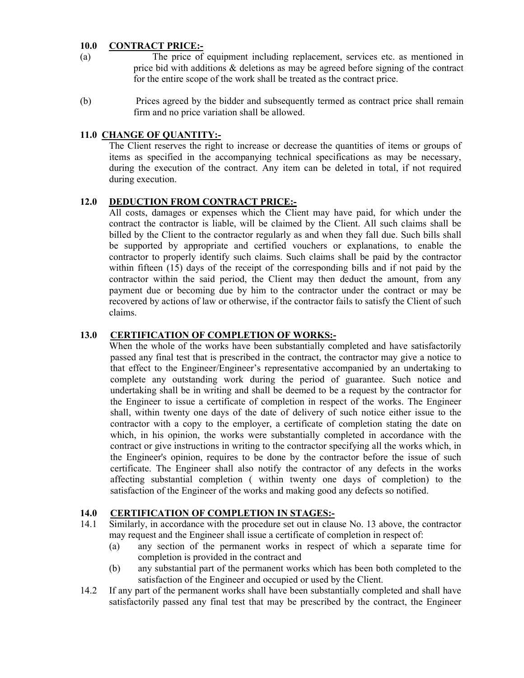# 10.0 CONTRACT PRICE:-

- (a) The price of equipment including replacement, services etc. as mentioned in price bid with additions & deletions as may be agreed before signing of the contract for the entire scope of the work shall be treated as the contract price.
- (b) Prices agreed by the bidder and subsequently termed as contract price shall remain firm and no price variation shall be allowed.

# 11.0 CHANGE OF QUANTITY:-

The Client reserves the right to increase or decrease the quantities of items or groups of items as specified in the accompanying technical specifications as may be necessary, during the execution of the contract. Any item can be deleted in total, if not required during execution.

## 12.0 DEDUCTION FROM CONTRACT PRICE:-

All costs, damages or expenses which the Client may have paid, for which under the contract the contractor is liable, will be claimed by the Client. All such claims shall be billed by the Client to the contractor regularly as and when they fall due. Such bills shall be supported by appropriate and certified vouchers or explanations, to enable the contractor to properly identify such claims. Such claims shall be paid by the contractor within fifteen (15) days of the receipt of the corresponding bills and if not paid by the contractor within the said period, the Client may then deduct the amount, from any payment due or becoming due by him to the contractor under the contract or may be recovered by actions of law or otherwise, if the contractor fails to satisfy the Client of such claims.

## 13.0 CERTIFICATION OF COMPLETION OF WORKS:-

When the whole of the works have been substantially completed and have satisfactorily passed any final test that is prescribed in the contract, the contractor may give a notice to that effect to the Engineer/Engineer's representative accompanied by an undertaking to complete any outstanding work during the period of guarantee. Such notice and undertaking shall be in writing and shall be deemed to be a request by the contractor for the Engineer to issue a certificate of completion in respect of the works. The Engineer shall, within twenty one days of the date of delivery of such notice either issue to the contractor with a copy to the employer, a certificate of completion stating the date on which, in his opinion, the works were substantially completed in accordance with the contract or give instructions in writing to the contractor specifying all the works which, in the Engineer's opinion, requires to be done by the contractor before the issue of such certificate. The Engineer shall also notify the contractor of any defects in the works affecting substantial completion ( within twenty one days of completion) to the satisfaction of the Engineer of the works and making good any defects so notified.

## 14.0 CERTIFICATION OF COMPLETION IN STAGES:-

- 14.1 Similarly, in accordance with the procedure set out in clause No. 13 above, the contractor may request and the Engineer shall issue a certificate of completion in respect of:
	- (a) any section of the permanent works in respect of which a separate time for completion is provided in the contract and
	- (b) any substantial part of the permanent works which has been both completed to the satisfaction of the Engineer and occupied or used by the Client.
- 14.2 If any part of the permanent works shall have been substantially completed and shall have satisfactorily passed any final test that may be prescribed by the contract, the Engineer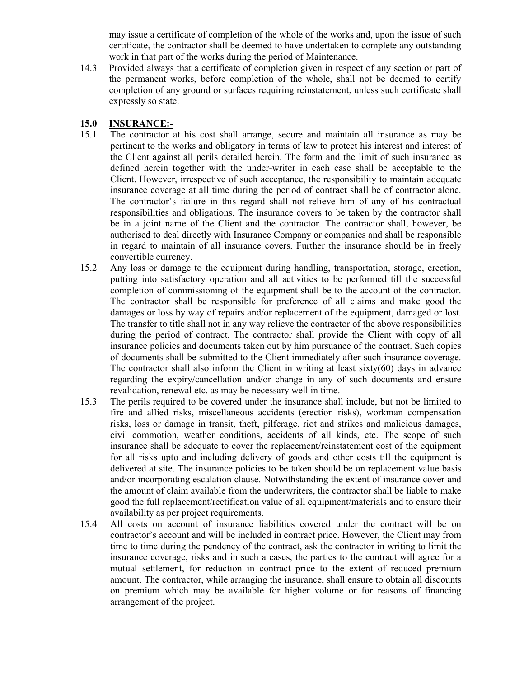may issue a certificate of completion of the whole of the works and, upon the issue of such certificate, the contractor shall be deemed to have undertaken to complete any outstanding work in that part of the works during the period of Maintenance.

14.3 Provided always that a certificate of completion given in respect of any section or part of the permanent works, before completion of the whole, shall not be deemed to certify completion of any ground or surfaces requiring reinstatement, unless such certificate shall expressly so state.

## 15.0 INSURANCE:-

- 15.1 The contractor at his cost shall arrange, secure and maintain all insurance as may be pertinent to the works and obligatory in terms of law to protect his interest and interest of the Client against all perils detailed herein. The form and the limit of such insurance as defined herein together with the under-writer in each case shall be acceptable to the Client. However, irrespective of such acceptance, the responsibility to maintain adequate insurance coverage at all time during the period of contract shall be of contractor alone. The contractor's failure in this regard shall not relieve him of any of his contractual responsibilities and obligations. The insurance covers to be taken by the contractor shall be in a joint name of the Client and the contractor. The contractor shall, however, be authorised to deal directly with Insurance Company or companies and shall be responsible in regard to maintain of all insurance covers. Further the insurance should be in freely convertible currency.
- 15.2 Any loss or damage to the equipment during handling, transportation, storage, erection, putting into satisfactory operation and all activities to be performed till the successful completion of commissioning of the equipment shall be to the account of the contractor. The contractor shall be responsible for preference of all claims and make good the damages or loss by way of repairs and/or replacement of the equipment, damaged or lost. The transfer to title shall not in any way relieve the contractor of the above responsibilities during the period of contract. The contractor shall provide the Client with copy of all insurance policies and documents taken out by him pursuance of the contract. Such copies of documents shall be submitted to the Client immediately after such insurance coverage. The contractor shall also inform the Client in writing at least  $sixty(60)$  days in advance regarding the expiry/cancellation and/or change in any of such documents and ensure revalidation, renewal etc. as may be necessary well in time.
- 15.3 The perils required to be covered under the insurance shall include, but not be limited to fire and allied risks, miscellaneous accidents (erection risks), workman compensation risks, loss or damage in transit, theft, pilferage, riot and strikes and malicious damages, civil commotion, weather conditions, accidents of all kinds, etc. The scope of such insurance shall be adequate to cover the replacement/reinstatement cost of the equipment for all risks upto and including delivery of goods and other costs till the equipment is delivered at site. The insurance policies to be taken should be on replacement value basis and/or incorporating escalation clause. Notwithstanding the extent of insurance cover and the amount of claim available from the underwriters, the contractor shall be liable to make good the full replacement/rectification value of all equipment/materials and to ensure their availability as per project requirements.
- 15.4 All costs on account of insurance liabilities covered under the contract will be on contractor's account and will be included in contract price. However, the Client may from time to time during the pendency of the contract, ask the contractor in writing to limit the insurance coverage, risks and in such a cases, the parties to the contract will agree for a mutual settlement, for reduction in contract price to the extent of reduced premium amount. The contractor, while arranging the insurance, shall ensure to obtain all discounts on premium which may be available for higher volume or for reasons of financing arrangement of the project.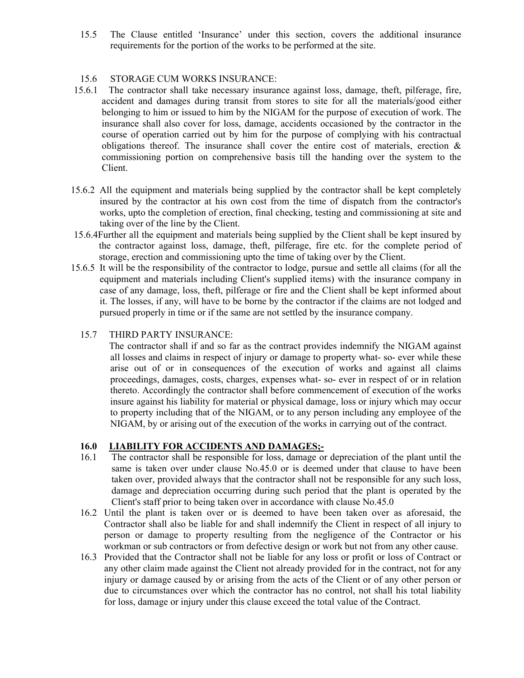15.5 The Clause entitled 'Insurance' under this section, covers the additional insurance requirements for the portion of the works to be performed at the site.

#### 15.6 STORAGE CUM WORKS INSURANCE:

- 15.6.1 The contractor shall take necessary insurance against loss, damage, theft, pilferage, fire, accident and damages during transit from stores to site for all the materials/good either belonging to him or issued to him by the NIGAM for the purpose of execution of work. The insurance shall also cover for loss, damage, accidents occasioned by the contractor in the course of operation carried out by him for the purpose of complying with his contractual obligations thereof. The insurance shall cover the entire cost of materials, erection & commissioning portion on comprehensive basis till the handing over the system to the Client.
- 15.6.2 All the equipment and materials being supplied by the contractor shall be kept completely insured by the contractor at his own cost from the time of dispatch from the contractor's works, upto the completion of erection, final checking, testing and commissioning at site and taking over of the line by the Client.
- 15.6.4Further all the equipment and materials being supplied by the Client shall be kept insured by the contractor against loss, damage, theft, pilferage, fire etc. for the complete period of storage, erection and commissioning upto the time of taking over by the Client.
- 15.6.5 It will be the responsibility of the contractor to lodge, pursue and settle all claims (for all the equipment and materials including Client's supplied items) with the insurance company in case of any damage, loss, theft, pilferage or fire and the Client shall be kept informed about it. The losses, if any, will have to be borne by the contractor if the claims are not lodged and pursued properly in time or if the same are not settled by the insurance company.

#### 15.7 THIRD PARTY INSURANCE:

The contractor shall if and so far as the contract provides indemnify the NIGAM against all losses and claims in respect of injury or damage to property what- so- ever while these arise out of or in consequences of the execution of works and against all claims proceedings, damages, costs, charges, expenses what- so- ever in respect of or in relation thereto. Accordingly the contractor shall before commencement of execution of the works insure against his liability for material or physical damage, loss or injury which may occur to property including that of the NIGAM, or to any person including any employee of the NIGAM, by or arising out of the execution of the works in carrying out of the contract.

#### 16.0 LIABILITY FOR ACCIDENTS AND DAMAGES;-

- 16.1 The contractor shall be responsible for loss, damage or depreciation of the plant until the same is taken over under clause No.45.0 or is deemed under that clause to have been taken over, provided always that the contractor shall not be responsible for any such loss, damage and depreciation occurring during such period that the plant is operated by the Client's staff prior to being taken over in accordance with clause No.45.0
- 16.2 Until the plant is taken over or is deemed to have been taken over as aforesaid, the Contractor shall also be liable for and shall indemnify the Client in respect of all injury to person or damage to property resulting from the negligence of the Contractor or his workman or sub contractors or from defective design or work but not from any other cause.
- 16.3 Provided that the Contractor shall not be liable for any loss or profit or loss of Contract or any other claim made against the Client not already provided for in the contract, not for any injury or damage caused by or arising from the acts of the Client or of any other person or due to circumstances over which the contractor has no control, not shall his total liability for loss, damage or injury under this clause exceed the total value of the Contract.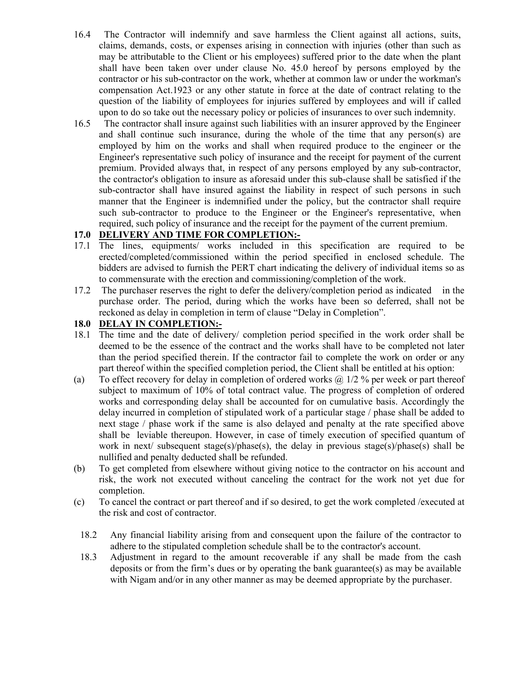- 16.4 The Contractor will indemnify and save harmless the Client against all actions, suits, claims, demands, costs, or expenses arising in connection with injuries (other than such as may be attributable to the Client or his employees) suffered prior to the date when the plant shall have been taken over under clause No. 45.0 hereof by persons employed by the contractor or his sub-contractor on the work, whether at common law or under the workman's compensation Act.1923 or any other statute in force at the date of contract relating to the question of the liability of employees for injuries suffered by employees and will if called upon to do so take out the necessary policy or policies of insurances to over such indemnity.
- 16.5 The contractor shall insure against such liabilities with an insurer approved by the Engineer and shall continue such insurance, during the whole of the time that any person(s) are employed by him on the works and shall when required produce to the engineer or the Engineer's representative such policy of insurance and the receipt for payment of the current premium. Provided always that, in respect of any persons employed by any sub-contractor, the contractor's obligation to insure as aforesaid under this sub-clause shall be satisfied if the sub-contractor shall have insured against the liability in respect of such persons in such manner that the Engineer is indemnified under the policy, but the contractor shall require such sub-contractor to produce to the Engineer or the Engineer's representative, when required, such policy of insurance and the receipt for the payment of the current premium.

# 17.0 DELIVERY AND TIME FOR COMPLETION:-

- 17.1 The lines, equipments/ works included in this specification are required to be erected/completed/commissioned within the period specified in enclosed schedule. The bidders are advised to furnish the PERT chart indicating the delivery of individual items so as to commensurate with the erection and commissioning/completion of the work.
- 17.2 The purchaser reserves the right to defer the delivery/completion period as indicated in the purchase order. The period, during which the works have been so deferred, shall not be reckoned as delay in completion in term of clause "Delay in Completion".

# 18.0 DELAY IN COMPLETION:-

- 18.1 The time and the date of delivery/ completion period specified in the work order shall be deemed to be the essence of the contract and the works shall have to be completed not later than the period specified therein. If the contractor fail to complete the work on order or any part thereof within the specified completion period, the Client shall be entitled at his option:
- (a) To effect recovery for delay in completion of ordered works  $\omega$  1/2 % per week or part thereof subject to maximum of 10% of total contract value. The progress of completion of ordered works and corresponding delay shall be accounted for on cumulative basis. Accordingly the delay incurred in completion of stipulated work of a particular stage / phase shall be added to next stage / phase work if the same is also delayed and penalty at the rate specified above shall be leviable thereupon. However, in case of timely execution of specified quantum of work in next/ subsequent stage(s)/phase(s), the delay in previous stage(s)/phase(s) shall be nullified and penalty deducted shall be refunded.
- (b) To get completed from elsewhere without giving notice to the contractor on his account and risk, the work not executed without canceling the contract for the work not yet due for completion.
- (c) To cancel the contract or part thereof and if so desired, to get the work completed /executed at the risk and cost of contractor.
	- 18.2 Any financial liability arising from and consequent upon the failure of the contractor to adhere to the stipulated completion schedule shall be to the contractor's account.
	- 18.3 Adjustment in regard to the amount recoverable if any shall be made from the cash deposits or from the firm's dues or by operating the bank guarantee(s) as may be available with Nigam and/or in any other manner as may be deemed appropriate by the purchaser.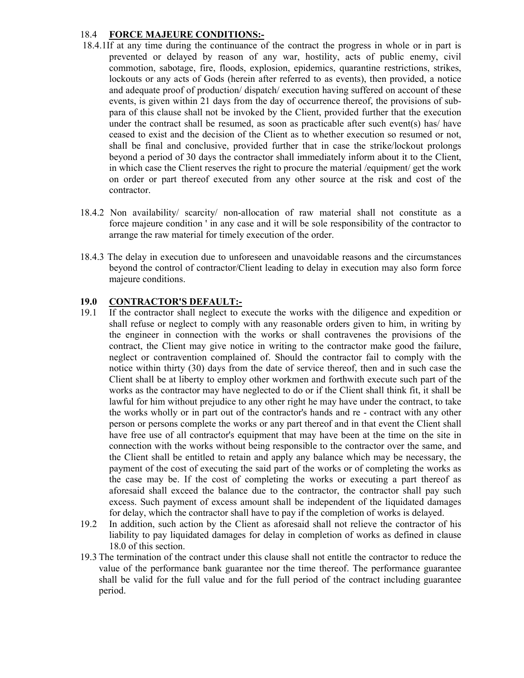#### 18.4 FORCE MAJEURE CONDITIONS:-

- 18.4.1If at any time during the continuance of the contract the progress in whole or in part is prevented or delayed by reason of any war, hostility, acts of public enemy, civil commotion, sabotage, fire, floods, explosion, epidemics, quarantine restrictions, strikes, lockouts or any acts of Gods (herein after referred to as events), then provided, a notice and adequate proof of production/ dispatch/ execution having suffered on account of these events, is given within 21 days from the day of occurrence thereof, the provisions of subpara of this clause shall not be invoked by the Client, provided further that the execution under the contract shall be resumed, as soon as practicable after such event(s) has/ have ceased to exist and the decision of the Client as to whether execution so resumed or not, shall be final and conclusive, provided further that in case the strike/lockout prolongs beyond a period of 30 days the contractor shall immediately inform about it to the Client, in which case the Client reserves the right to procure the material /equipment/ get the work on order or part thereof executed from any other source at the risk and cost of the contractor.
- 18.4.2 Non availability/ scarcity/ non-allocation of raw material shall not constitute as a force majeure condition ' in any case and it will be sole responsibility of the contractor to arrange the raw material for timely execution of the order.
- 18.4.3 The delay in execution due to unforeseen and unavoidable reasons and the circumstances beyond the control of contractor/Client leading to delay in execution may also form force majeure conditions.

## 19.0 CONTRACTOR'S DEFAULT:-

- 19.1 If the contractor shall neglect to execute the works with the diligence and expedition or shall refuse or neglect to comply with any reasonable orders given to him, in writing by the engineer in connection with the works or shall contravenes the provisions of the contract, the Client may give notice in writing to the contractor make good the failure, neglect or contravention complained of. Should the contractor fail to comply with the notice within thirty (30) days from the date of service thereof, then and in such case the Client shall be at liberty to employ other workmen and forthwith execute such part of the works as the contractor may have neglected to do or if the Client shall think fit, it shall be lawful for him without prejudice to any other right he may have under the contract, to take the works wholly or in part out of the contractor's hands and re - contract with any other person or persons complete the works or any part thereof and in that event the Client shall have free use of all contractor's equipment that may have been at the time on the site in connection with the works without being responsible to the contractor over the same, and the Client shall be entitled to retain and apply any balance which may be necessary, the payment of the cost of executing the said part of the works or of completing the works as the case may be. If the cost of completing the works or executing a part thereof as aforesaid shall exceed the balance due to the contractor, the contractor shall pay such excess. Such payment of excess amount shall be independent of the liquidated damages for delay, which the contractor shall have to pay if the completion of works is delayed.
- 19.2 In addition, such action by the Client as aforesaid shall not relieve the contractor of his liability to pay liquidated damages for delay in completion of works as defined in clause 18.0 of this section.
- 19.3 The termination of the contract under this clause shall not entitle the contractor to reduce the value of the performance bank guarantee nor the time thereof. The performance guarantee shall be valid for the full value and for the full period of the contract including guarantee period.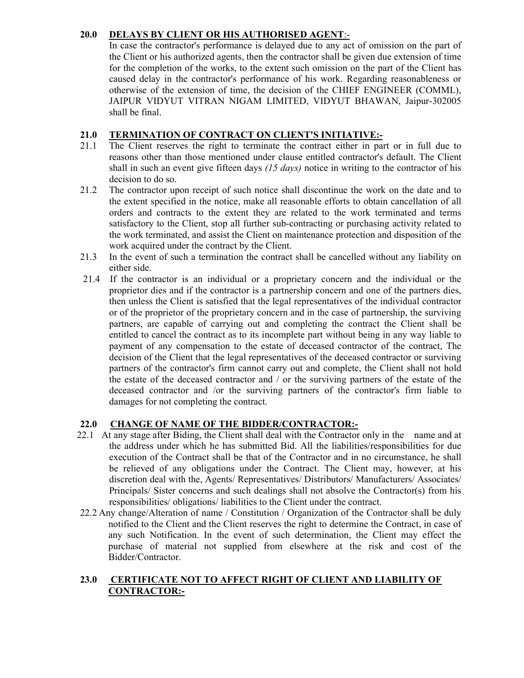# 20.0 DELAYS BY CLIENT OR HIS AUTHORISED AGENT:-

 In case the contractor's performance is delayed due to any act of omission on the part of the Client or his authorized agents, then the contractor shall be given due extension of time for the completion of the works, to the extent such omission on the part of the Client has caused delay in the contractor's performance of his work. Regarding reasonableness or otherwise of the extension of time, the decision of the CHIEF ENGINEER (COMML), JAIPUR VIDYUT VITRAN NIGAM LIMITED, VIDYUT BHAWAN, Jaipur-302005 shall be final.

# 21.0 TERMINATION OF CONTRACT ON CLIENT'S INITIATIVE:-

- 21.1 The Client reserves the right to terminate the contract either in part or in full due to reasons other than those mentioned under clause entitled contractor's default. The Client shall in such an event give fifteen days  $(15 \text{ days})$  notice in writing to the contractor of his decision to do so.
- 21.2 The contractor upon receipt of such notice shall discontinue the work on the date and to the extent specified in the notice, make all reasonable efforts to obtain cancellation of all orders and contracts to the extent they are related to the work terminated and terms satisfactory to the Client, stop all further sub-contracting or purchasing activity related to the work terminated, and assist the Client on maintenance protection and disposition of the work acquired under the contract by the Client.
- 21.3 In the event of such a termination the contract shall be cancelled without any liability on either side.
- 21.4 If the contractor is an individual or a proprietary concern and the individual or the proprietor dies and if the contractor is a partnership concern and one of the partners dies, then unless the Client is satisfied that the legal representatives of the individual contractor or of the proprietor of the proprietary concern and in the case of partnership, the surviving partners, are capable of carrying out and completing the contract the Client shall be entitled to cancel the contract as to its incomplete part without being in any way liable to payment of any compensation to the estate of deceased contractor of the contract, The decision of the Client that the legal representatives of the deceased contractor or surviving partners of the contractor's firm cannot carry out and complete, the Client shall not hold the estate of the deceased contractor and / or the surviving partners of the estate of the deceased contractor and /or the surviving partners of the contractor's firm liable to damages for not completing the contract.

# 22.0 CHANGE OF NAME OF THE BIDDER/CONTRACTOR:-

- 22.1 At any stage after Biding, the Client shall deal with the Contractor only in the name and at the address under which he has submitted Bid. All the liabilities/responsibilities for due execution of the Contract shall be that of the Contractor and in no circumstance, he shall be relieved of any obligations under the Contract. The Client may, however, at his discretion deal with the, Agents/ Representatives/ Distributors/ Manufacturers/ Associates/ Principals/ Sister concerns and such dealings shall not absolve the Contractor(s) from his responsibilities/ obligations/ liabilities to the Client under the contract.
- 22.2 Any change/Alteration of name / Constitution / Organization of the Contractor shall be duly notified to the Client and the Client reserves the right to determine the Contract, in case of any such Notification. In the event of such determination, the Client may effect the purchase of material not supplied from elsewhere at the risk and cost of the Bidder/Contractor.

# 23.0 CERTIFICATE NOT TO AFFECT RIGHT OF CLIENT AND LIABILITY OF CONTRACTOR:-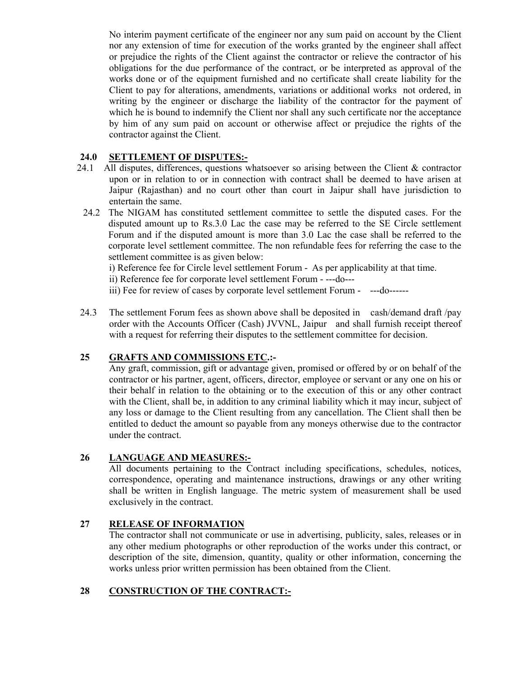No interim payment certificate of the engineer nor any sum paid on account by the Client nor any extension of time for execution of the works granted by the engineer shall affect or prejudice the rights of the Client against the contractor or relieve the contractor of his obligations for the due performance of the contract, or be interpreted as approval of the works done or of the equipment furnished and no certificate shall create liability for the Client to pay for alterations, amendments, variations or additional works not ordered, in writing by the engineer or discharge the liability of the contractor for the payment of which he is bound to indemnify the Client nor shall any such certificate nor the acceptance by him of any sum paid on account or otherwise affect or prejudice the rights of the contractor against the Client.

# 24.0 SETTLEMENT OF DISPUTES:-

- 24.1 All disputes, differences, questions whatsoever so arising between the Client & contractor upon or in relation to or in connection with contract shall be deemed to have arisen at Jaipur (Rajasthan) and no court other than court in Jaipur shall have jurisdiction to entertain the same.
- 24.2 The NIGAM has constituted settlement committee to settle the disputed cases. For the disputed amount up to Rs.3.0 Lac the case may be referred to the SE Circle settlement Forum and if the disputed amount is more than 3.0 Lac the case shall be referred to the corporate level settlement committee. The non refundable fees for referring the case to the settlement committee is as given below:

i) Reference fee for Circle level settlement Forum - As per applicability at that time.

ii) Reference fee for corporate level settlement Forum - ---do---

- iii) Fee for review of cases by corporate level settlement Forum ---do------
- 24.3 The settlement Forum fees as shown above shall be deposited in cash/demand draft /pay order with the Accounts Officer (Cash) JVVNL, Jaipur and shall furnish receipt thereof with a request for referring their disputes to the settlement committee for decision.

# 25 GRAFTS AND COMMISSIONS ETC.:-

Any graft, commission, gift or advantage given, promised or offered by or on behalf of the contractor or his partner, agent, officers, director, employee or servant or any one on his or their behalf in relation to the obtaining or to the execution of this or any other contract with the Client, shall be, in addition to any criminal liability which it may incur, subject of any loss or damage to the Client resulting from any cancellation. The Client shall then be entitled to deduct the amount so payable from any moneys otherwise due to the contractor under the contract.

## 26 LANGUAGE AND MEASURES:-

All documents pertaining to the Contract including specifications, schedules, notices, correspondence, operating and maintenance instructions, drawings or any other writing shall be written in English language. The metric system of measurement shall be used exclusively in the contract.

## 27 RELEASE OF INFORMATION

The contractor shall not communicate or use in advertising, publicity, sales, releases or in any other medium photographs or other reproduction of the works under this contract, or description of the site, dimension, quantity, quality or other information, concerning the works unless prior written permission has been obtained from the Client.

# 28 CONSTRUCTION OF THE CONTRACT:-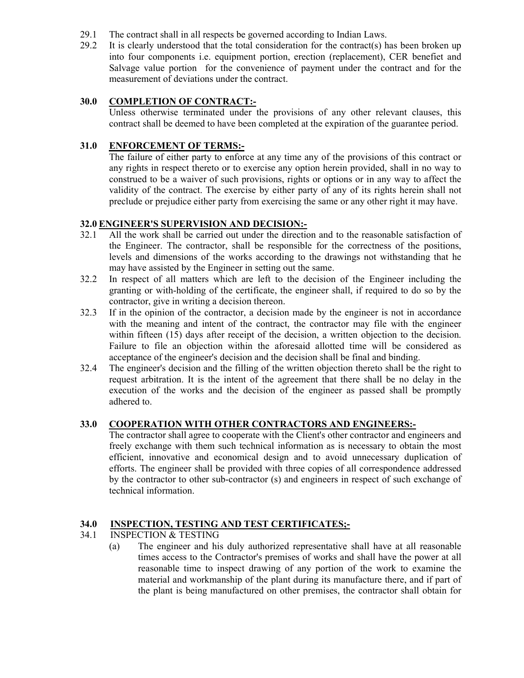- 29.1 The contract shall in all respects be governed according to Indian Laws.
- 29.2 It is clearly understood that the total consideration for the contract(s) has been broken up into four components i.e. equipment portion, erection (replacement), CER benefiet and Salvage value portion for the convenience of payment under the contract and for the measurement of deviations under the contract.

#### 30.0 COMPLETION OF CONTRACT:-

Unless otherwise terminated under the provisions of any other relevant clauses, this contract shall be deemed to have been completed at the expiration of the guarantee period.

#### 31.0 ENFORCEMENT OF TERMS:-

The failure of either party to enforce at any time any of the provisions of this contract or any rights in respect thereto or to exercise any option herein provided, shall in no way to construed to be a waiver of such provisions, rights or options or in any way to affect the validity of the contract. The exercise by either party of any of its rights herein shall not preclude or prejudice either party from exercising the same or any other right it may have.

#### 32.0 ENGINEER'S SUPERVISION AND DECISION:-

- 32.1 All the work shall be carried out under the direction and to the reasonable satisfaction of the Engineer. The contractor, shall be responsible for the correctness of the positions, levels and dimensions of the works according to the drawings not withstanding that he may have assisted by the Engineer in setting out the same.
- 32.2 In respect of all matters which are left to the decision of the Engineer including the granting or with-holding of the certificate, the engineer shall, if required to do so by the contractor, give in writing a decision thereon.
- 32.3 If in the opinion of the contractor, a decision made by the engineer is not in accordance with the meaning and intent of the contract, the contractor may file with the engineer within fifteen (15) days after receipt of the decision, a written objection to the decision. Failure to file an objection within the aforesaid allotted time will be considered as acceptance of the engineer's decision and the decision shall be final and binding.
- 32.4 The engineer's decision and the filling of the written objection thereto shall be the right to request arbitration. It is the intent of the agreement that there shall be no delay in the execution of the works and the decision of the engineer as passed shall be promptly adhered to.

## 33.0 COOPERATION WITH OTHER CONTRACTORS AND ENGINEERS:-

The contractor shall agree to cooperate with the Client's other contractor and engineers and freely exchange with them such technical information as is necessary to obtain the most efficient, innovative and economical design and to avoid unnecessary duplication of efforts. The engineer shall be provided with three copies of all correspondence addressed by the contractor to other sub-contractor (s) and engineers in respect of such exchange of technical information.

#### 34.0 INSPECTION, TESTING AND TEST CERTIFICATES;-

- 34.1 INSPECTION & TESTING
	- (a) The engineer and his duly authorized representative shall have at all reasonable times access to the Contractor's premises of works and shall have the power at all reasonable time to inspect drawing of any portion of the work to examine the material and workmanship of the plant during its manufacture there, and if part of the plant is being manufactured on other premises, the contractor shall obtain for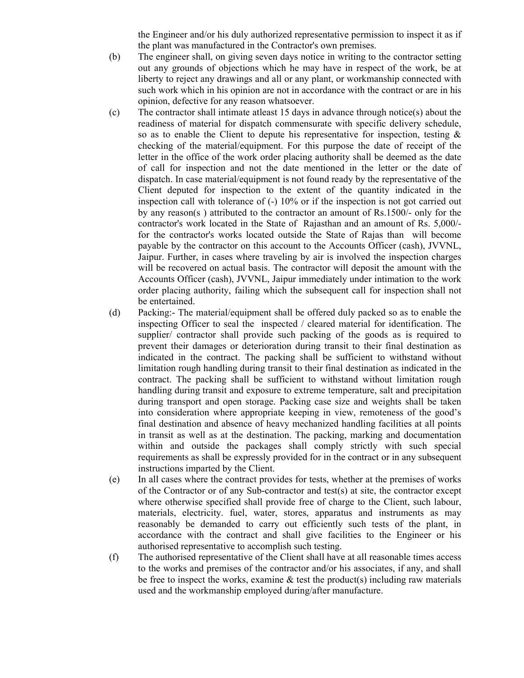the Engineer and/or his duly authorized representative permission to inspect it as if the plant was manufactured in the Contractor's own premises.

- (b) The engineer shall, on giving seven days notice in writing to the contractor setting out any grounds of objections which he may have in respect of the work, be at liberty to reject any drawings and all or any plant, or workmanship connected with such work which in his opinion are not in accordance with the contract or are in his opinion, defective for any reason whatsoever.
- (c) The contractor shall intimate atleast 15 days in advance through notice(s) about the readiness of material for dispatch commensurate with specific delivery schedule, so as to enable the Client to depute his representative for inspection, testing  $\&$ checking of the material/equipment. For this purpose the date of receipt of the letter in the office of the work order placing authority shall be deemed as the date of call for inspection and not the date mentioned in the letter or the date of dispatch. In case material/equipment is not found ready by the representative of the Client deputed for inspection to the extent of the quantity indicated in the inspection call with tolerance of (-) 10% or if the inspection is not got carried out by any reason(s ) attributed to the contractor an amount of Rs.1500/- only for the contractor's work located in the State of Rajasthan and an amount of Rs. 5,000/ for the contractor's works located outside the State of Rajas than will become payable by the contractor on this account to the Accounts Officer (cash), JVVNL, Jaipur. Further, in cases where traveling by air is involved the inspection charges will be recovered on actual basis. The contractor will deposit the amount with the Accounts Officer (cash), JVVNL, Jaipur immediately under intimation to the work order placing authority, failing which the subsequent call for inspection shall not be entertained.
- (d) Packing:- The material/equipment shall be offered duly packed so as to enable the inspecting Officer to seal the inspected / cleared material for identification. The supplier/ contractor shall provide such packing of the goods as is required to prevent their damages or deterioration during transit to their final destination as indicated in the contract. The packing shall be sufficient to withstand without limitation rough handling during transit to their final destination as indicated in the contract. The packing shall be sufficient to withstand without limitation rough handling during transit and exposure to extreme temperature, salt and precipitation during transport and open storage. Packing case size and weights shall be taken into consideration where appropriate keeping in view, remoteness of the good's final destination and absence of heavy mechanized handling facilities at all points in transit as well as at the destination. The packing, marking and documentation within and outside the packages shall comply strictly with such special requirements as shall be expressly provided for in the contract or in any subsequent instructions imparted by the Client.
- (e) In all cases where the contract provides for tests, whether at the premises of works of the Contractor or of any Sub-contractor and test(s) at site, the contractor except where otherwise specified shall provide free of charge to the Client, such labour, materials, electricity. fuel, water, stores, apparatus and instruments as may reasonably be demanded to carry out efficiently such tests of the plant, in accordance with the contract and shall give facilities to the Engineer or his authorised representative to accomplish such testing.
- (f) The authorised representative of the Client shall have at all reasonable times access to the works and premises of the contractor and/or his associates, if any, and shall be free to inspect the works, examine  $\&$  test the product(s) including raw materials used and the workmanship employed during/after manufacture.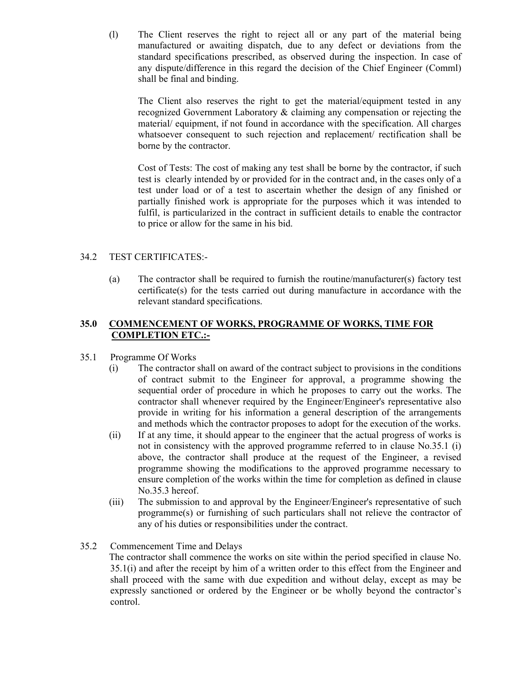(l) The Client reserves the right to reject all or any part of the material being manufactured or awaiting dispatch, due to any defect or deviations from the standard specifications prescribed, as observed during the inspection. In case of any dispute/difference in this regard the decision of the Chief Engineer (Comml) shall be final and binding.

 The Client also reserves the right to get the material/equipment tested in any recognized Government Laboratory & claiming any compensation or rejecting the material/ equipment, if not found in accordance with the specification. All charges whatsoever consequent to such rejection and replacement/ rectification shall be borne by the contractor.

 Cost of Tests: The cost of making any test shall be borne by the contractor, if such test is clearly intended by or provided for in the contract and, in the cases only of a test under load or of a test to ascertain whether the design of any finished or partially finished work is appropriate for the purposes which it was intended to fulfil, is particularized in the contract in sufficient details to enable the contractor to price or allow for the same in his bid.

## 34.2 TEST CERTIFICATES:-

(a) The contractor shall be required to furnish the routine/manufacturer(s) factory test certificate(s) for the tests carried out during manufacture in accordance with the relevant standard specifications.

#### 35.0 COMMENCEMENT OF WORKS, PROGRAMME OF WORKS, TIME FOR COMPLETION ETC.:-

#### 35.1 Programme Of Works

- (i) The contractor shall on award of the contract subject to provisions in the conditions of contract submit to the Engineer for approval, a programme showing the sequential order of procedure in which he proposes to carry out the works. The contractor shall whenever required by the Engineer/Engineer's representative also provide in writing for his information a general description of the arrangements and methods which the contractor proposes to adopt for the execution of the works.
- (ii) If at any time, it should appear to the engineer that the actual progress of works is not in consistency with the approved programme referred to in clause No.35.1 (i) above, the contractor shall produce at the request of the Engineer, a revised programme showing the modifications to the approved programme necessary to ensure completion of the works within the time for completion as defined in clause No.35.3 hereof.
- (iii) The submission to and approval by the Engineer/Engineer's representative of such programme(s) or furnishing of such particulars shall not relieve the contractor of any of his duties or responsibilities under the contract.

#### 35.2 Commencement Time and Delays

The contractor shall commence the works on site within the period specified in clause No. 35.1(i) and after the receipt by him of a written order to this effect from the Engineer and shall proceed with the same with due expedition and without delay, except as may be expressly sanctioned or ordered by the Engineer or be wholly beyond the contractor's control.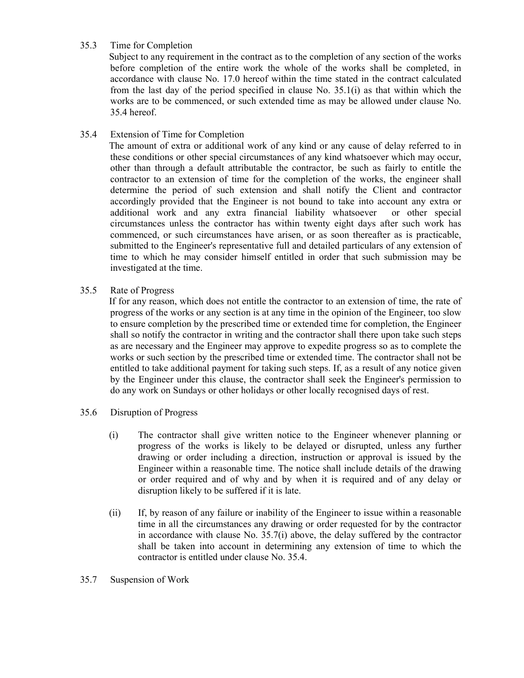## 35.3 Time for Completion

Subject to any requirement in the contract as to the completion of any section of the works before completion of the entire work the whole of the works shall be completed, in accordance with clause No. 17.0 hereof within the time stated in the contract calculated from the last day of the period specified in clause No. 35.1(i) as that within which the works are to be commenced, or such extended time as may be allowed under clause No. 35.4 hereof.

# 35.4 Extension of Time for Completion

The amount of extra or additional work of any kind or any cause of delay referred to in these conditions or other special circumstances of any kind whatsoever which may occur, other than through a default attributable the contractor, be such as fairly to entitle the contractor to an extension of time for the completion of the works, the engineer shall determine the period of such extension and shall notify the Client and contractor accordingly provided that the Engineer is not bound to take into account any extra or additional work and any extra financial liability whatsoever or other special circumstances unless the contractor has within twenty eight days after such work has commenced, or such circumstances have arisen, or as soon thereafter as is practicable, submitted to the Engineer's representative full and detailed particulars of any extension of time to which he may consider himself entitled in order that such submission may be investigated at the time.

# 35.5 Rate of Progress

If for any reason, which does not entitle the contractor to an extension of time, the rate of progress of the works or any section is at any time in the opinion of the Engineer, too slow to ensure completion by the prescribed time or extended time for completion, the Engineer shall so notify the contractor in writing and the contractor shall there upon take such steps as are necessary and the Engineer may approve to expedite progress so as to complete the works or such section by the prescribed time or extended time. The contractor shall not be entitled to take additional payment for taking such steps. If, as a result of any notice given by the Engineer under this clause, the contractor shall seek the Engineer's permission to do any work on Sundays or other holidays or other locally recognised days of rest.

- 35.6 Disruption of Progress
	- (i) The contractor shall give written notice to the Engineer whenever planning or progress of the works is likely to be delayed or disrupted, unless any further drawing or order including a direction, instruction or approval is issued by the Engineer within a reasonable time. The notice shall include details of the drawing or order required and of why and by when it is required and of any delay or disruption likely to be suffered if it is late.
	- (ii) If, by reason of any failure or inability of the Engineer to issue within a reasonable time in all the circumstances any drawing or order requested for by the contractor in accordance with clause No.  $35.7(i)$  above, the delay suffered by the contractor shall be taken into account in determining any extension of time to which the contractor is entitled under clause No. 35.4.
- 35.7 Suspension of Work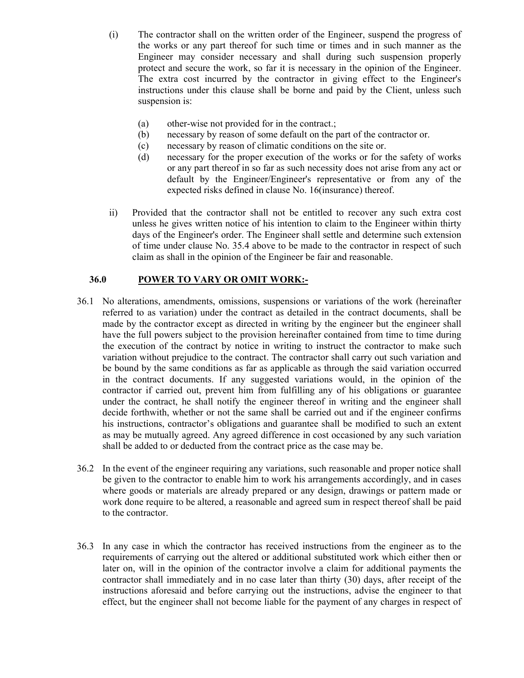- (i) The contractor shall on the written order of the Engineer, suspend the progress of the works or any part thereof for such time or times and in such manner as the Engineer may consider necessary and shall during such suspension properly protect and secure the work, so far it is necessary in the opinion of the Engineer. The extra cost incurred by the contractor in giving effect to the Engineer's instructions under this clause shall be borne and paid by the Client, unless such suspension is:
	- (a) other-wise not provided for in the contract.;
	- (b) necessary by reason of some default on the part of the contractor or.
	- (c) necessary by reason of climatic conditions on the site or.
	- (d) necessary for the proper execution of the works or for the safety of works or any part thereof in so far as such necessity does not arise from any act or default by the Engineer/Engineer's representative or from any of the expected risks defined in clause No. 16(insurance) thereof.
- ii) Provided that the contractor shall not be entitled to recover any such extra cost unless he gives written notice of his intention to claim to the Engineer within thirty days of the Engineer's order. The Engineer shall settle and determine such extension of time under clause No. 35.4 above to be made to the contractor in respect of such claim as shall in the opinion of the Engineer be fair and reasonable.

# 36.0 POWER TO VARY OR OMIT WORK:-

- 36.1 No alterations, amendments, omissions, suspensions or variations of the work (hereinafter referred to as variation) under the contract as detailed in the contract documents, shall be made by the contractor except as directed in writing by the engineer but the engineer shall have the full powers subject to the provision hereinafter contained from time to time during the execution of the contract by notice in writing to instruct the contractor to make such variation without prejudice to the contract. The contractor shall carry out such variation and be bound by the same conditions as far as applicable as through the said variation occurred in the contract documents. If any suggested variations would, in the opinion of the contractor if carried out, prevent him from fulfilling any of his obligations or guarantee under the contract, he shall notify the engineer thereof in writing and the engineer shall decide forthwith, whether or not the same shall be carried out and if the engineer confirms his instructions, contractor's obligations and guarantee shall be modified to such an extent as may be mutually agreed. Any agreed difference in cost occasioned by any such variation shall be added to or deducted from the contract price as the case may be.
- 36.2 In the event of the engineer requiring any variations, such reasonable and proper notice shall be given to the contractor to enable him to work his arrangements accordingly, and in cases where goods or materials are already prepared or any design, drawings or pattern made or work done require to be altered, a reasonable and agreed sum in respect thereof shall be paid to the contractor.
- 36.3 In any case in which the contractor has received instructions from the engineer as to the requirements of carrying out the altered or additional substituted work which either then or later on, will in the opinion of the contractor involve a claim for additional payments the contractor shall immediately and in no case later than thirty (30) days, after receipt of the instructions aforesaid and before carrying out the instructions, advise the engineer to that effect, but the engineer shall not become liable for the payment of any charges in respect of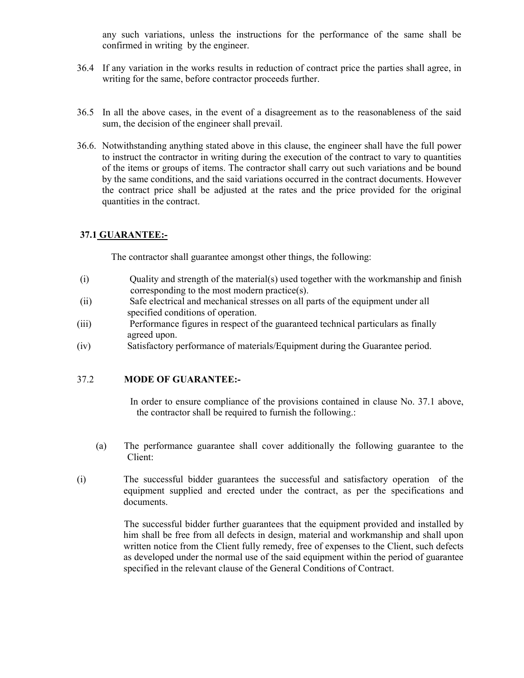any such variations, unless the instructions for the performance of the same shall be confirmed in writing by the engineer.

- 36.4 If any variation in the works results in reduction of contract price the parties shall agree, in writing for the same, before contractor proceeds further.
- 36.5 In all the above cases, in the event of a disagreement as to the reasonableness of the said sum, the decision of the engineer shall prevail.
- 36.6. Notwithstanding anything stated above in this clause, the engineer shall have the full power to instruct the contractor in writing during the execution of the contract to vary to quantities of the items or groups of items. The contractor shall carry out such variations and be bound by the same conditions, and the said variations occurred in the contract documents. However the contract price shall be adjusted at the rates and the price provided for the original quantities in the contract.

#### 37.1 GUARANTEE:-

The contractor shall guarantee amongst other things, the following:

- (i) Quality and strength of the material(s) used together with the workmanship and finish corresponding to the most modern practice(s).
- (ii) Safe electrical and mechanical stresses on all parts of the equipment under all specified conditions of operation.
- (iii) Performance figures in respect of the guaranteed technical particulars as finally agreed upon.
- (iv) Satisfactory performance of materials/Equipment during the Guarantee period.

#### 37.2 MODE OF GUARANTEE:-

 In order to ensure compliance of the provisions contained in clause No. 37.1 above, the contractor shall be required to furnish the following.:

- (a) The performance guarantee shall cover additionally the following guarantee to the Client:
- (i) The successful bidder guarantees the successful and satisfactory operation of the equipment supplied and erected under the contract, as per the specifications and documents.

 The successful bidder further guarantees that the equipment provided and installed by him shall be free from all defects in design, material and workmanship and shall upon written notice from the Client fully remedy, free of expenses to the Client, such defects as developed under the normal use of the said equipment within the period of guarantee specified in the relevant clause of the General Conditions of Contract.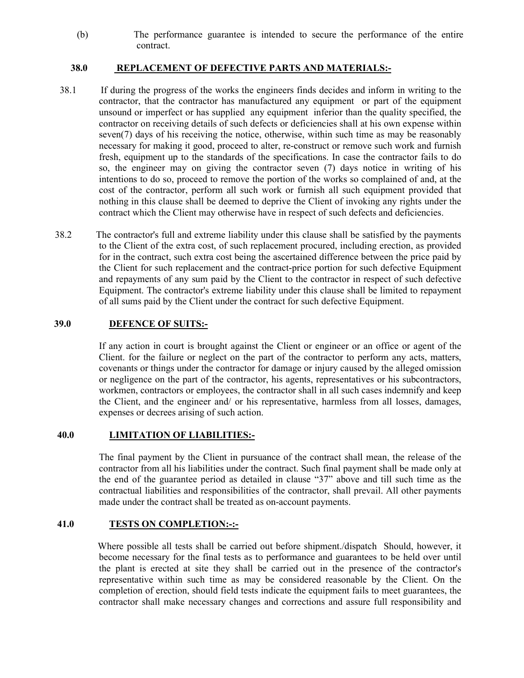(b) The performance guarantee is intended to secure the performance of the entire contract.

#### 38.0 REPLACEMENT OF DEFECTIVE PARTS AND MATERIALS:-

- 38.1 If during the progress of the works the engineers finds decides and inform in writing to the contractor, that the contractor has manufactured any equipment or part of the equipment unsound or imperfect or has supplied any equipment inferior than the quality specified, the contractor on receiving details of such defects or deficiencies shall at his own expense within seven(7) days of his receiving the notice, otherwise, within such time as may be reasonably necessary for making it good, proceed to alter, re-construct or remove such work and furnish fresh, equipment up to the standards of the specifications. In case the contractor fails to do so, the engineer may on giving the contractor seven (7) days notice in writing of his intentions to do so, proceed to remove the portion of the works so complained of and, at the cost of the contractor, perform all such work or furnish all such equipment provided that nothing in this clause shall be deemed to deprive the Client of invoking any rights under the contract which the Client may otherwise have in respect of such defects and deficiencies.
- 38.2 The contractor's full and extreme liability under this clause shall be satisfied by the payments to the Client of the extra cost, of such replacement procured, including erection, as provided for in the contract, such extra cost being the ascertained difference between the price paid by the Client for such replacement and the contract-price portion for such defective Equipment and repayments of any sum paid by the Client to the contractor in respect of such defective Equipment. The contractor's extreme liability under this clause shall be limited to repayment of all sums paid by the Client under the contract for such defective Equipment.

#### 39.0 DEFENCE OF SUITS:-

If any action in court is brought against the Client or engineer or an office or agent of the Client. for the failure or neglect on the part of the contractor to perform any acts, matters, covenants or things under the contractor for damage or injury caused by the alleged omission or negligence on the part of the contractor, his agents, representatives or his subcontractors, workmen, contractors or employees, the contractor shall in all such cases indemnify and keep the Client, and the engineer and/ or his representative, harmless from all losses, damages, expenses or decrees arising of such action.

#### 40.0 LIMITATION OF LIABILITIES:-

The final payment by the Client in pursuance of the contract shall mean, the release of the contractor from all his liabilities under the contract. Such final payment shall be made only at the end of the guarantee period as detailed in clause "37" above and till such time as the contractual liabilities and responsibilities of the contractor, shall prevail. All other payments made under the contract shall be treated as on-account payments.

#### 41.0 TESTS ON COMPLETION:-:-

Where possible all tests shall be carried out before shipment./dispatch Should, however, it become necessary for the final tests as to performance and guarantees to be held over until the plant is erected at site they shall be carried out in the presence of the contractor's representative within such time as may be considered reasonable by the Client. On the completion of erection, should field tests indicate the equipment fails to meet guarantees, the contractor shall make necessary changes and corrections and assure full responsibility and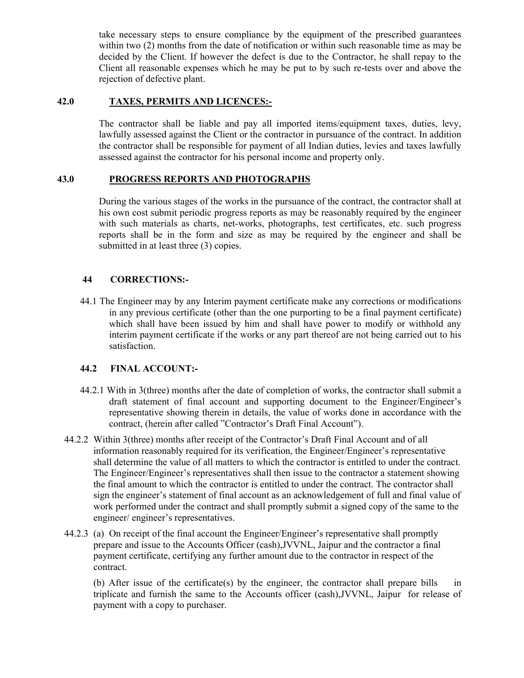take necessary steps to ensure compliance by the equipment of the prescribed guarantees within two (2) months from the date of notification or within such reasonable time as may be decided by the Client. If however the defect is due to the Contractor, he shall repay to the Client all reasonable expenses which he may be put to by such re-tests over and above the rejection of defective plant.

## 42.0 TAXES, PERMITS AND LICENCES:-

The contractor shall be liable and pay all imported items/equipment taxes, duties, levy, lawfully assessed against the Client or the contractor in pursuance of the contract. In addition the contractor shall be responsible for payment of all Indian duties, levies and taxes lawfully assessed against the contractor for his personal income and property only.

# 43.0 PROGRESS REPORTS AND PHOTOGRAPHS

During the various stages of the works in the pursuance of the contract, the contractor shall at his own cost submit periodic progress reports as may be reasonably required by the engineer with such materials as charts, net-works, photographs, test certificates, etc. such progress reports shall be in the form and size as may be required by the engineer and shall be submitted in at least three (3) copies.

## 44 CORRECTIONS:-

44.1 The Engineer may by any Interim payment certificate make any corrections or modifications in any previous certificate (other than the one purporting to be a final payment certificate) which shall have been issued by him and shall have power to modify or withhold any interim payment certificate if the works or any part thereof are not being carried out to his satisfaction.

#### 44.2 FINAL ACCOUNT:-

- 44.2.1 With in 3(three) months after the date of completion of works, the contractor shall submit a draft statement of final account and supporting document to the Engineer/Engineer's representative showing therein in details, the value of works done in accordance with the contract, (herein after called "Contractor's Draft Final Account").
- 44.2.2 Within 3(three) months after receipt of the Contractor's Draft Final Account and of all information reasonably required for its verification, the Engineer/Engineer's representative shall determine the value of all matters to which the contractor is entitled to under the contract. The Engineer/Engineer's representatives shall then issue to the contractor a statement showing the final amount to which the contractor is entitled to under the contract. The contractor shall sign the engineer's statement of final account as an acknowledgement of full and final value of work performed under the contract and shall promptly submit a signed copy of the same to the engineer/ engineer's representatives.
- 44.2.3 (a) On receipt of the final account the Engineer/Engineer's representative shall promptly prepare and issue to the Accounts Officer (cash),JVVNL, Jaipur and the contractor a final payment certificate, certifying any further amount due to the contractor in respect of the contract.

(b) After issue of the certificate(s) by the engineer, the contractor shall prepare bills in triplicate and furnish the same to the Accounts officer (cash),JVVNL, Jaipur for release of payment with a copy to purchaser.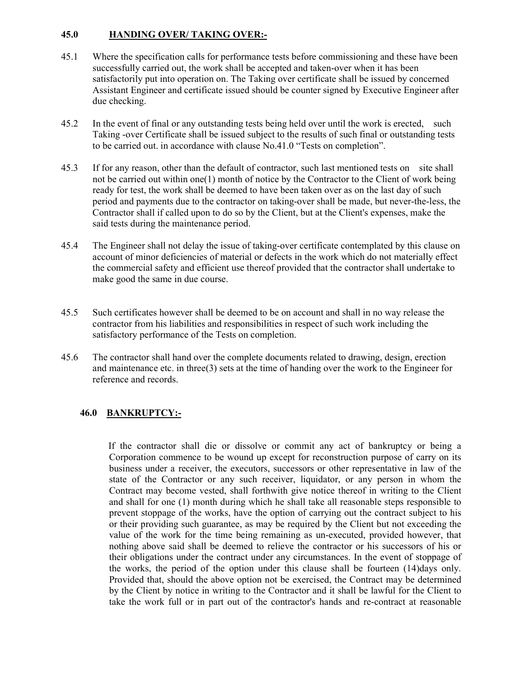# 45.0 HANDING OVER/ TAKING OVER:-

- 45.1 Where the specification calls for performance tests before commissioning and these have been successfully carried out, the work shall be accepted and taken-over when it has been satisfactorily put into operation on. The Taking over certificate shall be issued by concerned Assistant Engineer and certificate issued should be counter signed by Executive Engineer after due checking.
- 45.2 In the event of final or any outstanding tests being held over until the work is erected, such Taking -over Certificate shall be issued subject to the results of such final or outstanding tests to be carried out. in accordance with clause No.41.0 "Tests on completion".
- 45.3 If for any reason, other than the default of contractor, such last mentioned tests on site shall not be carried out within one(1) month of notice by the Contractor to the Client of work being ready for test, the work shall be deemed to have been taken over as on the last day of such period and payments due to the contractor on taking-over shall be made, but never-the-less, the Contractor shall if called upon to do so by the Client, but at the Client's expenses, make the said tests during the maintenance period.
- 45.4 The Engineer shall not delay the issue of taking-over certificate contemplated by this clause on account of minor deficiencies of material or defects in the work which do not materially effect the commercial safety and efficient use thereof provided that the contractor shall undertake to make good the same in due course.
- 45.5 Such certificates however shall be deemed to be on account and shall in no way release the contractor from his liabilities and responsibilities in respect of such work including the satisfactory performance of the Tests on completion.
- 45.6 The contractor shall hand over the complete documents related to drawing, design, erection and maintenance etc. in three(3) sets at the time of handing over the work to the Engineer for reference and records.

# 46.0 BANKRUPTCY:-

If the contractor shall die or dissolve or commit any act of bankruptcy or being a Corporation commence to be wound up except for reconstruction purpose of carry on its business under a receiver, the executors, successors or other representative in law of the state of the Contractor or any such receiver, liquidator, or any person in whom the Contract may become vested, shall forthwith give notice thereof in writing to the Client and shall for one (1) month during which he shall take all reasonable steps responsible to prevent stoppage of the works, have the option of carrying out the contract subject to his or their providing such guarantee, as may be required by the Client but not exceeding the value of the work for the time being remaining as un-executed, provided however, that nothing above said shall be deemed to relieve the contractor or his successors of his or their obligations under the contract under any circumstances. In the event of stoppage of the works, the period of the option under this clause shall be fourteen (14)days only. Provided that, should the above option not be exercised, the Contract may be determined by the Client by notice in writing to the Contractor and it shall be lawful for the Client to take the work full or in part out of the contractor's hands and re-contract at reasonable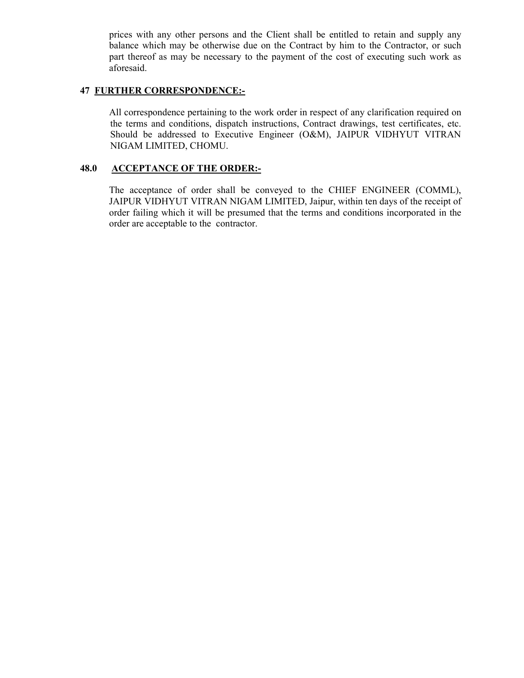prices with any other persons and the Client shall be entitled to retain and supply any balance which may be otherwise due on the Contract by him to the Contractor, or such part thereof as may be necessary to the payment of the cost of executing such work as aforesaid.

#### 47 FURTHER CORRESPONDENCE:-

All correspondence pertaining to the work order in respect of any clarification required on the terms and conditions, dispatch instructions, Contract drawings, test certificates, etc. Should be addressed to Executive Engineer (O&M), JAIPUR VIDHYUT VITRAN NIGAM LIMITED, CHOMU.

#### 48.0 ACCEPTANCE OF THE ORDER:-

The acceptance of order shall be conveyed to the CHIEF ENGINEER (COMML), JAIPUR VIDHYUT VITRAN NIGAM LIMITED, Jaipur, within ten days of the receipt of order failing which it will be presumed that the terms and conditions incorporated in the order are acceptable to the contractor.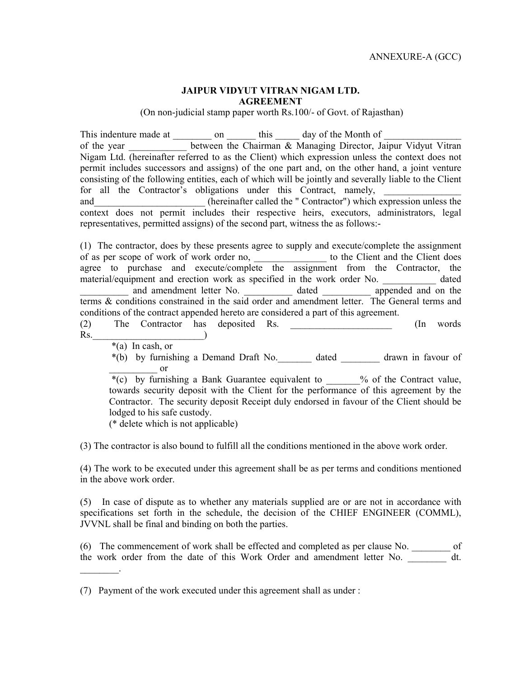#### JAIPUR VIDYUT VITRAN NIGAM LTD. AGREEMENT

#### (On non-judicial stamp paper worth Rs.100/- of Govt. of Rajasthan)

This indenture made at  $\frac{1}{\sqrt{1-\frac{1}{n}}}$  on  $\frac{1}{\sqrt{1-\frac{1}{n}}}$  this  $\frac{1}{\sqrt{1-\frac{1}{n}}}$  day of the Month of of the year \_\_\_\_\_\_\_\_\_\_\_\_\_\_\_\_ between the Chairman & Managing Director, Jaipur Vidyut Vitran Nigam Ltd. (hereinafter referred to as the Client) which expression unless the context does not permit includes successors and assigns) of the one part and, on the other hand, a joint venture consisting of the following entities, each of which will be jointly and severally liable to the Client for all the Contractor's obligations under this Contract, namely, and the theorem (hereinafter called the " Contractor") which expression unless the context does not permit includes their respective heirs, executors, administrators, legal representatives, permitted assigns) of the second part, witness the as follows:-

(1) The contractor, does by these presents agree to supply and execute/complete the assignment of as per scope of work of work order no, \_\_\_\_\_\_\_\_\_\_\_\_\_\_\_\_\_\_ to the Client and the Client does agree to purchase and execute/complete the assignment from the Contractor, the material/equipment and erection work as specified in the work order No. \_\_\_\_\_\_\_\_\_\_\_ dated and amendment letter No. \_\_\_\_\_\_\_\_\_\_\_ dated \_\_\_\_\_\_\_\_\_\_ appended and on the terms & conditions constrained in the said order and amendment letter. The General terms and conditions of the contract appended hereto are considered a part of this agreement.

(2) The Contractor has deposited Rs.  $\qquad \qquad$  (In words  $\text{Rs.}$  and the set of  $\sim$ 

\*(a) In cash, or

 $\overline{\phantom{a}}$  .

 \*(b) by furnishing a Demand Draft No.\_\_\_\_\_\_\_ dated \_\_\_\_\_\_\_\_ drawn in favour of \_\_\_\_\_\_\_\_\_\_ or

 $*(c)$  by furnishing a Bank Guarantee equivalent to \_\_\_\_\_% of the Contract value, towards security deposit with the Client for the performance of this agreement by the Contractor. The security deposit Receipt duly endorsed in favour of the Client should be lodged to his safe custody.

(\* delete which is not applicable)

(3) The contractor is also bound to fulfill all the conditions mentioned in the above work order.

(4) The work to be executed under this agreement shall be as per terms and conditions mentioned in the above work order.

(5) In case of dispute as to whether any materials supplied are or are not in accordance with specifications set forth in the schedule, the decision of the CHIEF ENGINEER (COMML), JVVNL shall be final and binding on both the parties.

(6) The commencement of work shall be effected and completed as per clause No. \_\_\_\_\_\_\_\_ of the work order from the date of this Work Order and amendment letter No. \_\_\_\_\_\_\_\_ dt.

(7) Payment of the work executed under this agreement shall as under :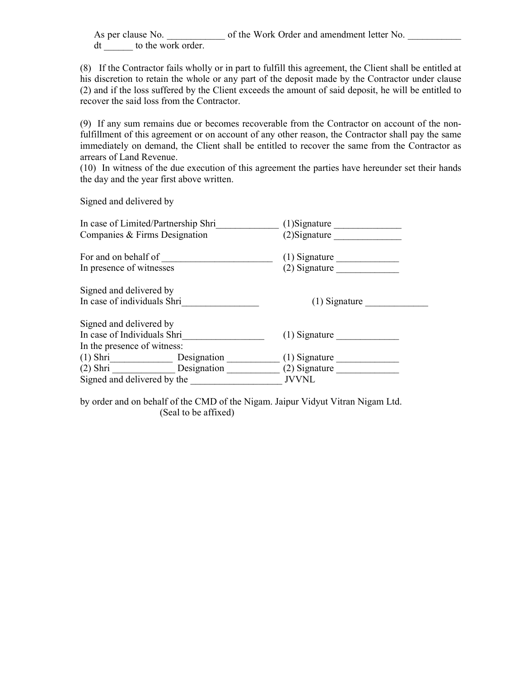As per clause No. \_\_\_\_\_\_\_\_\_\_\_\_\_\_\_\_ of the Work Order and amendment letter No. \_\_\_\_\_\_\_\_\_\_ dt to the work order.

(8) If the Contractor fails wholly or in part to fulfill this agreement, the Client shall be entitled at his discretion to retain the whole or any part of the deposit made by the Contractor under clause (2) and if the loss suffered by the Client exceeds the amount of said deposit, he will be entitled to recover the said loss from the Contractor.

(9) If any sum remains due or becomes recoverable from the Contractor on account of the nonfulfillment of this agreement or on account of any other reason, the Contractor shall pay the same immediately on demand, the Client shall be entitled to recover the same from the Contractor as arrears of Land Revenue.

(10) In witness of the due execution of this agreement the parties have hereunder set their hands the day and the year first above written.

Signed and delivered by

| In case of Limited/Partnership Shri |             | $(1)$ Signature                    |  |  |  |  |
|-------------------------------------|-------------|------------------------------------|--|--|--|--|
| Companies & Firms Designation       |             | $(2)$ Signature                    |  |  |  |  |
| For and on behalf of                |             | $(1)$ Signature                    |  |  |  |  |
| In presence of witnesses            |             | $(2)$ Signature                    |  |  |  |  |
| Signed and delivered by             |             |                                    |  |  |  |  |
| In case of individuals Shri         |             | $(1)$ Signature                    |  |  |  |  |
| Signed and delivered by             |             |                                    |  |  |  |  |
| In case of Individuals Shri         |             | $(1)$ Signature                    |  |  |  |  |
| In the presence of witness:         |             |                                    |  |  |  |  |
| $(1)$ Shri                          | Designation | $(1)$ Signature                    |  |  |  |  |
|                                     |             | (2) Shri Designation (2) Signature |  |  |  |  |
| Signed and delivered by the         |             | <b>JVVNL</b>                       |  |  |  |  |

by order and on behalf of the CMD of the Nigam. Jaipur Vidyut Vitran Nigam Ltd. (Seal to be affixed)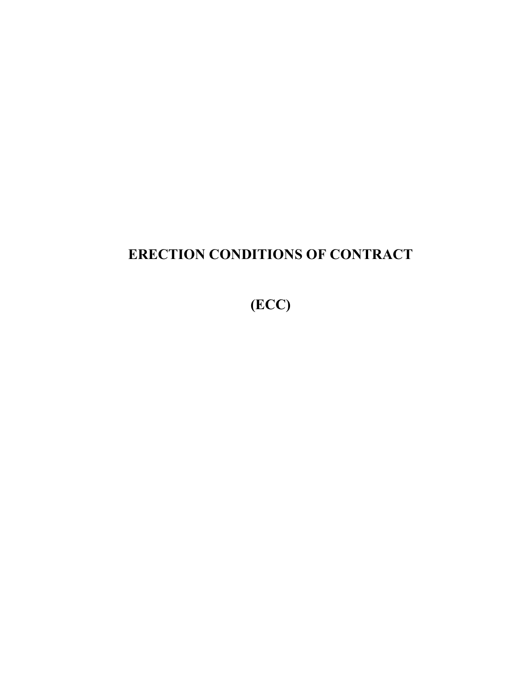# ERECTION CONDITIONS OF CONTRACT

(ECC)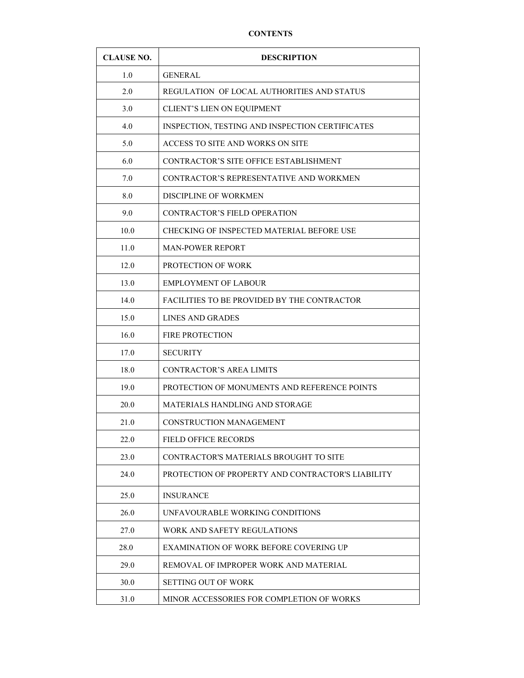## **CONTENTS**

| <b>CLAUSE NO.</b> | <b>DESCRIPTION</b>                                |  |  |  |
|-------------------|---------------------------------------------------|--|--|--|
| 1.0               | <b>GENERAL</b>                                    |  |  |  |
| 2.0               | REGULATION OF LOCAL AUTHORITIES AND STATUS        |  |  |  |
| 3.0               | <b>CLIENT'S LIEN ON EQUIPMENT</b>                 |  |  |  |
| 4.0               | INSPECTION, TESTING AND INSPECTION CERTIFICATES   |  |  |  |
| 5.0               | ACCESS TO SITE AND WORKS ON SITE                  |  |  |  |
| 6.0               | CONTRACTOR'S SITE OFFICE ESTABLISHMENT            |  |  |  |
| 7.0               | CONTRACTOR'S REPRESENTATIVE AND WORKMEN           |  |  |  |
| 8.0               | <b>DISCIPLINE OF WORKMEN</b>                      |  |  |  |
| 9.0               | CONTRACTOR'S FIELD OPERATION                      |  |  |  |
| 10.0              | CHECKING OF INSPECTED MATERIAL BEFORE USE         |  |  |  |
| 11.0              | <b>MAN-POWER REPORT</b>                           |  |  |  |
| 12.0              | PROTECTION OF WORK                                |  |  |  |
| 13.0              | <b>EMPLOYMENT OF LABOUR</b>                       |  |  |  |
| 14.0              | FACILITIES TO BE PROVIDED BY THE CONTRACTOR       |  |  |  |
| 15.0              | <b>LINES AND GRADES</b>                           |  |  |  |
| 16.0              | FIRE PROTECTION                                   |  |  |  |
| 17.0              | <b>SECURITY</b>                                   |  |  |  |
| 18.0              | <b>CONTRACTOR'S AREA LIMITS</b>                   |  |  |  |
| 19.0              | PROTECTION OF MONUMENTS AND REFERENCE POINTS      |  |  |  |
| 20.0              | <b>MATERIALS HANDLING AND STORAGE</b>             |  |  |  |
| 21.0              | <b>CONSTRUCTION MANAGEMENT</b>                    |  |  |  |
| 22.0              | FIELD OFFICE RECORDS                              |  |  |  |
| 23.0              | CONTRACTOR'S MATERIALS BROUGHT TO SITE            |  |  |  |
| 24.0              | PROTECTION OF PROPERTY AND CONTRACTOR'S LIABILITY |  |  |  |
| 25.0              | <b>INSURANCE</b>                                  |  |  |  |
| 26.0              | UNFAVOURABLE WORKING CONDITIONS                   |  |  |  |
| 27.0              | WORK AND SAFETY REGULATIONS                       |  |  |  |
| 28.0              | EXAMINATION OF WORK BEFORE COVERING UP            |  |  |  |
| 29.0              | REMOVAL OF IMPROPER WORK AND MATERIAL             |  |  |  |
| 30.0              | <b>SETTING OUT OF WORK</b>                        |  |  |  |
| 31.0              | MINOR ACCESSORIES FOR COMPLETION OF WORKS         |  |  |  |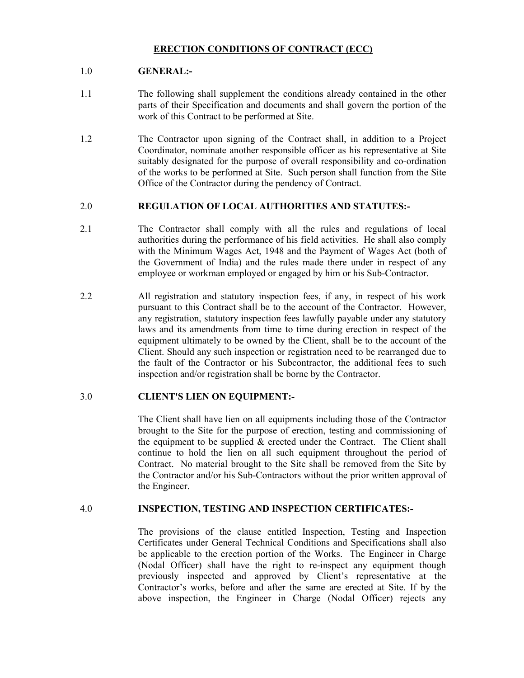# ERECTION CONDITIONS OF CONTRACT (ECC)

## 1.0 GENERAL:-

- 1.1 The following shall supplement the conditions already contained in the other parts of their Specification and documents and shall govern the portion of the work of this Contract to be performed at Site.
- 1.2 The Contractor upon signing of the Contract shall, in addition to a Project Coordinator, nominate another responsible officer as his representative at Site suitably designated for the purpose of overall responsibility and co-ordination of the works to be performed at Site. Such person shall function from the Site Office of the Contractor during the pendency of Contract.

## 2.0 REGULATION OF LOCAL AUTHORITIES AND STATUTES:-

- 2.1 The Contractor shall comply with all the rules and regulations of local authorities during the performance of his field activities. He shall also comply with the Minimum Wages Act, 1948 and the Payment of Wages Act (both of the Government of India) and the rules made there under in respect of any employee or workman employed or engaged by him or his Sub-Contractor.
- 2.2 All registration and statutory inspection fees, if any, in respect of his work pursuant to this Contract shall be to the account of the Contractor. However, any registration, statutory inspection fees lawfully payable under any statutory laws and its amendments from time to time during erection in respect of the equipment ultimately to be owned by the Client, shall be to the account of the Client. Should any such inspection or registration need to be rearranged due to the fault of the Contractor or his Subcontractor, the additional fees to such inspection and/or registration shall be borne by the Contractor.

## 3.0 CLIENT'S LIEN ON EQUIPMENT:-

 The Client shall have lien on all equipments including those of the Contractor brought to the Site for the purpose of erection, testing and commissioning of the equipment to be supplied  $\&$  erected under the Contract. The Client shall continue to hold the lien on all such equipment throughout the period of Contract. No material brought to the Site shall be removed from the Site by the Contractor and/or his Sub-Contractors without the prior written approval of the Engineer.

## 4.0 INSPECTION, TESTING AND INSPECTION CERTIFICATES:-

 The provisions of the clause entitled Inspection, Testing and Inspection Certificates under General Technical Conditions and Specifications shall also be applicable to the erection portion of the Works. The Engineer in Charge (Nodal Officer) shall have the right to re-inspect any equipment though previously inspected and approved by Client's representative at the Contractor's works, before and after the same are erected at Site. If by the above inspection, the Engineer in Charge (Nodal Officer) rejects any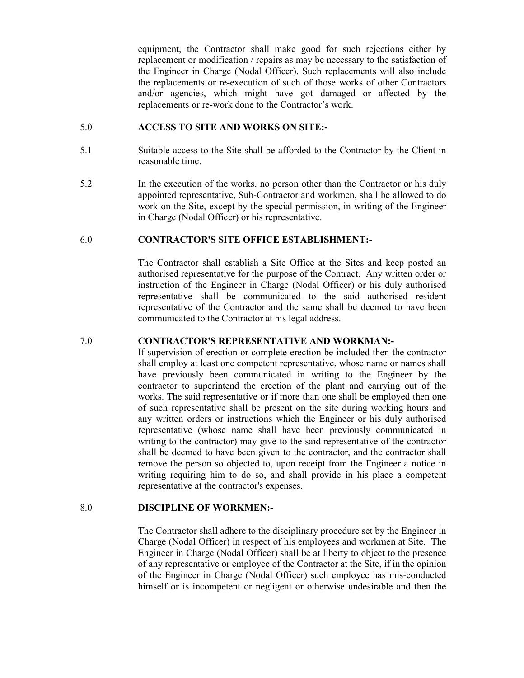equipment, the Contractor shall make good for such rejections either by replacement or modification / repairs as may be necessary to the satisfaction of the Engineer in Charge (Nodal Officer). Such replacements will also include the replacements or re-execution of such of those works of other Contractors and/or agencies, which might have got damaged or affected by the replacements or re-work done to the Contractor's work.

#### 5.0 ACCESS TO SITE AND WORKS ON SITE:-

- 5.1 Suitable access to the Site shall be afforded to the Contractor by the Client in reasonable time.
- 5.2 In the execution of the works, no person other than the Contractor or his duly appointed representative, Sub-Contractor and workmen, shall be allowed to do work on the Site, except by the special permission, in writing of the Engineer in Charge (Nodal Officer) or his representative.

## 6.0 CONTRACTOR'S SITE OFFICE ESTABLISHMENT:-

 The Contractor shall establish a Site Office at the Sites and keep posted an authorised representative for the purpose of the Contract. Any written order or instruction of the Engineer in Charge (Nodal Officer) or his duly authorised representative shall be communicated to the said authorised resident representative of the Contractor and the same shall be deemed to have been communicated to the Contractor at his legal address.

#### 7.0 CONTRACTOR'S REPRESENTATIVE AND WORKMAN:-

If supervision of erection or complete erection be included then the contractor shall employ at least one competent representative, whose name or names shall have previously been communicated in writing to the Engineer by the contractor to superintend the erection of the plant and carrying out of the works. The said representative or if more than one shall be employed then one of such representative shall be present on the site during working hours and any written orders or instructions which the Engineer or his duly authorised representative (whose name shall have been previously communicated in writing to the contractor) may give to the said representative of the contractor shall be deemed to have been given to the contractor, and the contractor shall remove the person so objected to, upon receipt from the Engineer a notice in writing requiring him to do so, and shall provide in his place a competent representative at the contractor's expenses.

#### 8.0 DISCIPLINE OF WORKMEN:-

The Contractor shall adhere to the disciplinary procedure set by the Engineer in Charge (Nodal Officer) in respect of his employees and workmen at Site. The Engineer in Charge (Nodal Officer) shall be at liberty to object to the presence of any representative or employee of the Contractor at the Site, if in the opinion of the Engineer in Charge (Nodal Officer) such employee has mis-conducted himself or is incompetent or negligent or otherwise undesirable and then the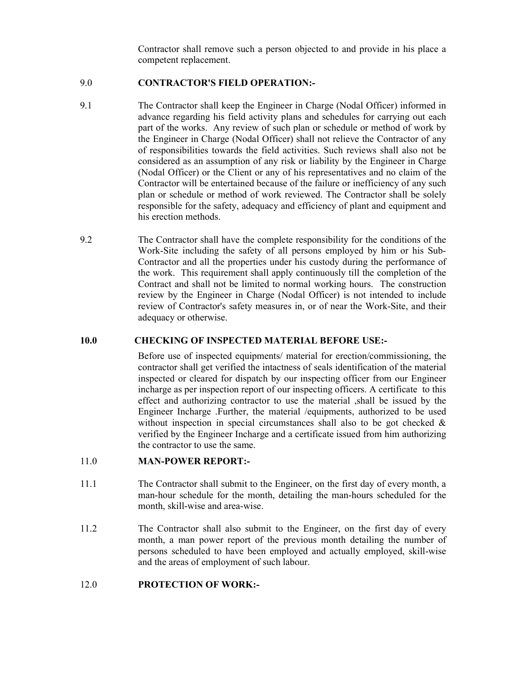Contractor shall remove such a person objected to and provide in his place a competent replacement.

## 9.0 CONTRACTOR'S FIELD OPERATION:-

- 9.1 The Contractor shall keep the Engineer in Charge (Nodal Officer) informed in advance regarding his field activity plans and schedules for carrying out each part of the works. Any review of such plan or schedule or method of work by the Engineer in Charge (Nodal Officer) shall not relieve the Contractor of any of responsibilities towards the field activities. Such reviews shall also not be considered as an assumption of any risk or liability by the Engineer in Charge (Nodal Officer) or the Client or any of his representatives and no claim of the Contractor will be entertained because of the failure or inefficiency of any such plan or schedule or method of work reviewed. The Contractor shall be solely responsible for the safety, adequacy and efficiency of plant and equipment and his erection methods.
- 9.2 The Contractor shall have the complete responsibility for the conditions of the Work-Site including the safety of all persons employed by him or his Sub-Contractor and all the properties under his custody during the performance of the work. This requirement shall apply continuously till the completion of the Contract and shall not be limited to normal working hours. The construction review by the Engineer in Charge (Nodal Officer) is not intended to include review of Contractor's safety measures in, or of near the Work-Site, and their adequacy or otherwise.

#### 10.0 CHECKING OF INSPECTED MATERIAL BEFORE USE:-

Before use of inspected equipments/ material for erection/commissioning, the contractor shall get verified the intactness of seals identification of the material inspected or cleared for dispatch by our inspecting officer from our Engineer incharge as per inspection report of our inspecting officers. A certificate to this effect and authorizing contractor to use the material ,shall be issued by the Engineer Incharge .Further, the material /equipments, authorized to be used without inspection in special circumstances shall also to be got checked  $\&$ verified by the Engineer Incharge and a certificate issued from him authorizing the contractor to use the same.

## 11.0 MAN-POWER REPORT:-

- 11.1 The Contractor shall submit to the Engineer, on the first day of every month, a man-hour schedule for the month, detailing the man-hours scheduled for the month, skill-wise and area-wise.
- 11.2 The Contractor shall also submit to the Engineer, on the first day of every month, a man power report of the previous month detailing the number of persons scheduled to have been employed and actually employed, skill-wise and the areas of employment of such labour.

#### 12.0 **PROTECTION OF WORK:-**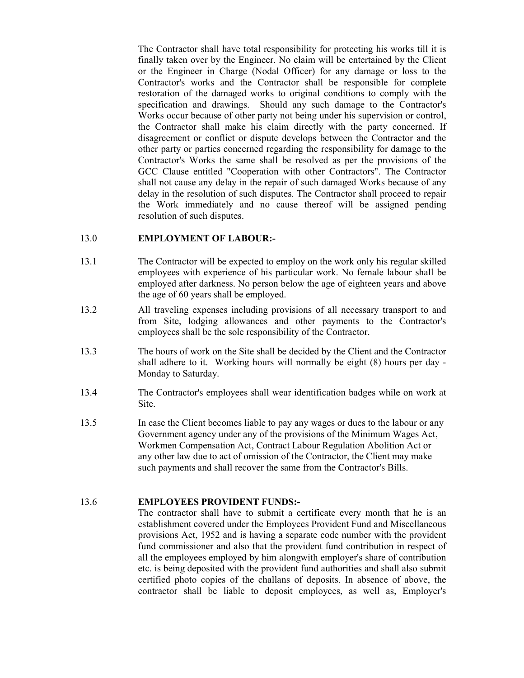The Contractor shall have total responsibility for protecting his works till it is finally taken over by the Engineer. No claim will be entertained by the Client or the Engineer in Charge (Nodal Officer) for any damage or loss to the Contractor's works and the Contractor shall be responsible for complete restoration of the damaged works to original conditions to comply with the specification and drawings. Should any such damage to the Contractor's Works occur because of other party not being under his supervision or control, the Contractor shall make his claim directly with the party concerned. If disagreement or conflict or dispute develops between the Contractor and the other party or parties concerned regarding the responsibility for damage to the Contractor's Works the same shall be resolved as per the provisions of the GCC Clause entitled "Cooperation with other Contractors". The Contractor shall not cause any delay in the repair of such damaged Works because of any delay in the resolution of such disputes. The Contractor shall proceed to repair the Work immediately and no cause thereof will be assigned pending resolution of such disputes.

#### 13.0 EMPLOYMENT OF LABOUR:-

- 13.1 The Contractor will be expected to employ on the work only his regular skilled employees with experience of his particular work. No female labour shall be employed after darkness. No person below the age of eighteen years and above the age of 60 years shall be employed.
- 13.2 All traveling expenses including provisions of all necessary transport to and from Site, lodging allowances and other payments to the Contractor's employees shall be the sole responsibility of the Contractor.
- 13.3 The hours of work on the Site shall be decided by the Client and the Contractor shall adhere to it. Working hours will normally be eight (8) hours per day - Monday to Saturday.
- 13.4 The Contractor's employees shall wear identification badges while on work at Site.
- 13.5 In case the Client becomes liable to pay any wages or dues to the labour or any Government agency under any of the provisions of the Minimum Wages Act, Workmen Compensation Act, Contract Labour Regulation Abolition Act or any other law due to act of omission of the Contractor, the Client may make such payments and shall recover the same from the Contractor's Bills.

## 13.6 EMPLOYEES PROVIDENT FUNDS:-

The contractor shall have to submit a certificate every month that he is an establishment covered under the Employees Provident Fund and Miscellaneous provisions Act, 1952 and is having a separate code number with the provident fund commissioner and also that the provident fund contribution in respect of all the employees employed by him alongwith employer's share of contribution etc. is being deposited with the provident fund authorities and shall also submit certified photo copies of the challans of deposits. In absence of above, the contractor shall be liable to deposit employees, as well as, Employer's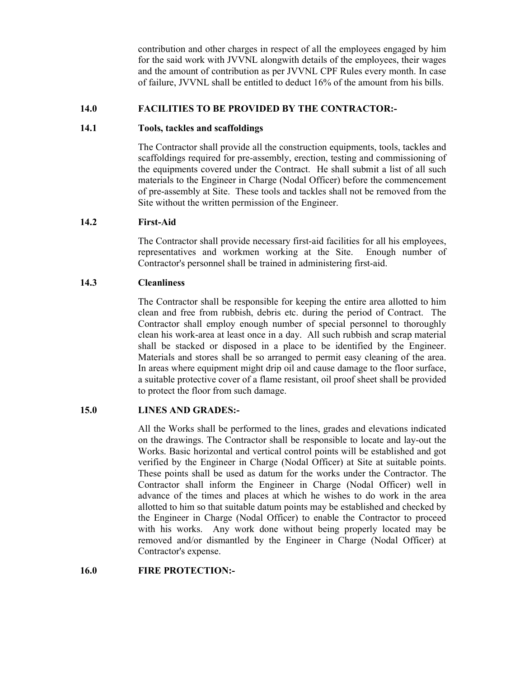contribution and other charges in respect of all the employees engaged by him for the said work with JVVNL alongwith details of the employees, their wages and the amount of contribution as per JVVNL CPF Rules every month. In case of failure, JVVNL shall be entitled to deduct 16% of the amount from his bills.

#### 14.0 FACILITIES TO BE PROVIDED BY THE CONTRACTOR:-

#### 14.1 Tools, tackles and scaffoldings

 The Contractor shall provide all the construction equipments, tools, tackles and scaffoldings required for pre-assembly, erection, testing and commissioning of the equipments covered under the Contract. He shall submit a list of all such materials to the Engineer in Charge (Nodal Officer) before the commencement of pre-assembly at Site. These tools and tackles shall not be removed from the Site without the written permission of the Engineer.

## 14.2 First-Aid

 The Contractor shall provide necessary first-aid facilities for all his employees, representatives and workmen working at the Site. Enough number of Contractor's personnel shall be trained in administering first-aid.

## 14.3 Cleanliness

 The Contractor shall be responsible for keeping the entire area allotted to him clean and free from rubbish, debris etc. during the period of Contract. The Contractor shall employ enough number of special personnel to thoroughly clean his work-area at least once in a day. All such rubbish and scrap material shall be stacked or disposed in a place to be identified by the Engineer. Materials and stores shall be so arranged to permit easy cleaning of the area. In areas where equipment might drip oil and cause damage to the floor surface, a suitable protective cover of a flame resistant, oil proof sheet shall be provided to protect the floor from such damage.

#### 15.0 LINES AND GRADES:-

 All the Works shall be performed to the lines, grades and elevations indicated on the drawings. The Contractor shall be responsible to locate and lay-out the Works. Basic horizontal and vertical control points will be established and got verified by the Engineer in Charge (Nodal Officer) at Site at suitable points. These points shall be used as datum for the works under the Contractor. The Contractor shall inform the Engineer in Charge (Nodal Officer) well in advance of the times and places at which he wishes to do work in the area allotted to him so that suitable datum points may be established and checked by the Engineer in Charge (Nodal Officer) to enable the Contractor to proceed with his works. Any work done without being properly located may be removed and/or dismantled by the Engineer in Charge (Nodal Officer) at Contractor's expense.

#### 16.0 FIRE PROTECTION:-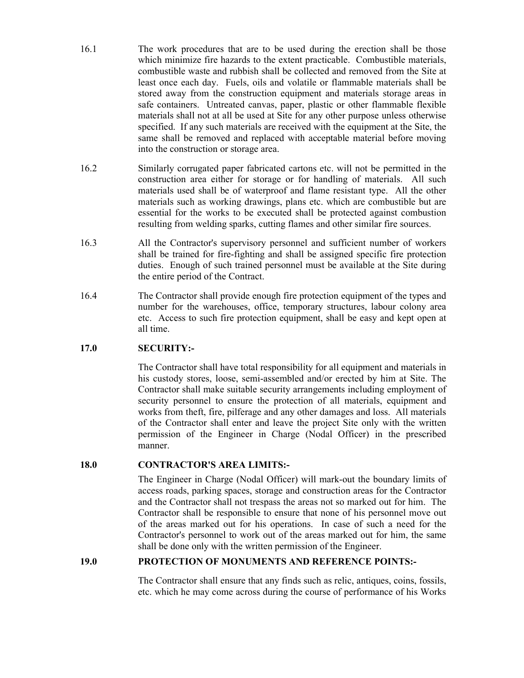- 16.1 The work procedures that are to be used during the erection shall be those which minimize fire hazards to the extent practicable. Combustible materials, combustible waste and rubbish shall be collected and removed from the Site at least once each day. Fuels, oils and volatile or flammable materials shall be stored away from the construction equipment and materials storage areas in safe containers. Untreated canvas, paper, plastic or other flammable flexible materials shall not at all be used at Site for any other purpose unless otherwise specified. If any such materials are received with the equipment at the Site, the same shall be removed and replaced with acceptable material before moving into the construction or storage area.
- 16.2 Similarly corrugated paper fabricated cartons etc. will not be permitted in the construction area either for storage or for handling of materials. All such materials used shall be of waterproof and flame resistant type. All the other materials such as working drawings, plans etc. which are combustible but are essential for the works to be executed shall be protected against combustion resulting from welding sparks, cutting flames and other similar fire sources.
- 16.3 All the Contractor's supervisory personnel and sufficient number of workers shall be trained for fire-fighting and shall be assigned specific fire protection duties. Enough of such trained personnel must be available at the Site during the entire period of the Contract.
- 16.4 The Contractor shall provide enough fire protection equipment of the types and number for the warehouses, office, temporary structures, labour colony area etc. Access to such fire protection equipment, shall be easy and kept open at all time.

## 17.0 SECURITY:-

 The Contractor shall have total responsibility for all equipment and materials in his custody stores, loose, semi-assembled and/or erected by him at Site. The Contractor shall make suitable security arrangements including employment of security personnel to ensure the protection of all materials, equipment and works from theft, fire, pilferage and any other damages and loss. All materials of the Contractor shall enter and leave the project Site only with the written permission of the Engineer in Charge (Nodal Officer) in the prescribed manner.

## 18.0 CONTRACTOR'S AREA LIMITS:-

 The Engineer in Charge (Nodal Officer) will mark-out the boundary limits of access roads, parking spaces, storage and construction areas for the Contractor and the Contractor shall not trespass the areas not so marked out for him. The Contractor shall be responsible to ensure that none of his personnel move out of the areas marked out for his operations. In case of such a need for the Contractor's personnel to work out of the areas marked out for him, the same shall be done only with the written permission of the Engineer.

## 19.0 PROTECTION OF MONUMENTS AND REFERENCE POINTS:-

 The Contractor shall ensure that any finds such as relic, antiques, coins, fossils, etc. which he may come across during the course of performance of his Works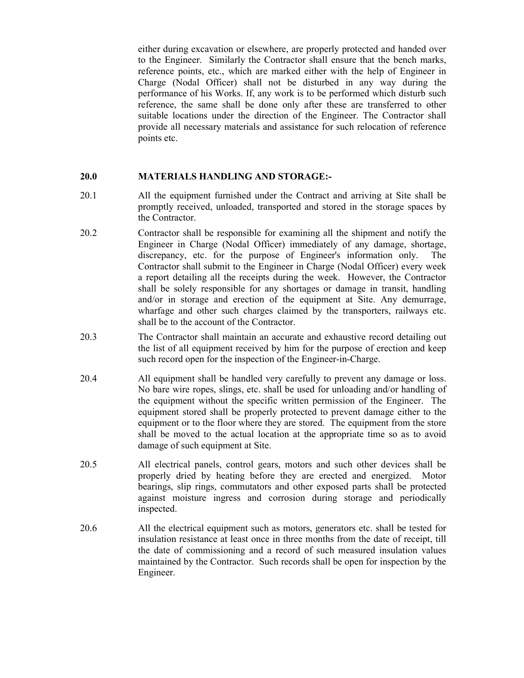either during excavation or elsewhere, are properly protected and handed over to the Engineer. Similarly the Contractor shall ensure that the bench marks, reference points, etc., which are marked either with the help of Engineer in Charge (Nodal Officer) shall not be disturbed in any way during the performance of his Works. If, any work is to be performed which disturb such reference, the same shall be done only after these are transferred to other suitable locations under the direction of the Engineer. The Contractor shall provide all necessary materials and assistance for such relocation of reference points etc.

## 20.0 MATERIALS HANDLING AND STORAGE:-

- 20.1 All the equipment furnished under the Contract and arriving at Site shall be promptly received, unloaded, transported and stored in the storage spaces by the Contractor.
- 20.2 Contractor shall be responsible for examining all the shipment and notify the Engineer in Charge (Nodal Officer) immediately of any damage, shortage, discrepancy, etc. for the purpose of Engineer's information only. The Contractor shall submit to the Engineer in Charge (Nodal Officer) every week a report detailing all the receipts during the week. However, the Contractor shall be solely responsible for any shortages or damage in transit, handling and/or in storage and erection of the equipment at Site. Any demurrage, wharfage and other such charges claimed by the transporters, railways etc. shall be to the account of the Contractor.
- 20.3 The Contractor shall maintain an accurate and exhaustive record detailing out the list of all equipment received by him for the purpose of erection and keep such record open for the inspection of the Engineer-in-Charge.
- 20.4 All equipment shall be handled very carefully to prevent any damage or loss. No bare wire ropes, slings, etc. shall be used for unloading and/or handling of the equipment without the specific written permission of the Engineer. The equipment stored shall be properly protected to prevent damage either to the equipment or to the floor where they are stored. The equipment from the store shall be moved to the actual location at the appropriate time so as to avoid damage of such equipment at Site.
- 20.5 All electrical panels, control gears, motors and such other devices shall be properly dried by heating before they are erected and energized. Motor bearings, slip rings, commutators and other exposed parts shall be protected against moisture ingress and corrosion during storage and periodically inspected.
- 20.6 All the electrical equipment such as motors, generators etc. shall be tested for insulation resistance at least once in three months from the date of receipt, till the date of commissioning and a record of such measured insulation values maintained by the Contractor. Such records shall be open for inspection by the Engineer.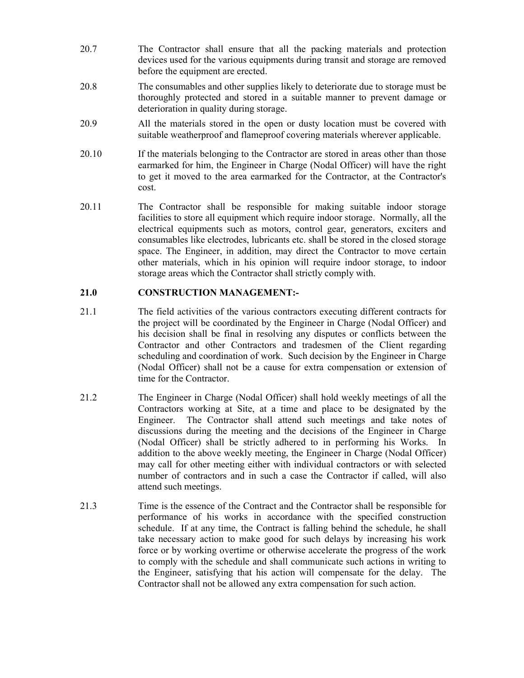- 20.7 The Contractor shall ensure that all the packing materials and protection devices used for the various equipments during transit and storage are removed before the equipment are erected.
- 20.8 The consumables and other supplies likely to deteriorate due to storage must be thoroughly protected and stored in a suitable manner to prevent damage or deterioration in quality during storage.
- 20.9 All the materials stored in the open or dusty location must be covered with suitable weatherproof and flameproof covering materials wherever applicable.
- 20.10 If the materials belonging to the Contractor are stored in areas other than those earmarked for him, the Engineer in Charge (Nodal Officer) will have the right to get it moved to the area earmarked for the Contractor, at the Contractor's cost.
- 20.11 The Contractor shall be responsible for making suitable indoor storage facilities to store all equipment which require indoor storage. Normally, all the electrical equipments such as motors, control gear, generators, exciters and consumables like electrodes, lubricants etc. shall be stored in the closed storage space. The Engineer, in addition, may direct the Contractor to move certain other materials, which in his opinion will require indoor storage, to indoor storage areas which the Contractor shall strictly comply with.

# 21.0 CONSTRUCTION MANAGEMENT:-

- 21.1 The field activities of the various contractors executing different contracts for the project will be coordinated by the Engineer in Charge (Nodal Officer) and his decision shall be final in resolving any disputes or conflicts between the Contractor and other Contractors and tradesmen of the Client regarding scheduling and coordination of work. Such decision by the Engineer in Charge (Nodal Officer) shall not be a cause for extra compensation or extension of time for the Contractor.
- 21.2 The Engineer in Charge (Nodal Officer) shall hold weekly meetings of all the Contractors working at Site, at a time and place to be designated by the Engineer. The Contractor shall attend such meetings and take notes of discussions during the meeting and the decisions of the Engineer in Charge (Nodal Officer) shall be strictly adhered to in performing his Works. In addition to the above weekly meeting, the Engineer in Charge (Nodal Officer) may call for other meeting either with individual contractors or with selected number of contractors and in such a case the Contractor if called, will also attend such meetings.
- 21.3 Time is the essence of the Contract and the Contractor shall be responsible for performance of his works in accordance with the specified construction schedule. If at any time, the Contract is falling behind the schedule, he shall take necessary action to make good for such delays by increasing his work force or by working overtime or otherwise accelerate the progress of the work to comply with the schedule and shall communicate such actions in writing to the Engineer, satisfying that his action will compensate for the delay. The Contractor shall not be allowed any extra compensation for such action.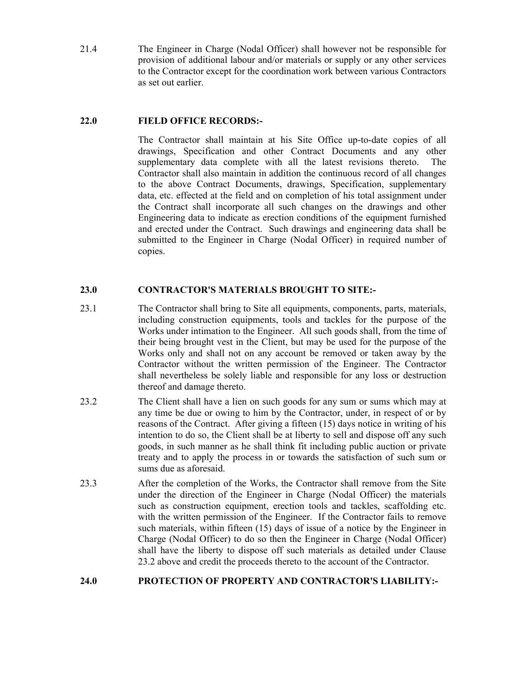21.4 The Engineer in Charge (Nodal Officer) shall however not be responsible for provision of additional labour and/or materials or supply or any other services to the Contractor except for the coordination work between various Contractors as set out earlier.

#### 22.0 FIELD OFFICE RECORDS:-

 The Contractor shall maintain at his Site Office up-to-date copies of all drawings, Specification and other Contract Documents and any other supplementary data complete with all the latest revisions thereto. The Contractor shall also maintain in addition the continuous record of all changes to the above Contract Documents, drawings, Specification, supplementary data, etc. effected at the field and on completion of his total assignment under the Contract shall incorporate all such changes on the drawings and other Engineering data to indicate as erection conditions of the equipment furnished and erected under the Contract. Such drawings and engineering data shall be submitted to the Engineer in Charge (Nodal Officer) in required number of copies.

## 23.0 CONTRACTOR'S MATERIALS BROUGHT TO SITE:-

- 23.1 The Contractor shall bring to Site all equipments, components, parts, materials, including construction equipments, tools and tackles for the purpose of the Works under intimation to the Engineer. All such goods shall, from the time of their being brought vest in the Client, but may be used for the purpose of the Works only and shall not on any account be removed or taken away by the Contractor without the written permission of the Engineer. The Contractor shall nevertheless be solely liable and responsible for any loss or destruction thereof and damage thereto.
- 23.2 The Client shall have a lien on such goods for any sum or sums which may at any time be due or owing to him by the Contractor, under, in respect of or by reasons of the Contract. After giving a fifteen (15) days notice in writing of his intention to do so, the Client shall be at liberty to sell and dispose off any such goods, in such manner as he shall think fit including public auction or private treaty and to apply the process in or towards the satisfaction of such sum or sums due as aforesaid.
- 23.3 After the completion of the Works, the Contractor shall remove from the Site under the direction of the Engineer in Charge (Nodal Officer) the materials such as construction equipment, erection tools and tackles, scaffolding etc. with the written permission of the Engineer. If the Contractor fails to remove such materials, within fifteen (15) days of issue of a notice by the Engineer in Charge (Nodal Officer) to do so then the Engineer in Charge (Nodal Officer) shall have the liberty to dispose off such materials as detailed under Clause 23.2 above and credit the proceeds thereto to the account of the Contractor.

#### 24.0 PROTECTION OF PROPERTY AND CONTRACTOR'S LIABILITY:-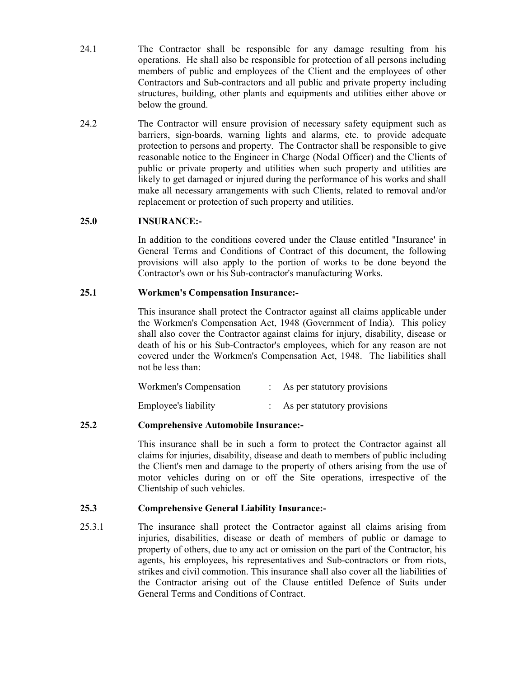- 24.1 The Contractor shall be responsible for any damage resulting from his operations. He shall also be responsible for protection of all persons including members of public and employees of the Client and the employees of other Contractors and Sub-contractors and all public and private property including structures, building, other plants and equipments and utilities either above or below the ground.
- 24.2 The Contractor will ensure provision of necessary safety equipment such as barriers, sign-boards, warning lights and alarms, etc. to provide adequate protection to persons and property. The Contractor shall be responsible to give reasonable notice to the Engineer in Charge (Nodal Officer) and the Clients of public or private property and utilities when such property and utilities are likely to get damaged or injured during the performance of his works and shall make all necessary arrangements with such Clients, related to removal and/or replacement or protection of such property and utilities.

# 25.0 INSURANCE:-

 In addition to the conditions covered under the Clause entitled "Insurance' in General Terms and Conditions of Contract of this document, the following provisions will also apply to the portion of works to be done beyond the Contractor's own or his Sub-contractor's manufacturing Works.

## 25.1 Workmen's Compensation Insurance:-

 This insurance shall protect the Contractor against all claims applicable under the Workmen's Compensation Act, 1948 (Government of India). This policy shall also cover the Contractor against claims for injury, disability, disease or death of his or his Sub-Contractor's employees, which for any reason are not covered under the Workmen's Compensation Act, 1948. The liabilities shall not be less than:

|                      | Workmen's Compensation | As per statutory provisions |
|----------------------|------------------------|-----------------------------|
| Employee's liability |                        | As per statutory provisions |

## 25.2 Comprehensive Automobile Insurance:-

 This insurance shall be in such a form to protect the Contractor against all claims for injuries, disability, disease and death to members of public including the Client's men and damage to the property of others arising from the use of motor vehicles during on or off the Site operations, irrespective of the Clientship of such vehicles.

## 25.3 Comprehensive General Liability Insurance:-

25.3.1 The insurance shall protect the Contractor against all claims arising from injuries, disabilities, disease or death of members of public or damage to property of others, due to any act or omission on the part of the Contractor, his agents, his employees, his representatives and Sub-contractors or from riots, strikes and civil commotion. This insurance shall also cover all the liabilities of the Contractor arising out of the Clause entitled Defence of Suits under General Terms and Conditions of Contract.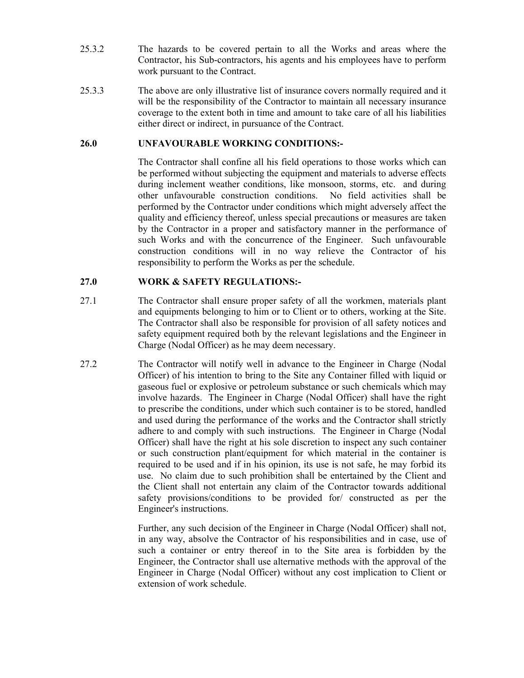- 25.3.2 The hazards to be covered pertain to all the Works and areas where the Contractor, his Sub-contractors, his agents and his employees have to perform work pursuant to the Contract.
- 25.3.3 The above are only illustrative list of insurance covers normally required and it will be the responsibility of the Contractor to maintain all necessary insurance coverage to the extent both in time and amount to take care of all his liabilities either direct or indirect, in pursuance of the Contract.

#### 26.0 UNFAVOURABLE WORKING CONDITIONS:-

 The Contractor shall confine all his field operations to those works which can be performed without subjecting the equipment and materials to adverse effects during inclement weather conditions, like monsoon, storms, etc. and during other unfavourable construction conditions. No field activities shall be performed by the Contractor under conditions which might adversely affect the quality and efficiency thereof, unless special precautions or measures are taken by the Contractor in a proper and satisfactory manner in the performance of such Works and with the concurrence of the Engineer. Such unfavourable construction conditions will in no way relieve the Contractor of his responsibility to perform the Works as per the schedule.

## 27.0 WORK & SAFETY REGULATIONS:-

- 27.1 The Contractor shall ensure proper safety of all the workmen, materials plant and equipments belonging to him or to Client or to others, working at the Site. The Contractor shall also be responsible for provision of all safety notices and safety equipment required both by the relevant legislations and the Engineer in Charge (Nodal Officer) as he may deem necessary.
- 27.2 The Contractor will notify well in advance to the Engineer in Charge (Nodal Officer) of his intention to bring to the Site any Container filled with liquid or gaseous fuel or explosive or petroleum substance or such chemicals which may involve hazards. The Engineer in Charge (Nodal Officer) shall have the right to prescribe the conditions, under which such container is to be stored, handled and used during the performance of the works and the Contractor shall strictly adhere to and comply with such instructions. The Engineer in Charge (Nodal Officer) shall have the right at his sole discretion to inspect any such container or such construction plant/equipment for which material in the container is required to be used and if in his opinion, its use is not safe, he may forbid its use. No claim due to such prohibition shall be entertained by the Client and the Client shall not entertain any claim of the Contractor towards additional safety provisions/conditions to be provided for/ constructed as per the Engineer's instructions.

 Further, any such decision of the Engineer in Charge (Nodal Officer) shall not, in any way, absolve the Contractor of his responsibilities and in case, use of such a container or entry thereof in to the Site area is forbidden by the Engineer, the Contractor shall use alternative methods with the approval of the Engineer in Charge (Nodal Officer) without any cost implication to Client or extension of work schedule.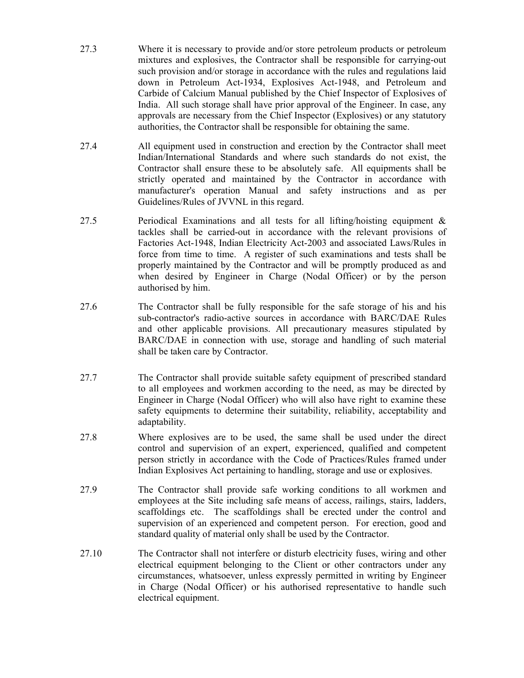- 27.3 Where it is necessary to provide and/or store petroleum products or petroleum mixtures and explosives, the Contractor shall be responsible for carrying-out such provision and/or storage in accordance with the rules and regulations laid down in Petroleum Act-1934, Explosives Act-1948, and Petroleum and Carbide of Calcium Manual published by the Chief Inspector of Explosives of India. All such storage shall have prior approval of the Engineer. In case, any approvals are necessary from the Chief Inspector (Explosives) or any statutory authorities, the Contractor shall be responsible for obtaining the same.
- 27.4 All equipment used in construction and erection by the Contractor shall meet Indian/International Standards and where such standards do not exist, the Contractor shall ensure these to be absolutely safe. All equipments shall be strictly operated and maintained by the Contractor in accordance with manufacturer's operation Manual and safety instructions and as per Guidelines/Rules of JVVNL in this regard.
- 27.5 Periodical Examinations and all tests for all lifting/hoisting equipment & tackles shall be carried-out in accordance with the relevant provisions of Factories Act-1948, Indian Electricity Act-2003 and associated Laws/Rules in force from time to time. A register of such examinations and tests shall be properly maintained by the Contractor and will be promptly produced as and when desired by Engineer in Charge (Nodal Officer) or by the person authorised by him.
- 27.6 The Contractor shall be fully responsible for the safe storage of his and his sub-contractor's radio-active sources in accordance with BARC/DAE Rules and other applicable provisions. All precautionary measures stipulated by BARC/DAE in connection with use, storage and handling of such material shall be taken care by Contractor.
- 27.7 The Contractor shall provide suitable safety equipment of prescribed standard to all employees and workmen according to the need, as may be directed by Engineer in Charge (Nodal Officer) who will also have right to examine these safety equipments to determine their suitability, reliability, acceptability and adaptability.
- 27.8 Where explosives are to be used, the same shall be used under the direct control and supervision of an expert, experienced, qualified and competent person strictly in accordance with the Code of Practices/Rules framed under Indian Explosives Act pertaining to handling, storage and use or explosives.
- 27.9 The Contractor shall provide safe working conditions to all workmen and employees at the Site including safe means of access, railings, stairs, ladders, scaffoldings etc. The scaffoldings shall be erected under the control and supervision of an experienced and competent person. For erection, good and standard quality of material only shall be used by the Contractor.
- 27.10 The Contractor shall not interfere or disturb electricity fuses, wiring and other electrical equipment belonging to the Client or other contractors under any circumstances, whatsoever, unless expressly permitted in writing by Engineer in Charge (Nodal Officer) or his authorised representative to handle such electrical equipment.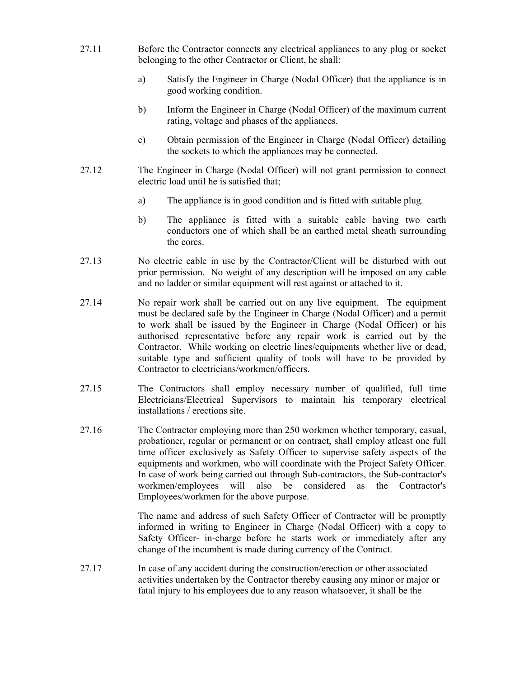- 27.11 Before the Contractor connects any electrical appliances to any plug or socket belonging to the other Contractor or Client, he shall:
	- a) Satisfy the Engineer in Charge (Nodal Officer) that the appliance is in good working condition.
	- b) Inform the Engineer in Charge (Nodal Officer) of the maximum current rating, voltage and phases of the appliances.
	- c) Obtain permission of the Engineer in Charge (Nodal Officer) detailing the sockets to which the appliances may be connected.
- 27.12 The Engineer in Charge (Nodal Officer) will not grant permission to connect electric load until he is satisfied that;
	- a) The appliance is in good condition and is fitted with suitable plug.
	- b) The appliance is fitted with a suitable cable having two earth conductors one of which shall be an earthed metal sheath surrounding the cores.
- 27.13 No electric cable in use by the Contractor/Client will be disturbed with out prior permission. No weight of any description will be imposed on any cable and no ladder or similar equipment will rest against or attached to it.
- 27.14 No repair work shall be carried out on any live equipment. The equipment must be declared safe by the Engineer in Charge (Nodal Officer) and a permit to work shall be issued by the Engineer in Charge (Nodal Officer) or his authorised representative before any repair work is carried out by the Contractor. While working on electric lines/equipments whether live or dead, suitable type and sufficient quality of tools will have to be provided by Contractor to electricians/workmen/officers.
- 27.15 The Contractors shall employ necessary number of qualified, full time Electricians/Electrical Supervisors to maintain his temporary electrical installations / erections site.
- 27.16 The Contractor employing more than 250 workmen whether temporary, casual, probationer, regular or permanent or on contract, shall employ atleast one full time officer exclusively as Safety Officer to supervise safety aspects of the equipments and workmen, who will coordinate with the Project Safety Officer. In case of work being carried out through Sub-contractors, the Sub-contractor's workmen/employees will also be considered as the Contractor's Employees/workmen for the above purpose.

 The name and address of such Safety Officer of Contractor will be promptly informed in writing to Engineer in Charge (Nodal Officer) with a copy to Safety Officer- in-charge before he starts work or immediately after any change of the incumbent is made during currency of the Contract.

27.17 In case of any accident during the construction/erection or other associated activities undertaken by the Contractor thereby causing any minor or major or fatal injury to his employees due to any reason whatsoever, it shall be the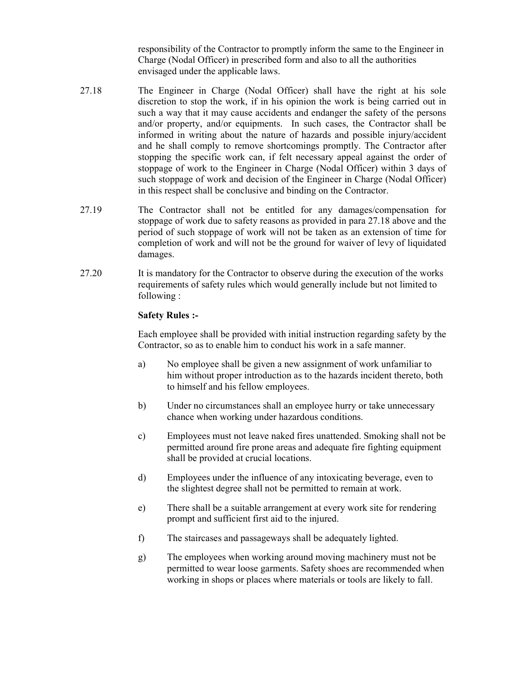responsibility of the Contractor to promptly inform the same to the Engineer in Charge (Nodal Officer) in prescribed form and also to all the authorities envisaged under the applicable laws.

- 27.18 The Engineer in Charge (Nodal Officer) shall have the right at his sole discretion to stop the work, if in his opinion the work is being carried out in such a way that it may cause accidents and endanger the safety of the persons and/or property, and/or equipments. In such cases, the Contractor shall be informed in writing about the nature of hazards and possible injury/accident and he shall comply to remove shortcomings promptly. The Contractor after stopping the specific work can, if felt necessary appeal against the order of stoppage of work to the Engineer in Charge (Nodal Officer) within 3 days of such stoppage of work and decision of the Engineer in Charge (Nodal Officer) in this respect shall be conclusive and binding on the Contractor.
- 27.19 The Contractor shall not be entitled for any damages/compensation for stoppage of work due to safety reasons as provided in para 27.18 above and the period of such stoppage of work will not be taken as an extension of time for completion of work and will not be the ground for waiver of levy of liquidated damages.
- 27.20 It is mandatory for the Contractor to observe during the execution of the works requirements of safety rules which would generally include but not limited to following :

## Safety Rules :-

Each employee shall be provided with initial instruction regarding safety by the Contractor, so as to enable him to conduct his work in a safe manner.

- a) No employee shall be given a new assignment of work unfamiliar to him without proper introduction as to the hazards incident thereto, both to himself and his fellow employees.
- b) Under no circumstances shall an employee hurry or take unnecessary chance when working under hazardous conditions.
- c) Employees must not leave naked fires unattended. Smoking shall not be permitted around fire prone areas and adequate fire fighting equipment shall be provided at crucial locations.
- d) Employees under the influence of any intoxicating beverage, even to the slightest degree shall not be permitted to remain at work.
- e) There shall be a suitable arrangement at every work site for rendering prompt and sufficient first aid to the injured.
- f) The staircases and passageways shall be adequately lighted.
- g) The employees when working around moving machinery must not be permitted to wear loose garments. Safety shoes are recommended when working in shops or places where materials or tools are likely to fall.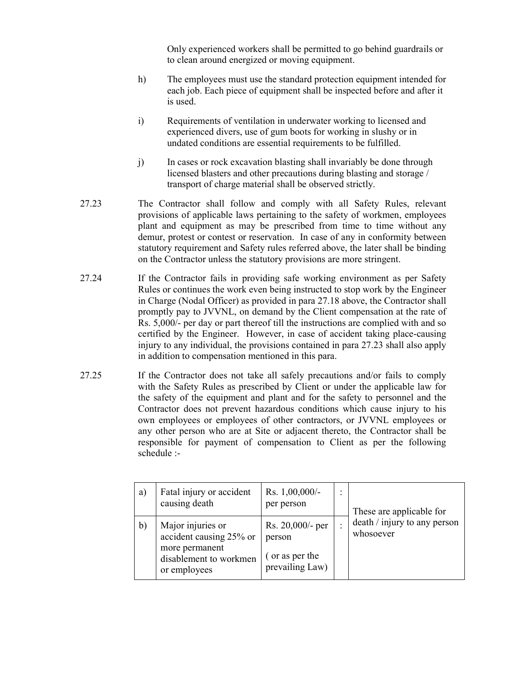Only experienced workers shall be permitted to go behind guardrails or to clean around energized or moving equipment.

- h) The employees must use the standard protection equipment intended for each job. Each piece of equipment shall be inspected before and after it is used.
- i) Requirements of ventilation in underwater working to licensed and experienced divers, use of gum boots for working in slushy or in undated conditions are essential requirements to be fulfilled.
- j) In cases or rock excavation blasting shall invariably be done through licensed blasters and other precautions during blasting and storage / transport of charge material shall be observed strictly.
- 27.23 The Contractor shall follow and comply with all Safety Rules, relevant provisions of applicable laws pertaining to the safety of workmen, employees plant and equipment as may be prescribed from time to time without any demur, protest or contest or reservation. In case of any in conformity between statutory requirement and Safety rules referred above, the later shall be binding on the Contractor unless the statutory provisions are more stringent.
- 27.24 If the Contractor fails in providing safe working environment as per Safety Rules or continues the work even being instructed to stop work by the Engineer in Charge (Nodal Officer) as provided in para 27.18 above, the Contractor shall promptly pay to JVVNL, on demand by the Client compensation at the rate of Rs. 5,000/- per day or part thereof till the instructions are complied with and so certified by the Engineer. However, in case of accident taking place-causing injury to any individual, the provisions contained in para 27.23 shall also apply in addition to compensation mentioned in this para.
- 27.25 If the Contractor does not take all safely precautions and/or fails to comply with the Safety Rules as prescribed by Client or under the applicable law for the safety of the equipment and plant and for the safety to personnel and the Contractor does not prevent hazardous conditions which cause injury to his own employees or employees of other contractors, or JVVNL employees or any other person who are at Site or adjacent thereto, the Contractor shall be responsible for payment of compensation to Client as per the following schedule :-

| a)           | Fatal injury or accident<br>causing death                                                                | Rs. $1,00,000/-$<br>per person                                   | These are applicable for                  |
|--------------|----------------------------------------------------------------------------------------------------------|------------------------------------------------------------------|-------------------------------------------|
| $\mathbf{b}$ | Major injuries or<br>accident causing 25% or<br>more permanent<br>disablement to workmen<br>or employees | $Rs. 20,000$ - per<br>person<br>or as per the<br>prevailing Law) | death / injury to any person<br>whosoever |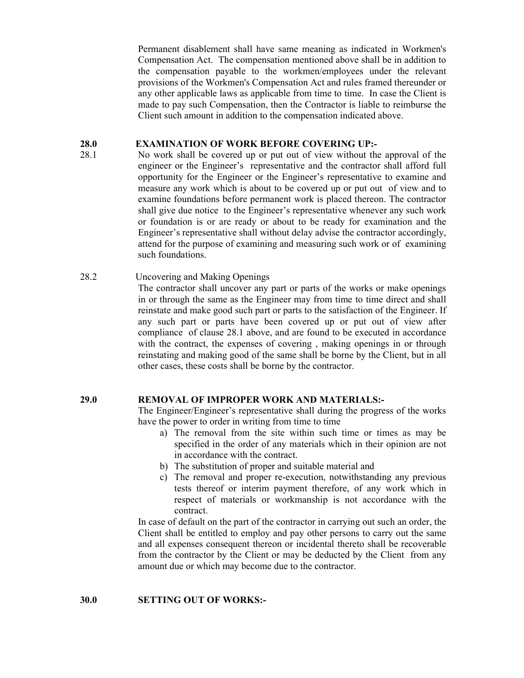Permanent disablement shall have same meaning as indicated in Workmen's Compensation Act. The compensation mentioned above shall be in addition to the compensation payable to the workmen/employees under the relevant provisions of the Workmen's Compensation Act and rules framed thereunder or any other applicable laws as applicable from time to time. In case the Client is made to pay such Compensation, then the Contractor is liable to reimburse the Client such amount in addition to the compensation indicated above.

#### 28.0 EXAMINATION OF WORK BEFORE COVERING UP:-

- 28.1 No work shall be covered up or put out of view without the approval of the engineer or the Engineer's representative and the contractor shall afford full opportunity for the Engineer or the Engineer's representative to examine and measure any work which is about to be covered up or put out of view and to examine foundations before permanent work is placed thereon. The contractor shall give due notice to the Engineer's representative whenever any such work or foundation is or are ready or about to be ready for examination and the Engineer's representative shall without delay advise the contractor accordingly, attend for the purpose of examining and measuring such work or of examining such foundations.
- 28.2 Uncovering and Making Openings The contractor shall uncover any part or parts of the works or make openings in or through the same as the Engineer may from time to time direct and shall reinstate and make good such part or parts to the satisfaction of the Engineer. If any such part or parts have been covered up or put out of view after compliance of clause 28.1 above, and are found to be executed in accordance with the contract, the expenses of covering, making openings in or through reinstating and making good of the same shall be borne by the Client, but in all other cases, these costs shall be borne by the contractor.

#### 29.0 REMOVAL OF IMPROPER WORK AND MATERIALS:-

The Engineer/Engineer's representative shall during the progress of the works have the power to order in writing from time to time

- a) The removal from the site within such time or times as may be specified in the order of any materials which in their opinion are not in accordance with the contract.
- b) The substitution of proper and suitable material and
- c) The removal and proper re-execution, notwithstanding any previous tests thereof or interim payment therefore, of any work which in respect of materials or workmanship is not accordance with the contract.

In case of default on the part of the contractor in carrying out such an order, the Client shall be entitled to employ and pay other persons to carry out the same and all expenses consequent thereon or incidental thereto shall be recoverable from the contractor by the Client or may be deducted by the Client from any amount due or which may become due to the contractor.

#### 30.0 SETTING OUT OF WORKS:-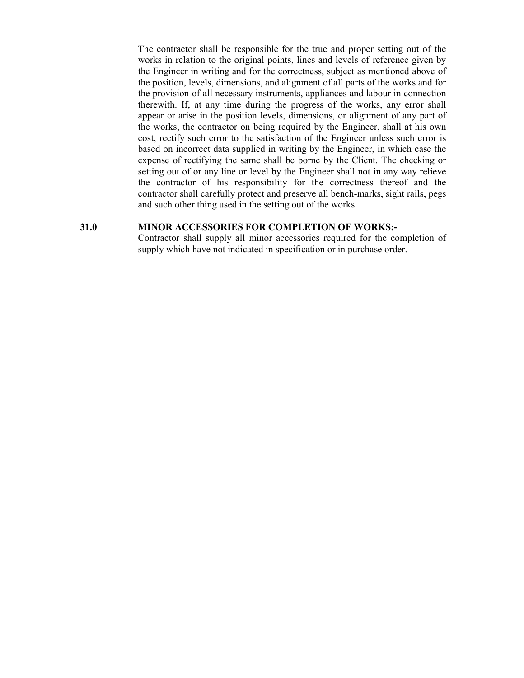The contractor shall be responsible for the true and proper setting out of the works in relation to the original points, lines and levels of reference given by the Engineer in writing and for the correctness, subject as mentioned above of the position, levels, dimensions, and alignment of all parts of the works and for the provision of all necessary instruments, appliances and labour in connection therewith. If, at any time during the progress of the works, any error shall appear or arise in the position levels, dimensions, or alignment of any part of the works, the contractor on being required by the Engineer, shall at his own cost, rectify such error to the satisfaction of the Engineer unless such error is based on incorrect data supplied in writing by the Engineer, in which case the expense of rectifying the same shall be borne by the Client. The checking or setting out of or any line or level by the Engineer shall not in any way relieve the contractor of his responsibility for the correctness thereof and the contractor shall carefully protect and preserve all bench-marks, sight rails, pegs and such other thing used in the setting out of the works.

#### 31.0 MINOR ACCESSORIES FOR COMPLETION OF WORKS:-

Contractor shall supply all minor accessories required for the completion of supply which have not indicated in specification or in purchase order.